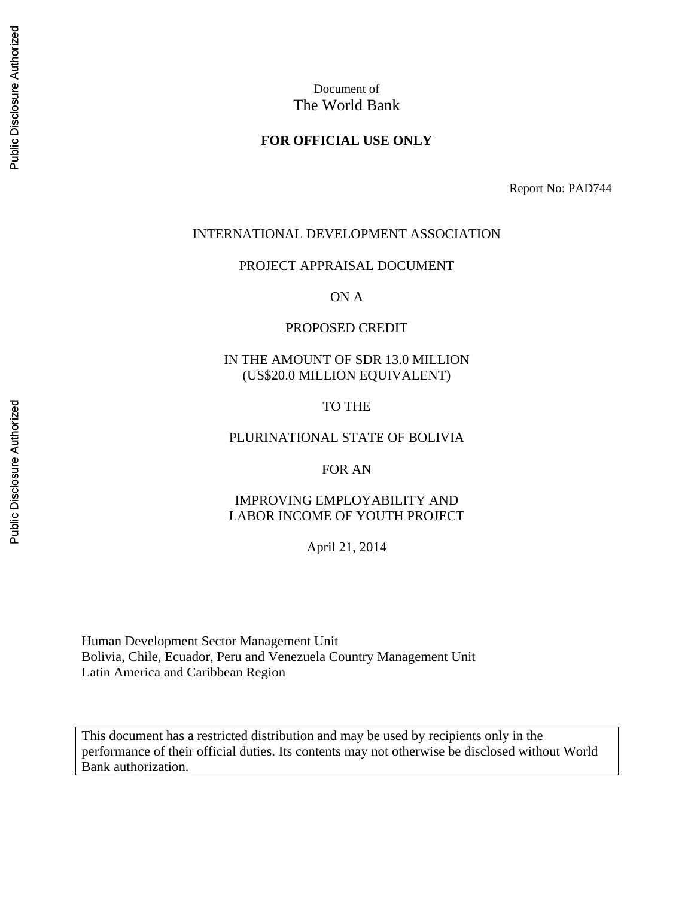# Document of The World Bank

### **FOR OFFICIAL USE ONLY**

Report No: PAD744

#### INTERNATIONAL DEVELOPMENT ASSOCIATION

PROJECT APPRAISAL DOCUMENT

ON A

#### PROPOSED CREDIT

### IN THE AMOUNT OF SDR 13.0 MILLION (US\$20.0 MILLION EQUIVALENT)

### TO THE

### PLURINATIONAL STATE OF BOLIVIA

FOR AN

### IMPROVING EMPLOYABILITY AND LABOR INCOME OF YOUTH PROJECT

April 21, 2014

Human Development Sector Management Unit Bolivia, Chile, Ecuador, Peru and Venezuela Country Management Unit Latin America and Caribbean Region

This document has a restricted distribution and may be used by recipients only in the performance of their official duties. Its contents may not otherwise be disclosed without World Bank authorization.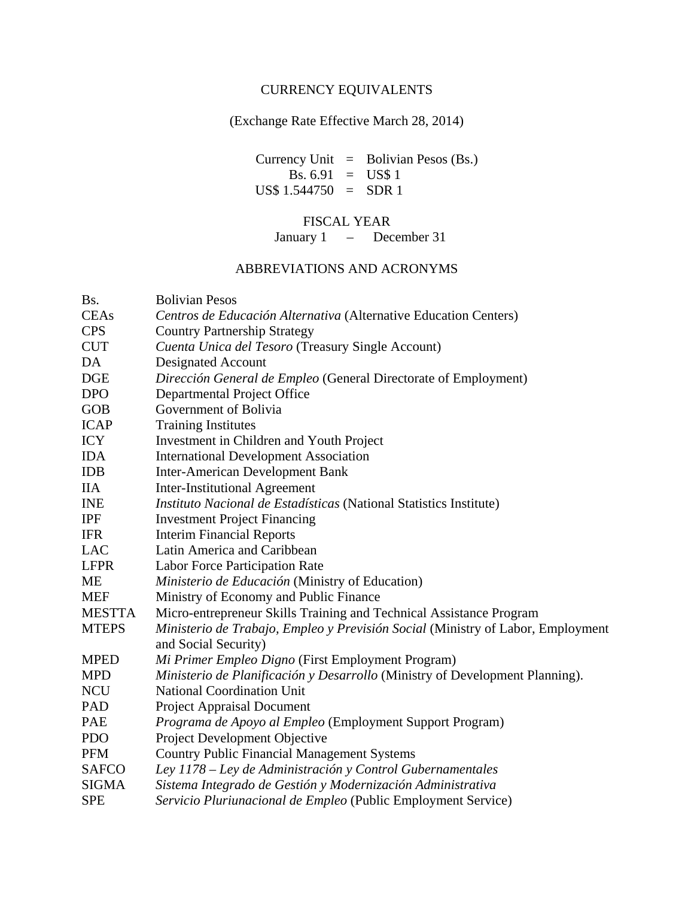# CURRENCY EQUIVALENTS

(Exchange Rate Effective March 28, 2014)

Currency Unit  $=$  Bolivian Pesos (Bs.) Bs.  $6.91 = US$1$  $US\$  1.544750 = SDR 1

# FISCAL YEAR

January 1 – December 31

# ABBREVIATIONS AND ACRONYMS

| Bs.           | <b>Bolivian Pesos</b>                                                           |
|---------------|---------------------------------------------------------------------------------|
| <b>CEAs</b>   | Centros de Educación Alternativa (Alternative Education Centers)                |
| <b>CPS</b>    | <b>Country Partnership Strategy</b>                                             |
| <b>CUT</b>    | Cuenta Unica del Tesoro (Treasury Single Account)                               |
| DA            | <b>Designated Account</b>                                                       |
| <b>DGE</b>    | Dirección General de Empleo (General Directorate of Employment)                 |
| <b>DPO</b>    | Departmental Project Office                                                     |
| <b>GOB</b>    | Government of Bolivia                                                           |
| <b>ICAP</b>   | <b>Training Institutes</b>                                                      |
| <b>ICY</b>    | Investment in Children and Youth Project                                        |
| <b>IDA</b>    | <b>International Development Association</b>                                    |
| <b>IDB</b>    | <b>Inter-American Development Bank</b>                                          |
| <b>IIA</b>    | <b>Inter-Institutional Agreement</b>                                            |
| <b>INE</b>    | Instituto Nacional de Estadísticas (National Statistics Institute)              |
| <b>IPF</b>    | <b>Investment Project Financing</b>                                             |
| <b>IFR</b>    | <b>Interim Financial Reports</b>                                                |
| <b>LAC</b>    | Latin America and Caribbean                                                     |
| <b>LFPR</b>   | Labor Force Participation Rate                                                  |
| <b>ME</b>     | Ministerio de Educación (Ministry of Education)                                 |
| <b>MEF</b>    | Ministry of Economy and Public Finance                                          |
| <b>MESTTA</b> | Micro-entrepreneur Skills Training and Technical Assistance Program             |
| <b>MTEPS</b>  | Ministerio de Trabajo, Empleo y Previsión Social (Ministry of Labor, Employment |
|               | and Social Security)                                                            |
| <b>MPED</b>   | Mi Primer Empleo Digno (First Employment Program)                               |
| <b>MPD</b>    | Ministerio de Planificación y Desarrollo (Ministry of Development Planning).    |
| <b>NCU</b>    | <b>National Coordination Unit</b>                                               |
| PAD           | <b>Project Appraisal Document</b>                                               |
| PAE           | Programa de Apoyo al Empleo (Employment Support Program)                        |
| <b>PDO</b>    | Project Development Objective                                                   |
| <b>PFM</b>    | <b>Country Public Financial Management Systems</b>                              |
| <b>SAFCO</b>  | Ley 1178 - Ley de Administración y Control Gubernamentales                      |
| <b>SIGMA</b>  | Sistema Integrado de Gestión y Modernización Administrativa                     |
| <b>SPE</b>    | Servicio Pluriunacional de Empleo (Public Employment Service)                   |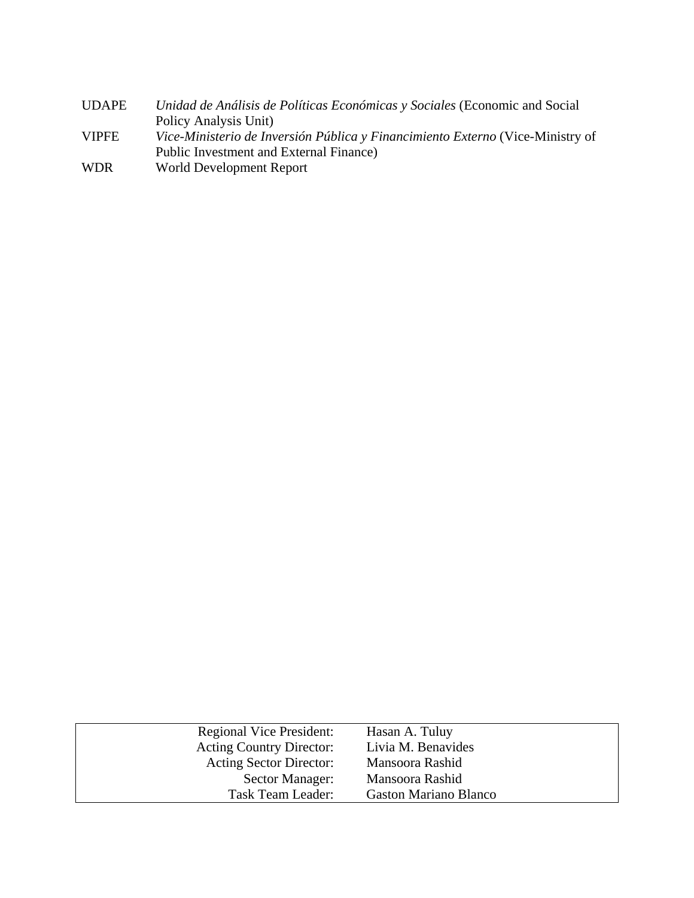| UDAPE        | Unidad de Análisis de Políticas Económicas y Sociales (Economic and Social     |
|--------------|--------------------------------------------------------------------------------|
|              | Policy Analysis Unit)                                                          |
| <b>VIPFE</b> | Vice-Ministerio de Inversión Pública y Financimiento Externo (Vice-Ministry of |
|              | Public Investment and External Finance)                                        |
| WDR          | World Development Report                                                       |
|              |                                                                                |

| <b>Regional Vice President:</b><br><b>Acting Country Director:</b> | Hasan A. Tuluy<br>Livia M. Benavides |
|--------------------------------------------------------------------|--------------------------------------|
| Acting Sector Director:                                            | Mansoora Rashid                      |
| Sector Manager:                                                    | Mansoora Rashid                      |
| Task Team Leader:                                                  | <b>Gaston Mariano Blanco</b>         |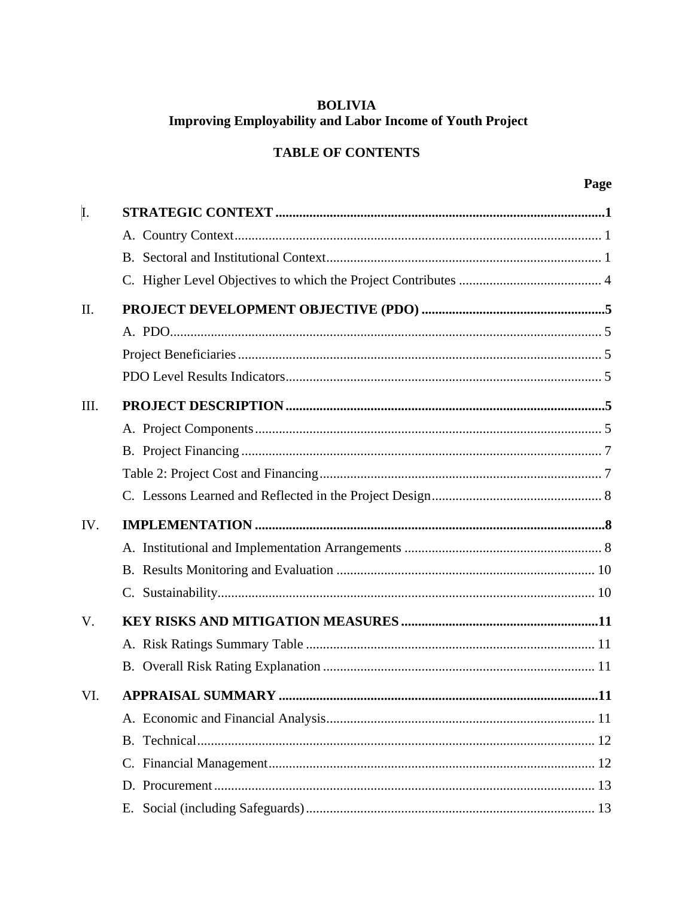# **BOLIVIA Improving Employability and Labor Income of Youth Project**

# **TABLE OF CONTENTS**

| I.          |  |
|-------------|--|
|             |  |
|             |  |
|             |  |
| II.         |  |
|             |  |
|             |  |
|             |  |
| III.        |  |
|             |  |
|             |  |
|             |  |
|             |  |
|             |  |
| IV.         |  |
|             |  |
|             |  |
|             |  |
| $V_{\cdot}$ |  |
|             |  |
|             |  |
| VI.         |  |
|             |  |
|             |  |
|             |  |
|             |  |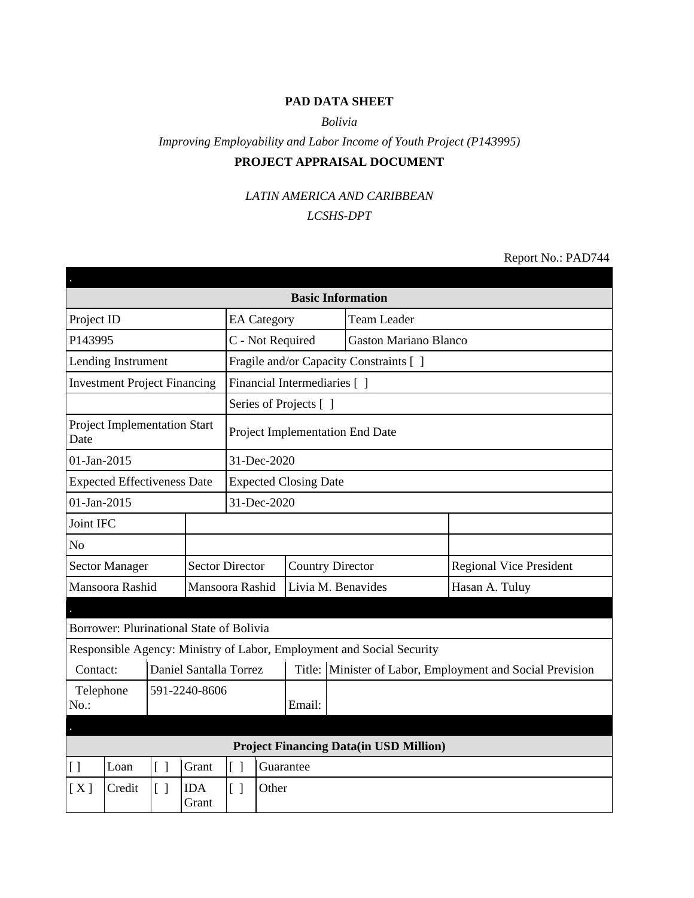# **PAD DATA SHEET**

### *Bolivia*

# *Improving Employability and Labor Income of Youth Project (P143995)* **PROJECT APPRAISAL DOCUMENT**

### *LATIN AMERICA AND CARIBBEAN*

### *LCSHS-DPT*

Report No.: PAD744

|                                                                       |                                   |                        |                                                   |             |                                         |  | <b>Basic Information</b>                      |                                                    |  |
|-----------------------------------------------------------------------|-----------------------------------|------------------------|---------------------------------------------------|-------------|-----------------------------------------|--|-----------------------------------------------|----------------------------------------------------|--|
| Project ID<br><b>EA</b> Category                                      |                                   |                        |                                                   |             |                                         |  | <b>Team Leader</b>                            |                                                    |  |
| P143995                                                               |                                   |                        |                                                   |             | C - Not Required                        |  | <b>Gaston Mariano Blanco</b>                  |                                                    |  |
| Lending Instrument                                                    |                                   |                        |                                                   |             | Fragile and/or Capacity Constraints [ ] |  |                                               |                                                    |  |
| <b>Investment Project Financing</b>                                   |                                   |                        |                                                   |             | Financial Intermediaries [ ]            |  |                                               |                                                    |  |
|                                                                       |                                   |                        |                                                   |             | Series of Projects [ ]                  |  |                                               |                                                    |  |
| <b>Project Implementation Start</b><br>Date                           |                                   |                        |                                                   |             |                                         |  | Project Implementation End Date               |                                                    |  |
| 01-Jan-2015                                                           |                                   |                        |                                                   | 31-Dec-2020 |                                         |  |                                               |                                                    |  |
| <b>Expected Effectiveness Date</b>                                    |                                   |                        |                                                   |             | <b>Expected Closing Date</b>            |  |                                               |                                                    |  |
| 01-Jan-2015                                                           |                                   |                        |                                                   | 31-Dec-2020 |                                         |  |                                               |                                                    |  |
| Joint IFC                                                             |                                   |                        |                                                   |             |                                         |  |                                               |                                                    |  |
| N <sub>o</sub>                                                        |                                   |                        |                                                   |             |                                         |  |                                               |                                                    |  |
| <b>Sector Manager</b>                                                 |                                   |                        | <b>Sector Director</b><br><b>Country Director</b> |             |                                         |  | <b>Regional Vice President</b>                |                                                    |  |
| Mansoora Rashid                                                       |                                   |                        | Mansoora Rashid                                   |             |                                         |  | Livia M. Benavides<br>Hasan A. Tuluy          |                                                    |  |
|                                                                       |                                   |                        |                                                   |             |                                         |  |                                               |                                                    |  |
| Borrower: Plurinational State of Bolivia                              |                                   |                        |                                                   |             |                                         |  |                                               |                                                    |  |
| Responsible Agency: Ministry of Labor, Employment and Social Security |                                   |                        |                                                   |             |                                         |  |                                               |                                                    |  |
| Contact:                                                              |                                   | Daniel Santalla Torrez |                                                   |             | Title:                                  |  |                                               | Minister of Labor, Employment and Social Prevision |  |
| Telephone<br>591-2240-8606<br>$No.$ :                                 |                                   |                        |                                                   | Email:      |                                         |  |                                               |                                                    |  |
|                                                                       |                                   |                        |                                                   |             |                                         |  |                                               |                                                    |  |
|                                                                       |                                   |                        |                                                   |             |                                         |  | <b>Project Financing Data(in USD Million)</b> |                                                    |  |
| $\left[ \ \right]$<br>Loan                                            | $\begin{bmatrix} 1 \end{bmatrix}$ | Grant                  | $[ \ ]$                                           | Guarantee   |                                         |  |                                               |                                                    |  |
| [X]<br>Credit                                                         | $\begin{bmatrix} \end{bmatrix}$   | <b>IDA</b><br>Grant    | $\lceil$ $\rceil$                                 | Other       |                                         |  |                                               |                                                    |  |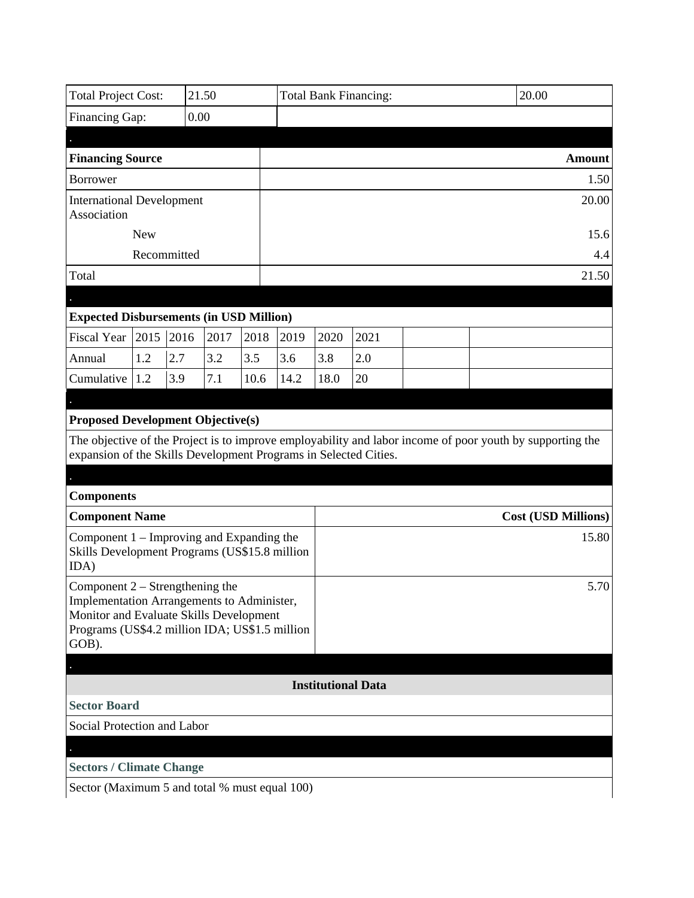|                                                                                                                                                                                       | <b>Total Project Cost:</b><br>21.50 |             |      |      |      | <b>Total Bank Financing:</b> |                           |                                                                                                           | 20.00 |                                     |
|---------------------------------------------------------------------------------------------------------------------------------------------------------------------------------------|-------------------------------------|-------------|------|------|------|------------------------------|---------------------------|-----------------------------------------------------------------------------------------------------------|-------|-------------------------------------|
| Financing Gap:<br>0.00                                                                                                                                                                |                                     |             |      |      |      |                              |                           |                                                                                                           |       |                                     |
|                                                                                                                                                                                       |                                     |             |      |      |      |                              |                           |                                                                                                           |       |                                     |
| <b>Financing Source</b>                                                                                                                                                               |                                     |             |      |      |      |                              |                           |                                                                                                           |       | <b>Amount</b>                       |
| <b>Borrower</b>                                                                                                                                                                       |                                     |             |      |      |      |                              |                           |                                                                                                           |       | 1.50                                |
| <b>International Development</b><br>Association                                                                                                                                       |                                     |             |      |      |      |                              |                           |                                                                                                           |       | 20.00                               |
| <b>New</b>                                                                                                                                                                            |                                     |             |      |      |      |                              |                           |                                                                                                           |       | 15.6                                |
|                                                                                                                                                                                       |                                     | Recommitted |      |      |      |                              |                           |                                                                                                           |       | 4.4                                 |
| Total                                                                                                                                                                                 |                                     |             |      |      |      |                              |                           |                                                                                                           |       | 21.50                               |
|                                                                                                                                                                                       |                                     |             |      |      |      |                              |                           |                                                                                                           |       |                                     |
| <b>Expected Disbursements (in USD Million)</b>                                                                                                                                        |                                     |             |      |      |      |                              |                           |                                                                                                           |       |                                     |
| Fiscal Year $\vert$ 2015 $\vert$ 2016                                                                                                                                                 |                                     |             | 2017 | 2018 | 2019 | 2020                         | 2021                      |                                                                                                           |       |                                     |
| Annual                                                                                                                                                                                | 1.2                                 | 2.7         | 3.2  | 3.5  | 3.6  | 3.8                          | 2.0                       |                                                                                                           |       |                                     |
| Cumulative                                                                                                                                                                            | 1.2                                 | 3.9         | 7.1  | 10.6 | 14.2 | 18.0                         | 20                        |                                                                                                           |       |                                     |
|                                                                                                                                                                                       |                                     |             |      |      |      |                              |                           |                                                                                                           |       |                                     |
| expansion of the Skills Development Programs in Selected Cities.                                                                                                                      |                                     |             |      |      |      |                              |                           | The objective of the Project is to improve employability and labor income of poor youth by supporting the |       |                                     |
|                                                                                                                                                                                       |                                     |             |      |      |      |                              |                           |                                                                                                           |       |                                     |
| <b>Components</b>                                                                                                                                                                     |                                     |             |      |      |      |                              |                           |                                                                                                           |       |                                     |
| <b>Component Name</b><br>Component $1$ – Improving and Expanding the<br>Skills Development Programs (US\$15.8 million<br>IDA)                                                         |                                     |             |      |      |      |                              |                           |                                                                                                           |       | <b>Cost (USD Millions)</b><br>15.80 |
| Component $2$ – Strengthening the<br>Implementation Arrangements to Administer,<br>Monitor and Evaluate Skills Development<br>Programs (US\$4.2 million IDA; US\$1.5 million<br>GOB). |                                     |             |      |      |      |                              |                           |                                                                                                           |       | 5.70                                |
|                                                                                                                                                                                       |                                     |             |      |      |      |                              |                           |                                                                                                           |       |                                     |
|                                                                                                                                                                                       |                                     |             |      |      |      |                              | <b>Institutional Data</b> |                                                                                                           |       |                                     |
| <b>Sector Board</b>                                                                                                                                                                   |                                     |             |      |      |      |                              |                           |                                                                                                           |       |                                     |
| Social Protection and Labor                                                                                                                                                           |                                     |             |      |      |      |                              |                           |                                                                                                           |       |                                     |
|                                                                                                                                                                                       |                                     |             |      |      |      |                              |                           |                                                                                                           |       |                                     |
| <b>Sectors / Climate Change</b>                                                                                                                                                       |                                     |             |      |      |      |                              |                           |                                                                                                           |       |                                     |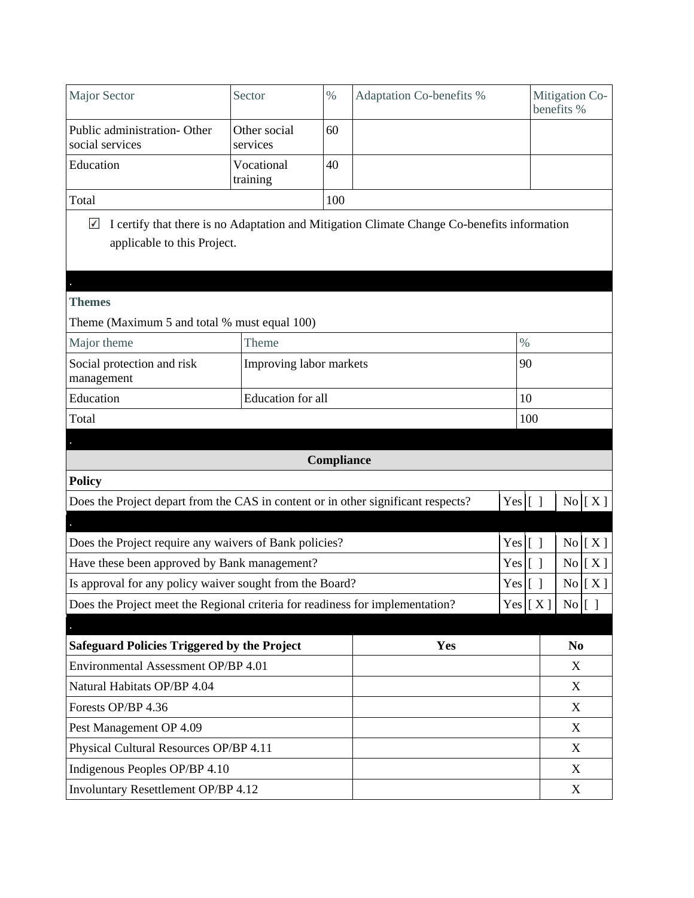| <b>Major Sector</b>                                                               | Sector                   | $\%$       | Adaptation Co-benefits %                                                                    |           |     | Mitigation Co-<br>benefits % |  |
|-----------------------------------------------------------------------------------|--------------------------|------------|---------------------------------------------------------------------------------------------|-----------|-----|------------------------------|--|
| Public administration- Other<br>social services                                   | Other social<br>services | 60         |                                                                                             |           |     |                              |  |
| Education                                                                         | Vocational<br>training   | 40         |                                                                                             |           |     |                              |  |
| Total                                                                             |                          | 100        |                                                                                             |           |     |                              |  |
| $\checkmark$<br>applicable to this Project.                                       |                          |            | I certify that there is no Adaptation and Mitigation Climate Change Co-benefits information |           |     |                              |  |
| <b>Themes</b>                                                                     |                          |            |                                                                                             |           |     |                              |  |
| Theme (Maximum 5 and total % must equal 100)                                      |                          |            |                                                                                             |           |     |                              |  |
| Major theme                                                                       | Theme                    |            |                                                                                             | $\%$      |     |                              |  |
| Social protection and risk<br>management                                          | Improving labor markets  |            |                                                                                             |           |     |                              |  |
| Education                                                                         | Education for all        | 10         |                                                                                             |           |     |                              |  |
| Total                                                                             |                          |            |                                                                                             |           | 100 |                              |  |
|                                                                                   |                          |            |                                                                                             |           |     |                              |  |
|                                                                                   |                          | Compliance |                                                                                             |           |     |                              |  |
| <b>Policy</b>                                                                     |                          |            |                                                                                             |           |     |                              |  |
| Does the Project depart from the CAS in content or in other significant respects? |                          |            |                                                                                             | Yes $[ ]$ |     | $No$ $[ X ]$                 |  |
|                                                                                   |                          |            |                                                                                             |           |     |                              |  |
| Does the Project require any waivers of Bank policies?                            |                          |            |                                                                                             | $Yes$ [ ] |     | $No$ $[ X ]$                 |  |
| Have these been approved by Bank management?                                      |                          |            |                                                                                             | Yes [ ]   |     | No[X]                        |  |
| Is approval for any policy waiver sought from the Board?                          |                          |            |                                                                                             | $Yes$ [ ] |     | $No$ $[X]$                   |  |
| Does the Project meet the Regional criteria for readiness for implementation?     |                          |            |                                                                                             |           |     | Yes   [ X ]   No   [ ]       |  |
| <b>Safeguard Policies Triggered by the Project</b>                                |                          |            | Yes                                                                                         |           |     | N <sub>0</sub>               |  |
| Environmental Assessment OP/BP 4.01                                               |                          |            |                                                                                             |           |     | X                            |  |
| Natural Habitats OP/BP 4.04                                                       |                          |            |                                                                                             | X         |     |                              |  |
| Forests OP/BP 4.36                                                                |                          |            |                                                                                             |           |     | $\mathbf X$                  |  |
| Pest Management OP 4.09                                                           |                          |            |                                                                                             |           |     | X                            |  |
| Physical Cultural Resources OP/BP 4.11                                            |                          |            |                                                                                             |           |     | X                            |  |
| Indigenous Peoples OP/BP 4.10                                                     |                          |            |                                                                                             |           |     | X                            |  |
| Involuntary Resettlement OP/BP 4.12                                               |                          |            |                                                                                             |           |     | X                            |  |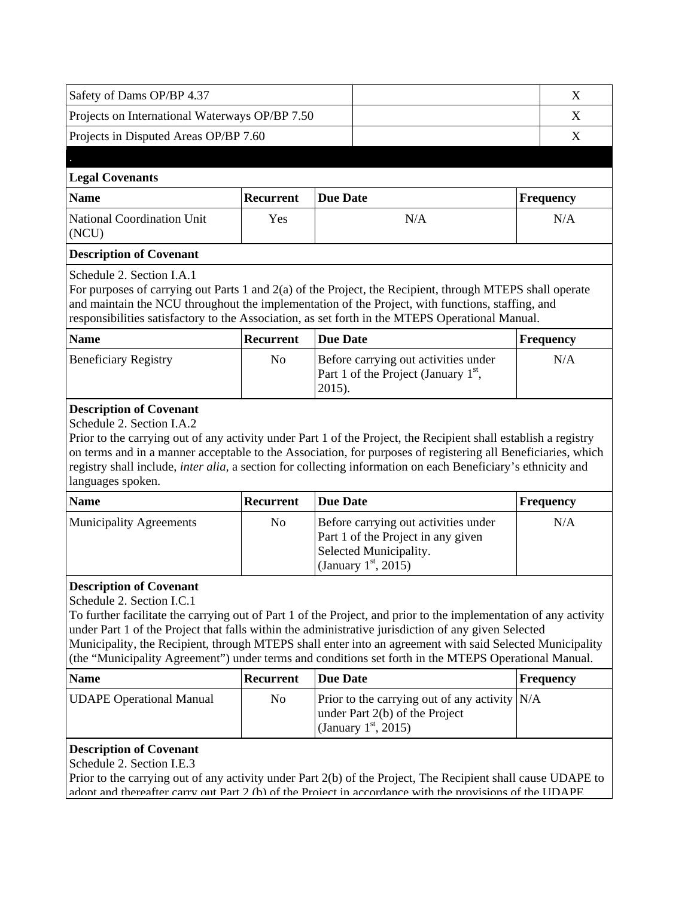| Safety of Dams OP/BP 4.37                                   |                                                                                                |                                                                                                                                                                                                                                                                                                                                                                                                                                             | X                |  |  |  |  |
|-------------------------------------------------------------|------------------------------------------------------------------------------------------------|---------------------------------------------------------------------------------------------------------------------------------------------------------------------------------------------------------------------------------------------------------------------------------------------------------------------------------------------------------------------------------------------------------------------------------------------|------------------|--|--|--|--|
| Projects on International Waterways OP/BP 7.50              |                                                                                                |                                                                                                                                                                                                                                                                                                                                                                                                                                             |                  |  |  |  |  |
| Projects in Disputed Areas OP/BP 7.60                       |                                                                                                |                                                                                                                                                                                                                                                                                                                                                                                                                                             | X                |  |  |  |  |
|                                                             |                                                                                                |                                                                                                                                                                                                                                                                                                                                                                                                                                             |                  |  |  |  |  |
| <b>Legal Covenants</b>                                      |                                                                                                |                                                                                                                                                                                                                                                                                                                                                                                                                                             |                  |  |  |  |  |
| <b>Name</b>                                                 | Recurrent                                                                                      | <b>Due Date</b>                                                                                                                                                                                                                                                                                                                                                                                                                             | <b>Frequency</b> |  |  |  |  |
| National Coordination Unit<br>(NCU)                         | Yes                                                                                            | N/A                                                                                                                                                                                                                                                                                                                                                                                                                                         | N/A              |  |  |  |  |
| <b>Description of Covenant</b>                              |                                                                                                |                                                                                                                                                                                                                                                                                                                                                                                                                                             |                  |  |  |  |  |
| Schedule 2. Section I.A.1                                   |                                                                                                | For purposes of carrying out Parts 1 and 2(a) of the Project, the Recipient, through MTEPS shall operate<br>and maintain the NCU throughout the implementation of the Project, with functions, staffing, and<br>responsibilities satisfactory to the Association, as set forth in the MTEPS Operational Manual.                                                                                                                             |                  |  |  |  |  |
| <b>Name</b>                                                 | Recurrent                                                                                      | <b>Due Date</b>                                                                                                                                                                                                                                                                                                                                                                                                                             | <b>Frequency</b> |  |  |  |  |
| <b>Beneficiary Registry</b>                                 | Before carrying out activities under<br>No<br>Part 1 of the Project (January $1st$ ,<br>2015). |                                                                                                                                                                                                                                                                                                                                                                                                                                             |                  |  |  |  |  |
| languages spoken.                                           |                                                                                                | on terms and in a manner acceptable to the Association, for purposes of registering all Beneficiaries, which<br>registry shall include, inter alia, a section for collecting information on each Beneficiary's ethnicity and                                                                                                                                                                                                                |                  |  |  |  |  |
| <b>Name</b>                                                 | Recurrent                                                                                      | <b>Due Date</b>                                                                                                                                                                                                                                                                                                                                                                                                                             | <b>Frequency</b> |  |  |  |  |
| <b>Municipality Agreements</b>                              | No                                                                                             | Before carrying out activities under<br>Part 1 of the Project in any given<br>Selected Municipality.<br>(January $1st$ , 2015)                                                                                                                                                                                                                                                                                                              | N/A              |  |  |  |  |
| <b>Description of Covenant</b><br>Schedule 2. Section I.C.1 |                                                                                                | To further facilitate the carrying out of Part 1 of the Project, and prior to the implementation of any activity<br>under Part 1 of the Project that falls within the administrative jurisdiction of any given Selected<br>Municipality, the Recipient, through MTEPS shall enter into an agreement with said Selected Municipality<br>(the "Municipality Agreement") under terms and conditions set forth in the MTEPS Operational Manual. |                  |  |  |  |  |
| <b>Name</b>                                                 | <b>Recurrent</b>                                                                               | <b>Due Date</b>                                                                                                                                                                                                                                                                                                                                                                                                                             | <b>Frequency</b> |  |  |  |  |
| <b>UDAPE Operational Manual</b>                             | No                                                                                             | Prior to the carrying out of any activity $N/A$<br>under Part 2(b) of the Project<br>(January $1st$ , 2015)                                                                                                                                                                                                                                                                                                                                 |                  |  |  |  |  |
| <b>Description of Covenant</b><br>Schedule 2. Section I.E.3 |                                                                                                | Prior to the carrying out of any activity under Part 2(b) of the Project, The Recipient shall cause UDAPE to<br>adont and thereafter carry out Part 2 (b) of the Project in accordance with the provisions of the UDAPE                                                                                                                                                                                                                     |                  |  |  |  |  |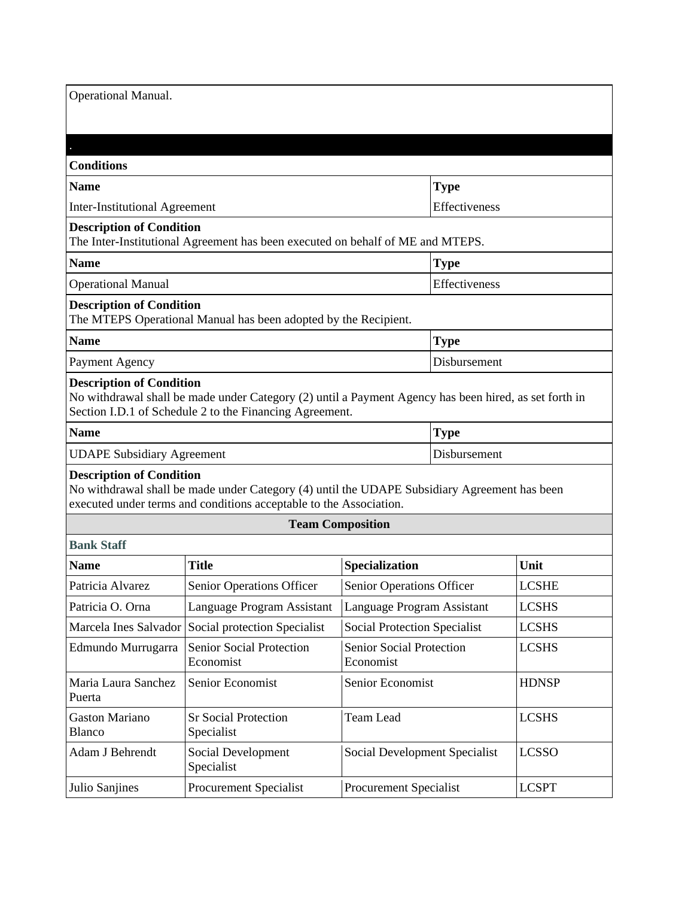| <b>Operational Manual.</b>                                                                                        |             |
|-------------------------------------------------------------------------------------------------------------------|-------------|
|                                                                                                                   |             |
| <b>Conditions</b>                                                                                                 |             |
| <b>Name</b>                                                                                                       | <b>Type</b> |
| <b>Inter-Institutional Agreement</b>                                                                              | Effectiven  |
| <b>Description of Condition</b><br>The Inter-Institutional Agreement has been executed on behalf of ME and MTEPS. |             |
| <b>Name</b>                                                                                                       | <b>Type</b> |
| <b>Operational Manual</b>                                                                                         | Effectiven  |

### **Description of Condition**

| The MTEPS Operational Manual has been adopted by the Recipient. |
|-----------------------------------------------------------------|
|-----------------------------------------------------------------|

| <b>Name</b>    | <b>Type</b>  |
|----------------|--------------|
| Payment Agency | Disbursement |

**Effectiveness** 

**Effectiveness** 

### **Description of Condition**

No withdrawal shall be made under Category (2) until a Payment Agency has been hired, as set forth in Section I.D.1 of Schedule 2 to the Financing Agreement.

| Name                              | Type         |
|-----------------------------------|--------------|
| <b>UDAPE Subsidiary Agreement</b> | Disbursement |

### **Description of Condition**

No withdrawal shall be made under Category (4) until the UDAPE Subsidiary Agreement has been executed under terms and conditions acceptable to the Association.

### **Team Composition**

| <b>Bank Staff</b>                      |                                                    |                                              |              |  |  |  |
|----------------------------------------|----------------------------------------------------|----------------------------------------------|--------------|--|--|--|
| <b>Name</b>                            | <b>Title</b>                                       | <b>Specialization</b>                        | Unit         |  |  |  |
| Patricia Alvarez                       | Senior Operations Officer                          | Senior Operations Officer                    | <b>LCSHE</b> |  |  |  |
| Patricia O. Orna                       | Language Program Assistant                         | Language Program Assistant                   | <b>LCSHS</b> |  |  |  |
|                                        | Marcela Ines Salvador Social protection Specialist | Social Protection Specialist                 | <b>LCSHS</b> |  |  |  |
| Edmundo Murrugarra                     | Senior Social Protection<br>Economist              | <b>Senior Social Protection</b><br>Economist | <b>LCSHS</b> |  |  |  |
| Maria Laura Sanchez<br>Puerta          | Senior Economist                                   | Senior Economist                             | <b>HDNSP</b> |  |  |  |
| <b>Gaston Mariano</b><br><b>Blanco</b> | <b>Sr Social Protection</b><br>Specialist          | Team Lead                                    | <b>LCSHS</b> |  |  |  |
| Adam J Behrendt                        | Social Development<br>Specialist                   | Social Development Specialist                | <b>LCSSO</b> |  |  |  |
| Julio Sanjines                         | <b>Procurement Specialist</b>                      | <b>Procurement Specialist</b>                | <b>LCSPT</b> |  |  |  |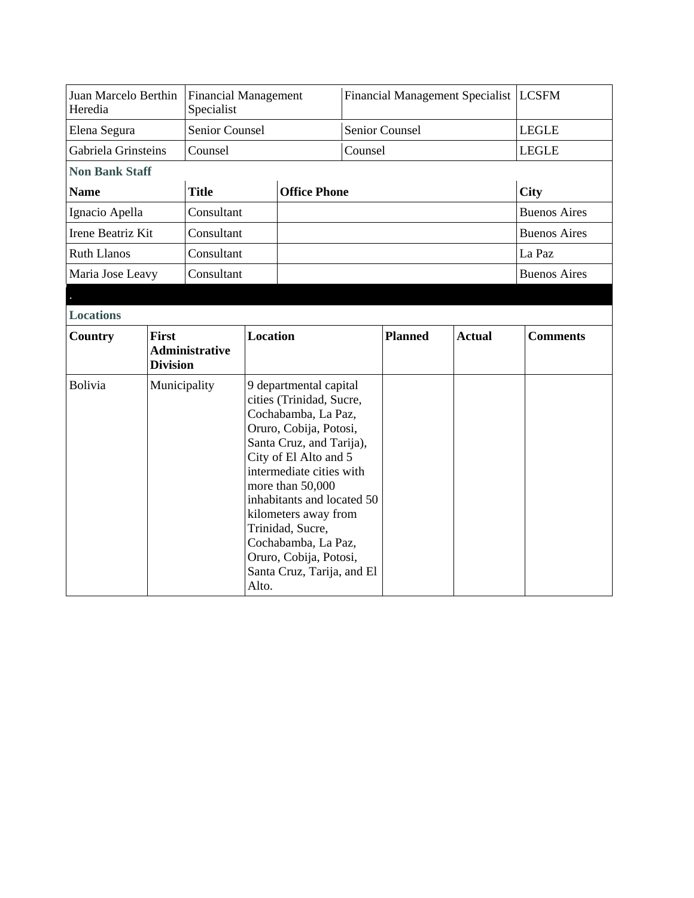| Juan Marcelo Berthin<br>Heredia |                                 | <b>Financial Management</b><br>Specialist |       |                                                                                                                                                                                                                                                                                                                                                                   |         | Financial Management Specialist   LCSFM |               |              |                     |
|---------------------------------|---------------------------------|-------------------------------------------|-------|-------------------------------------------------------------------------------------------------------------------------------------------------------------------------------------------------------------------------------------------------------------------------------------------------------------------------------------------------------------------|---------|-----------------------------------------|---------------|--------------|---------------------|
| Elena Segura                    |                                 | <b>Senior Counsel</b>                     |       |                                                                                                                                                                                                                                                                                                                                                                   |         | <b>Senior Counsel</b>                   |               | <b>LEGLE</b> |                     |
| Gabriela Grinsteins             |                                 | Counsel                                   |       |                                                                                                                                                                                                                                                                                                                                                                   | Counsel |                                         |               | <b>LEGLE</b> |                     |
| <b>Non Bank Staff</b>           |                                 |                                           |       |                                                                                                                                                                                                                                                                                                                                                                   |         |                                         |               |              |                     |
| <b>Name</b>                     |                                 | <b>Title</b>                              |       | <b>Office Phone</b>                                                                                                                                                                                                                                                                                                                                               |         |                                         |               | <b>City</b>  |                     |
| Ignacio Apella                  |                                 | Consultant                                |       |                                                                                                                                                                                                                                                                                                                                                                   |         |                                         |               |              | <b>Buenos Aires</b> |
| Irene Beatriz Kit               |                                 | Consultant                                |       |                                                                                                                                                                                                                                                                                                                                                                   |         |                                         |               |              | <b>Buenos Aires</b> |
| <b>Ruth Llanos</b>              |                                 | Consultant                                |       |                                                                                                                                                                                                                                                                                                                                                                   |         |                                         |               | La Paz       |                     |
| Maria Jose Leavy                |                                 | Consultant                                |       |                                                                                                                                                                                                                                                                                                                                                                   |         |                                         |               |              | <b>Buenos Aires</b> |
|                                 |                                 |                                           |       |                                                                                                                                                                                                                                                                                                                                                                   |         |                                         |               |              |                     |
| <b>Locations</b>                |                                 |                                           |       |                                                                                                                                                                                                                                                                                                                                                                   |         |                                         |               |              |                     |
| Country                         | <b>First</b><br><b>Division</b> | <b>Administrative</b>                     |       | <b>Location</b>                                                                                                                                                                                                                                                                                                                                                   |         | <b>Planned</b>                          | <b>Actual</b> |              | <b>Comments</b>     |
| Bolivia                         | Municipality                    |                                           | Alto. | 9 departmental capital<br>cities (Trinidad, Sucre,<br>Cochabamba, La Paz,<br>Oruro, Cobija, Potosi,<br>Santa Cruz, and Tarija),<br>City of El Alto and 5<br>intermediate cities with<br>more than 50,000<br>inhabitants and located 50<br>kilometers away from<br>Trinidad, Sucre,<br>Cochabamba, La Paz,<br>Oruro, Cobija, Potosi,<br>Santa Cruz, Tarija, and El |         |                                         |               |              |                     |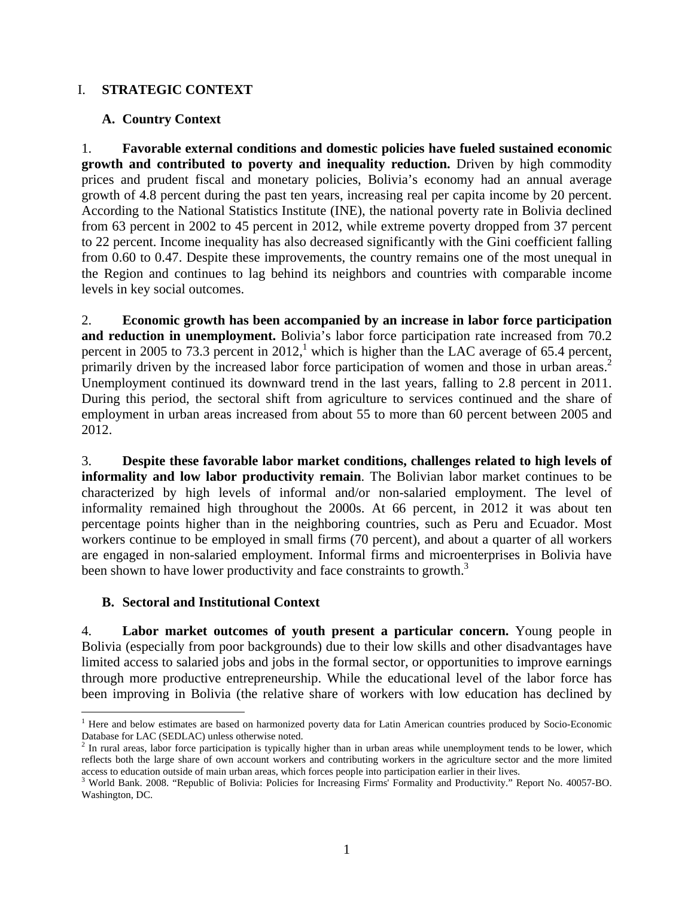# I. **STRATEGIC CONTEXT**

# **A. Country Context**

1. **Favorable external conditions and domestic policies have fueled sustained economic growth and contributed to poverty and inequality reduction.** Driven by high commodity prices and prudent fiscal and monetary policies, Bolivia's economy had an annual average growth of 4.8 percent during the past ten years, increasing real per capita income by 20 percent. According to the National Statistics Institute (INE), the national poverty rate in Bolivia declined from 63 percent in 2002 to 45 percent in 2012, while extreme poverty dropped from 37 percent to 22 percent. Income inequality has also decreased significantly with the Gini coefficient falling from 0.60 to 0.47. Despite these improvements, the country remains one of the most unequal in the Region and continues to lag behind its neighbors and countries with comparable income levels in key social outcomes.

2. **Economic growth has been accompanied by an increase in labor force participation and reduction in unemployment.** Bolivia's labor force participation rate increased from 70.2 percent in 2005 to 73.3 percent in 2012,<sup>1</sup> which is higher than the LAC average of 65.4 percent, primarily driven by the increased labor force participation of women and those in urban areas.<sup>2</sup> Unemployment continued its downward trend in the last years, falling to 2.8 percent in 2011. During this period, the sectoral shift from agriculture to services continued and the share of employment in urban areas increased from about 55 to more than 60 percent between 2005 and 2012.

3. **Despite these favorable labor market conditions, challenges related to high levels of informality and low labor productivity remain**. The Bolivian labor market continues to be characterized by high levels of informal and/or non-salaried employment. The level of informality remained high throughout the 2000s. At 66 percent, in 2012 it was about ten percentage points higher than in the neighboring countries, such as Peru and Ecuador. Most workers continue to be employed in small firms (70 percent), and about a quarter of all workers are engaged in non-salaried employment. Informal firms and microenterprises in Bolivia have been shown to have lower productivity and face constraints to growth.<sup>3</sup>

### **B. Sectoral and Institutional Context**

1

4. **Labor market outcomes of youth present a particular concern.** Young people in Bolivia (especially from poor backgrounds) due to their low skills and other disadvantages have limited access to salaried jobs and jobs in the formal sector, or opportunities to improve earnings through more productive entrepreneurship. While the educational level of the labor force has been improving in Bolivia (the relative share of workers with low education has declined by

<sup>&</sup>lt;sup>1</sup> Here and below estimates are based on harmonized poverty data for Latin American countries produced by Socio-Economic

Database for LAC (SEDLAC) unless otherwise noted.<br><sup>2</sup> In rural areas, labor force participation is typically higher than in urban areas while unemployment tends to be lower, which reflects both the large share of own account workers and contributing workers in the agriculture sector and the more limited access to education outside of main urban areas, which forces people into participation earlier in their lives.

<sup>&</sup>lt;sup>3</sup> World Bank. 2008. "Republic of Bolivia: Policies for Increasing Firms' Formality and Productivity." Report No. 40057-BO. Washington, DC.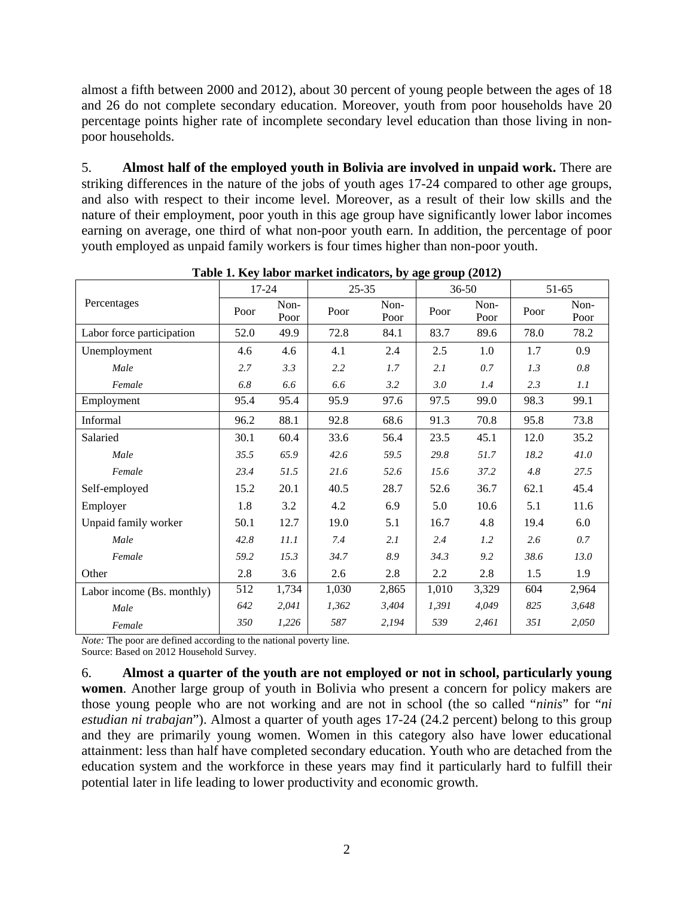almost a fifth between 2000 and 2012), about 30 percent of young people between the ages of 18 and 26 do not complete secondary education. Moreover, youth from poor households have 20 percentage points higher rate of incomplete secondary level education than those living in nonpoor households.

5. **Almost half of the employed youth in Bolivia are involved in unpaid work.** There are striking differences in the nature of the jobs of youth ages 17-24 compared to other age groups, and also with respect to their income level. Moreover, as a result of their low skills and the nature of their employment, poor youth in this age group have significantly lower labor incomes earning on average, one third of what non-poor youth earn. In addition, the percentage of poor youth employed as unpaid family workers is four times higher than non-poor youth.

|                            | 17-24 |              | $25 - 35$ |              |       | $36 - 50$    | 51-65 |              |
|----------------------------|-------|--------------|-----------|--------------|-------|--------------|-------|--------------|
| Percentages                | Poor  | Non-<br>Poor |           | Non-<br>Poor | Poor  | Non-<br>Poor | Poor  | Non-<br>Poor |
| Labor force participation  | 52.0  | 49.9         | 72.8      | 84.1         | 83.7  | 89.6         | 78.0  | 78.2         |
| Unemployment               | 4.6   | 4.6          | 4.1       | 2.4          | 2.5   | 1.0          | 1.7   | 0.9          |
| Male                       | 2.7   | 3.3          | 2.2       | 1.7          | 2.1   | 0.7          | 1.3   | 0.8          |
| Female                     | 6.8   | 6.6          | 6.6       | 3.2          | 3.0   | 1.4          | 2.3   | 1.1          |
| Employment                 | 95.4  | 95.4         | 95.9      | 97.6         | 97.5  | 99.0         | 98.3  | 99.1         |
| Informal                   | 96.2  | 88.1         | 92.8      | 68.6         | 91.3  | 70.8         | 95.8  | 73.8         |
| Salaried                   | 30.1  | 60.4         | 33.6      | 56.4         | 23.5  | 45.1         | 12.0  | 35.2         |
| Male                       | 35.5  | 65.9         | 42.6      | 59.5         | 29.8  | 51.7         | 18.2  | 41.0         |
| Female                     | 23.4  | 51.5         | 21.6      | 52.6         | 15.6  | 37.2         | 4.8   | 27.5         |
| Self-employed              | 15.2  | 20.1         | 40.5      | 28.7         | 52.6  | 36.7         | 62.1  | 45.4         |
| Employer                   | 1.8   | 3.2          | 4.2       | 6.9          | 5.0   | 10.6         | 5.1   | 11.6         |
| Unpaid family worker       | 50.1  | 12.7         | 19.0      | 5.1          | 16.7  | 4.8          | 19.4  | 6.0          |
| Male                       | 42.8  | 11.1         | 7.4       | 2.1          | 2.4   | 1.2          | 2.6   | 0.7          |
| Female                     | 59.2  | 15.3         | 34.7      | 8.9          | 34.3  | 9.2          | 38.6  | 13.0         |
| Other                      | 2.8   | 3.6          | 2.6       | 2.8          | 2.2   | 2.8          | 1.5   | 1.9          |
| Labor income (Bs. monthly) | 512   | 1,734        | 1,030     | 2,865        | 1,010 | 3,329        | 604   | 2,964        |
| Male                       | 642   | 2,041        | 1,362     | 3,404        | 1,391 | 4,049        | 825   | 3,648        |
| Female                     | 350   | 1,226        | 587       | 2,194        | 539   | 2,461        | 351   | 2,050        |

**Table 1. Key labor market indicators, by age group (2012)** 

*Note:* The poor are defined according to the national poverty line.

Source: Based on 2012 Household Survey.

6. **Almost a quarter of the youth are not employed or not in school, particularly young women**. Another large group of youth in Bolivia who present a concern for policy makers are those young people who are not working and are not in school (the so called "*ninis*" for "*ni estudian ni trabajan*"). Almost a quarter of youth ages 17-24 (24.2 percent) belong to this group and they are primarily young women. Women in this category also have lower educational attainment: less than half have completed secondary education. Youth who are detached from the education system and the workforce in these years may find it particularly hard to fulfill their potential later in life leading to lower productivity and economic growth.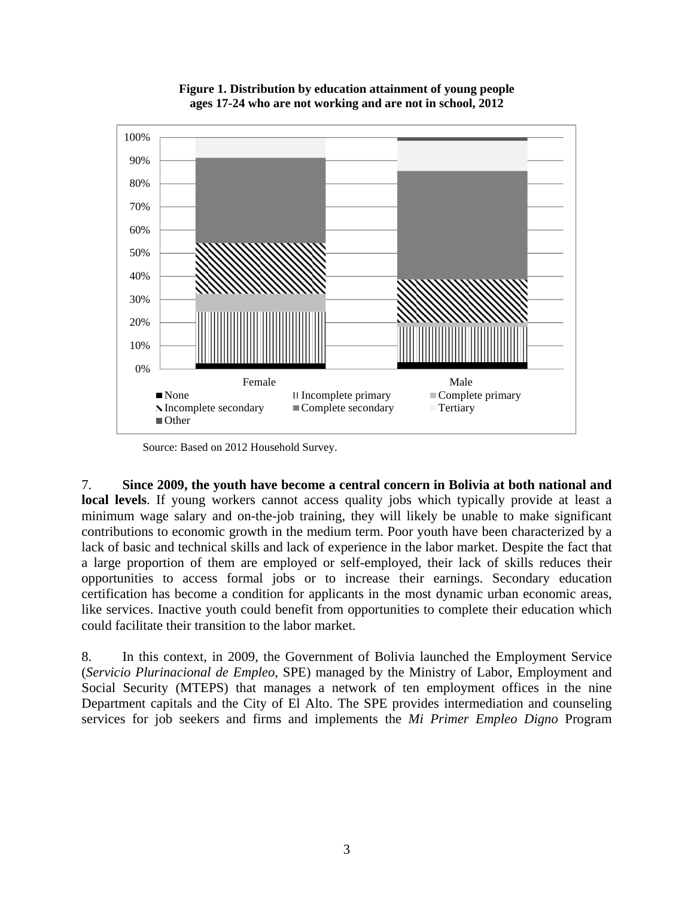

**Figure 1. Distribution by education attainment of young people ages 17-24 who are not working and are not in school, 2012** 

Source: Based on 2012 Household Survey.

7. **Since 2009, the youth have become a central concern in Bolivia at both national and local levels**. If young workers cannot access quality jobs which typically provide at least a minimum wage salary and on-the-job training, they will likely be unable to make significant contributions to economic growth in the medium term. Poor youth have been characterized by a lack of basic and technical skills and lack of experience in the labor market. Despite the fact that a large proportion of them are employed or self-employed, their lack of skills reduces their opportunities to access formal jobs or to increase their earnings. Secondary education certification has become a condition for applicants in the most dynamic urban economic areas, like services. Inactive youth could benefit from opportunities to complete their education which could facilitate their transition to the labor market.

8. In this context, in 2009, the Government of Bolivia launched the Employment Service (*Servicio Plurinacional de Empleo*, SPE) managed by the Ministry of Labor, Employment and Social Security (MTEPS) that manages a network of ten employment offices in the nine Department capitals and the City of El Alto. The SPE provides intermediation and counseling services for job seekers and firms and implements the *Mi Primer Empleo Digno* Program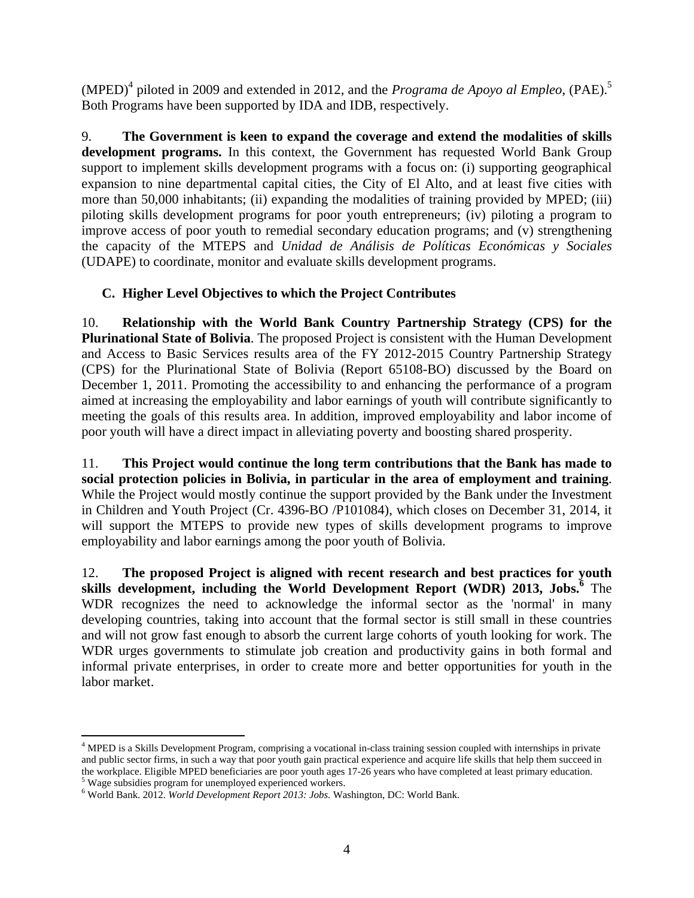$(MPED)^4$  piloted in 2009 and extended in 2012, and the *Programa de Apoyo al Empleo*,  $(PAE)$ <sup>5</sup> Both Programs have been supported by IDA and IDB, respectively.

9. **The Government is keen to expand the coverage and extend the modalities of skills development programs.** In this context, the Government has requested World Bank Group support to implement skills development programs with a focus on: (i) supporting geographical expansion to nine departmental capital cities, the City of El Alto, and at least five cities with more than 50,000 inhabitants; (ii) expanding the modalities of training provided by MPED; (iii) piloting skills development programs for poor youth entrepreneurs; (iv) piloting a program to improve access of poor youth to remedial secondary education programs; and (v) strengthening the capacity of the MTEPS and *Unidad de Análisis de Políticas Económicas y Sociales* (UDAPE) to coordinate, monitor and evaluate skills development programs.

# **C. Higher Level Objectives to which the Project Contributes**

10. **Relationship with the World Bank Country Partnership Strategy (CPS) for the Plurinational State of Bolivia**. The proposed Project is consistent with the Human Development and Access to Basic Services results area of the FY 2012-2015 Country Partnership Strategy (CPS) for the Plurinational State of Bolivia (Report 65108-BO) discussed by the Board on December 1, 2011. Promoting the accessibility to and enhancing the performance of a program aimed at increasing the employability and labor earnings of youth will contribute significantly to meeting the goals of this results area. In addition, improved employability and labor income of poor youth will have a direct impact in alleviating poverty and boosting shared prosperity.

11. **This Project would continue the long term contributions that the Bank has made to social protection policies in Bolivia, in particular in the area of employment and training**. While the Project would mostly continue the support provided by the Bank under the Investment in Children and Youth Project (Cr. 4396-BO /P101084), which closes on December 31, 2014, it will support the MTEPS to provide new types of skills development programs to improve employability and labor earnings among the poor youth of Bolivia.

12. **The proposed Project is aligned with recent research and best practices for youth**  skills development, including the World Development Report (WDR) 2013, Jobs.<sup>6</sup> The WDR recognizes the need to acknowledge the informal sector as the 'normal' in many developing countries, taking into account that the formal sector is still small in these countries and will not grow fast enough to absorb the current large cohorts of youth looking for work. The WDR urges governments to stimulate job creation and productivity gains in both formal and informal private enterprises, in order to create more and better opportunities for youth in the labor market.

 $\overline{a}$ 

<sup>&</sup>lt;sup>4</sup> MPED is a Skills Development Program, comprising a vocational in-class training session coupled with internships in private and public sector firms, in such a way that poor youth gain practical experience and acquire life skills that help them succeed in the workplace. Eligible MPED beneficiaries are poor youth ages 17-26 years who have completed at least primary education. <sup>5</sup> Wage subsidies program for unemployed experienced workers.

World Bank. 2012. *World Development Report 2013: Jobs.* Washington, DC: World Bank.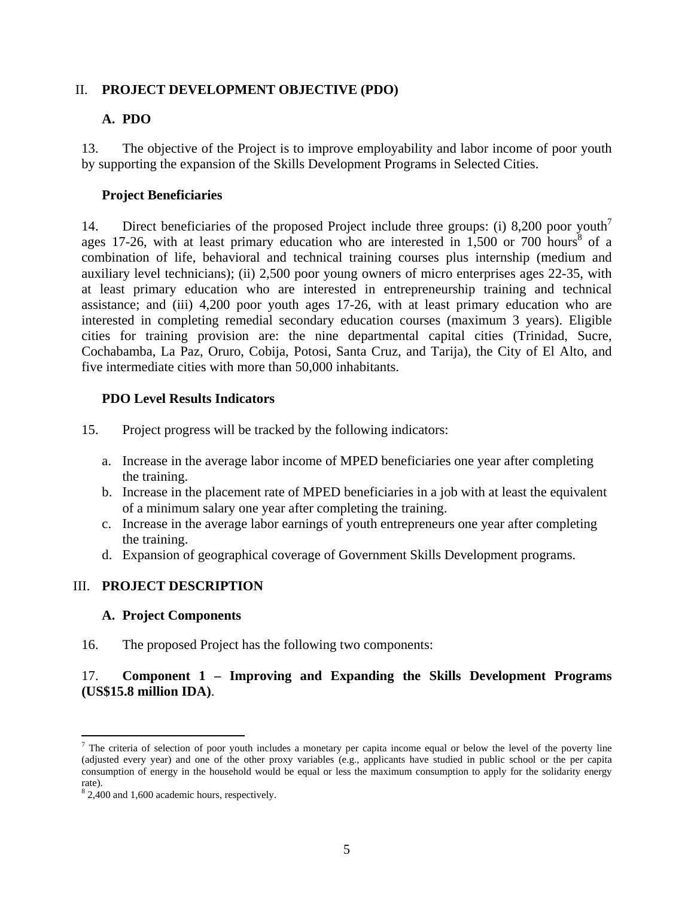# II. **PROJECT DEVELOPMENT OBJECTIVE (PDO)**

# **A. PDO**

13. The objective of the Project is to improve employability and labor income of poor youth by supporting the expansion of the Skills Development Programs in Selected Cities.

## **Project Beneficiaries**

14. Direct beneficiaries of the proposed Project include three groups: (i) 8,200 poor youth<sup>7</sup> ages 17-26, with at least primary education who are interested in  $1,500$  or 700 hours<sup>8</sup> of a combination of life, behavioral and technical training courses plus internship (medium and auxiliary level technicians); (ii) 2,500 poor young owners of micro enterprises ages 22-35, with at least primary education who are interested in entrepreneurship training and technical assistance; and (iii) 4,200 poor youth ages 17-26, with at least primary education who are interested in completing remedial secondary education courses (maximum 3 years). Eligible cities for training provision are: the nine departmental capital cities (Trinidad, Sucre, Cochabamba, La Paz, Oruro, Cobija, Potosi, Santa Cruz, and Tarija), the City of El Alto, and five intermediate cities with more than 50,000 inhabitants.

## **PDO Level Results Indicators**

- 15. Project progress will be tracked by the following indicators:
	- a. Increase in the average labor income of MPED beneficiaries one year after completing the training.
	- b. Increase in the placement rate of MPED beneficiaries in a job with at least the equivalent of a minimum salary one year after completing the training.
	- c. Increase in the average labor earnings of youth entrepreneurs one year after completing the training.
	- d. Expansion of geographical coverage of Government Skills Development programs.

# III. **PROJECT DESCRIPTION**

### **A. Project Components**

16. The proposed Project has the following two components:

# 17. **Component 1 – Improving and Expanding the Skills Development Programs (US\$15.8 million IDA)**.

 $\overline{a}$ 

<sup>&</sup>lt;sup>7</sup> The criteria of selection of poor youth includes a monetary per capita income equal or below the level of the poverty line (adjusted every year) and one of the other proxy variables (e.g., applicants have studied in public school or the per capita consumption of energy in the household would be equal or less the maximum consumption to apply for the solidarity energy rate).

<sup>&</sup>lt;sup>8</sup> 2,400 and 1,600 academic hours, respectively.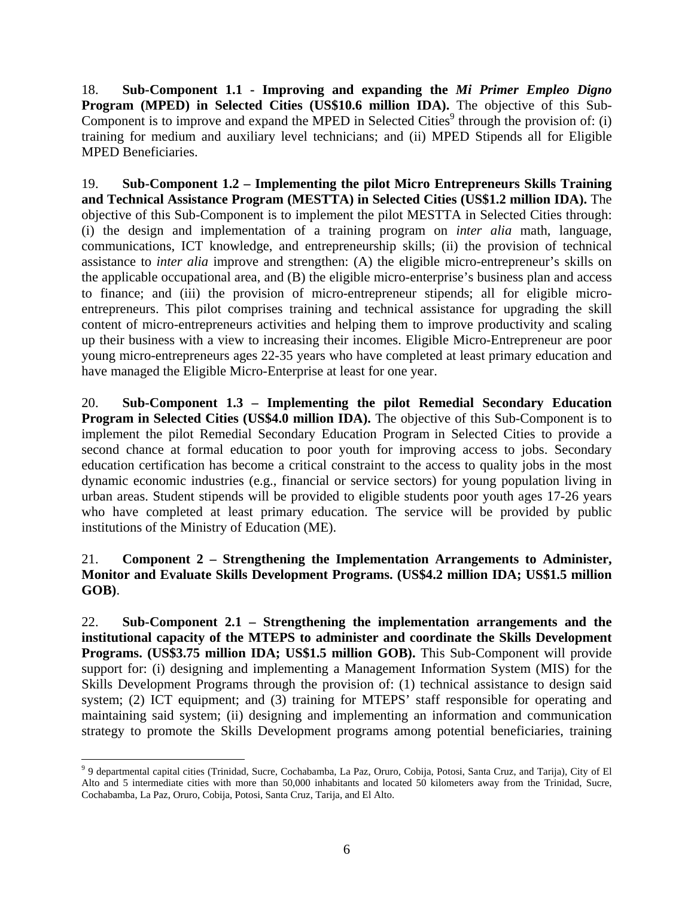18. **Sub-Component 1.1 - Improving and expanding the** *Mi Primer Empleo Digno* **Program (MPED) in Selected Cities (US\$10.6 million IDA).** The objective of this Sub-Component is to improve and expand the MPED in Selected Cities<sup>9</sup> through the provision of: (i) training for medium and auxiliary level technicians; and (ii) MPED Stipends all for Eligible MPED Beneficiaries.

19. **Sub-Component 1.2 – Implementing the pilot Micro Entrepreneurs Skills Training and Technical Assistance Program (MESTTA) in Selected Cities (US\$1.2 million IDA).** The objective of this Sub-Component is to implement the pilot MESTTA in Selected Cities through: (i) the design and implementation of a training program on *inter alia* math, language, communications, ICT knowledge, and entrepreneurship skills; (ii) the provision of technical assistance to *inter alia* improve and strengthen: (A) the eligible micro-entrepreneur's skills on the applicable occupational area, and (B) the eligible micro-enterprise's business plan and access to finance; and (iii) the provision of micro-entrepreneur stipends; all for eligible microentrepreneurs. This pilot comprises training and technical assistance for upgrading the skill content of micro-entrepreneurs activities and helping them to improve productivity and scaling up their business with a view to increasing their incomes. Eligible Micro-Entrepreneur are poor young micro-entrepreneurs ages 22-35 years who have completed at least primary education and have managed the Eligible Micro-Enterprise at least for one year.

20. **Sub-Component 1.3 – Implementing the pilot Remedial Secondary Education Program in Selected Cities (US\$4.0 million IDA).** The objective of this Sub-Component is to implement the pilot Remedial Secondary Education Program in Selected Cities to provide a second chance at formal education to poor youth for improving access to jobs. Secondary education certification has become a critical constraint to the access to quality jobs in the most dynamic economic industries (e.g., financial or service sectors) for young population living in urban areas. Student stipends will be provided to eligible students poor youth ages 17-26 years who have completed at least primary education. The service will be provided by public institutions of the Ministry of Education (ME).

# 21. **Component 2 – Strengthening the Implementation Arrangements to Administer, Monitor and Evaluate Skills Development Programs. (US\$4.2 million IDA; US\$1.5 million GOB)**.

22. **Sub-Component 2.1 – Strengthening the implementation arrangements and the institutional capacity of the MTEPS to administer and coordinate the Skills Development Programs. (US\$3.75 million IDA; US\$1.5 million GOB).** This Sub-Component will provide support for: (i) designing and implementing a Management Information System (MIS) for the Skills Development Programs through the provision of: (1) technical assistance to design said system; (2) ICT equipment; and (3) training for MTEPS' staff responsible for operating and maintaining said system; (ii) designing and implementing an information and communication strategy to promote the Skills Development programs among potential beneficiaries, training

<sup>&</sup>lt;sup>9</sup> 9 departmental capital cities (Trinidad, Sucre, Cochabamba, La Paz, Oruro, Cobija, Potosi, Santa Cruz, and Tarija), City of El Alto and 5 intermediate cities with more than 50,000 inhabitants and located 50 kilometers away from the Trinidad, Sucre, Cochabamba, La Paz, Oruro, Cobija, Potosi, Santa Cruz, Tarija, and El Alto.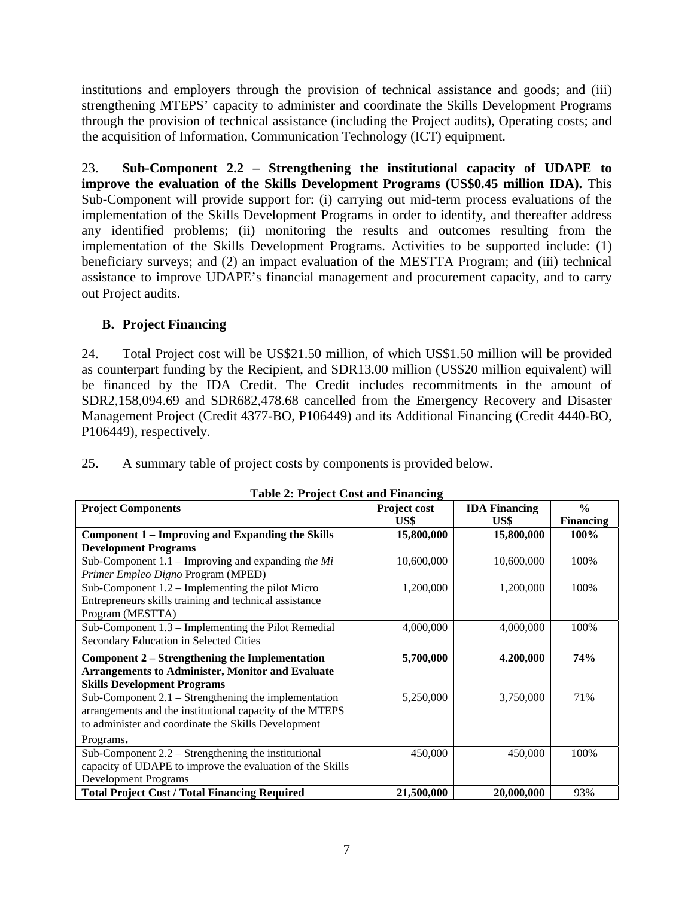institutions and employers through the provision of technical assistance and goods; and (iii) strengthening MTEPS' capacity to administer and coordinate the Skills Development Programs through the provision of technical assistance (including the Project audits), Operating costs; and the acquisition of Information, Communication Technology (ICT) equipment.

23. **Sub-Component 2.2 – Strengthening the institutional capacity of UDAPE to improve the evaluation of the Skills Development Programs (US\$0.45 million IDA).** This Sub-Component will provide support for: (i) carrying out mid-term process evaluations of the implementation of the Skills Development Programs in order to identify, and thereafter address any identified problems; (ii) monitoring the results and outcomes resulting from the implementation of the Skills Development Programs. Activities to be supported include: (1) beneficiary surveys; and (2) an impact evaluation of the MESTTA Program; and (iii) technical assistance to improve UDAPE's financial management and procurement capacity, and to carry out Project audits.

# **B. Project Financing**

24. Total Project cost will be US\$21.50 million, of which US\$1.50 million will be provided as counterpart funding by the Recipient, and SDR13.00 million (US\$20 million equivalent) will be financed by the IDA Credit. The Credit includes recommitments in the amount of SDR2,158,094.69 and SDR682,478.68 cancelled from the Emergency Recovery and Disaster Management Project (Credit 4377-BO, P106449) and its Additional Financing (Credit 4440-BO, P106449), respectively.

25. A summary table of project costs by components is provided below.

| $\frac{1}{2}$ and $\frac{1}{2}$ and $\frac{1}{2}$ and $\frac{1}{2}$ manually<br><b>Project Components</b> | <b>Project cost</b> | <b>IDA</b> Financing | $\frac{0}{0}$    |
|-----------------------------------------------------------------------------------------------------------|---------------------|----------------------|------------------|
|                                                                                                           | US\$                | US\$                 | <b>Financing</b> |
| <b>Component 1 – Improving and Expanding the Skills</b>                                                   | 15,800,000          | 15,800,000           | 100%             |
| <b>Development Programs</b>                                                                               |                     |                      |                  |
| Sub-Component $1.1$ – Improving and expanding the Mi                                                      | 10,600,000          | 10,600,000           | 100%             |
| Primer Empleo Digno Program (MPED)                                                                        |                     |                      |                  |
| Sub-Component $1.2$ – Implementing the pilot Micro                                                        | 1,200,000           | 1,200,000            | 100%             |
| Entrepreneurs skills training and technical assistance                                                    |                     |                      |                  |
| Program (MESTTA)                                                                                          |                     |                      |                  |
| Sub-Component $1.3$ – Implementing the Pilot Remedial                                                     | 4,000,000           | 4,000,000            | 100%             |
| Secondary Education in Selected Cities                                                                    |                     |                      |                  |
| Component 2 – Strengthening the Implementation                                                            | 5,700,000           | 4.200,000            | 74%              |
| <b>Arrangements to Administer, Monitor and Evaluate</b>                                                   |                     |                      |                  |
| <b>Skills Development Programs</b>                                                                        |                     |                      |                  |
| Sub-Component $2.1$ – Strengthening the implementation                                                    | 5,250,000           | 3,750,000            | 71%              |
| arrangements and the institutional capacity of the MTEPS                                                  |                     |                      |                  |
| to administer and coordinate the Skills Development                                                       |                     |                      |                  |
| Programs.                                                                                                 |                     |                      |                  |
| Sub-Component $2.2$ – Strengthening the institutional                                                     | 450,000             | 450,000              | 100%             |
| capacity of UDAPE to improve the evaluation of the Skills                                                 |                     |                      |                  |
| <b>Development Programs</b>                                                                               |                     |                      |                  |
| <b>Total Project Cost / Total Financing Required</b>                                                      | 21,500,000          | 20,000,000           | 93%              |

**Table 2: Project Cost and Financing**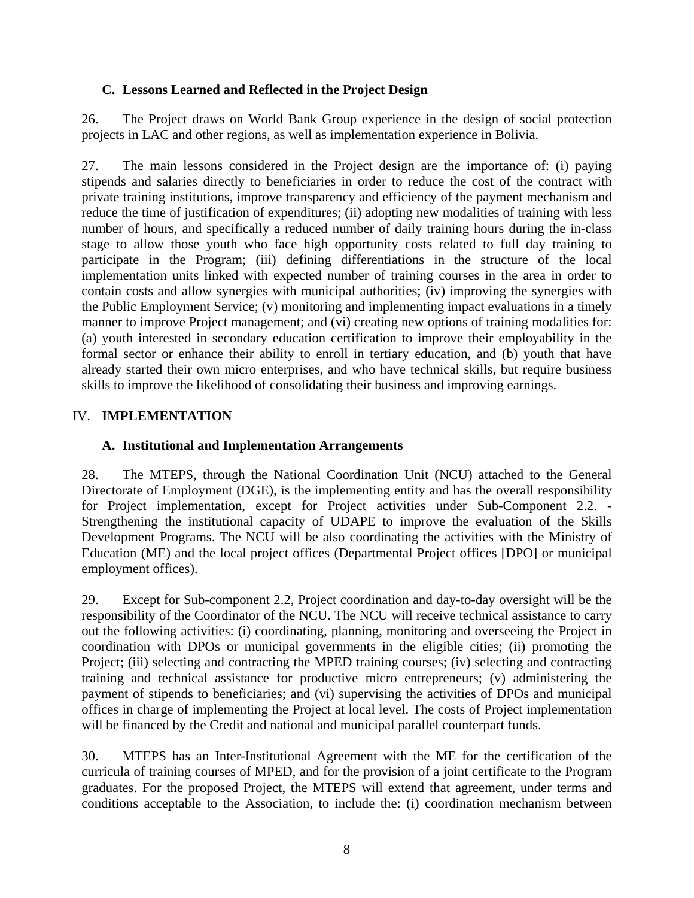# **C. Lessons Learned and Reflected in the Project Design**

26. The Project draws on World Bank Group experience in the design of social protection projects in LAC and other regions, as well as implementation experience in Bolivia.

27. The main lessons considered in the Project design are the importance of: (i) paying stipends and salaries directly to beneficiaries in order to reduce the cost of the contract with private training institutions, improve transparency and efficiency of the payment mechanism and reduce the time of justification of expenditures; (ii) adopting new modalities of training with less number of hours, and specifically a reduced number of daily training hours during the in-class stage to allow those youth who face high opportunity costs related to full day training to participate in the Program; (iii) defining differentiations in the structure of the local implementation units linked with expected number of training courses in the area in order to contain costs and allow synergies with municipal authorities; (iv) improving the synergies with the Public Employment Service; (v) monitoring and implementing impact evaluations in a timely manner to improve Project management; and (vi) creating new options of training modalities for: (a) youth interested in secondary education certification to improve their employability in the formal sector or enhance their ability to enroll in tertiary education, and (b) youth that have already started their own micro enterprises, and who have technical skills, but require business skills to improve the likelihood of consolidating their business and improving earnings.

## IV. **IMPLEMENTATION**

### **A. Institutional and Implementation Arrangements**

28. The MTEPS, through the National Coordination Unit (NCU) attached to the General Directorate of Employment (DGE), is the implementing entity and has the overall responsibility for Project implementation, except for Project activities under Sub-Component 2.2. - Strengthening the institutional capacity of UDAPE to improve the evaluation of the Skills Development Programs. The NCU will be also coordinating the activities with the Ministry of Education (ME) and the local project offices (Departmental Project offices [DPO] or municipal employment offices).

29. Except for Sub-component 2.2, Project coordination and day-to-day oversight will be the responsibility of the Coordinator of the NCU. The NCU will receive technical assistance to carry out the following activities: (i) coordinating, planning, monitoring and overseeing the Project in coordination with DPOs or municipal governments in the eligible cities; (ii) promoting the Project; (iii) selecting and contracting the MPED training courses; (iv) selecting and contracting training and technical assistance for productive micro entrepreneurs; (v) administering the payment of stipends to beneficiaries; and (vi) supervising the activities of DPOs and municipal offices in charge of implementing the Project at local level. The costs of Project implementation will be financed by the Credit and national and municipal parallel counterpart funds.

30. MTEPS has an Inter-Institutional Agreement with the ME for the certification of the curricula of training courses of MPED, and for the provision of a joint certificate to the Program graduates. For the proposed Project, the MTEPS will extend that agreement, under terms and conditions acceptable to the Association, to include the: (i) coordination mechanism between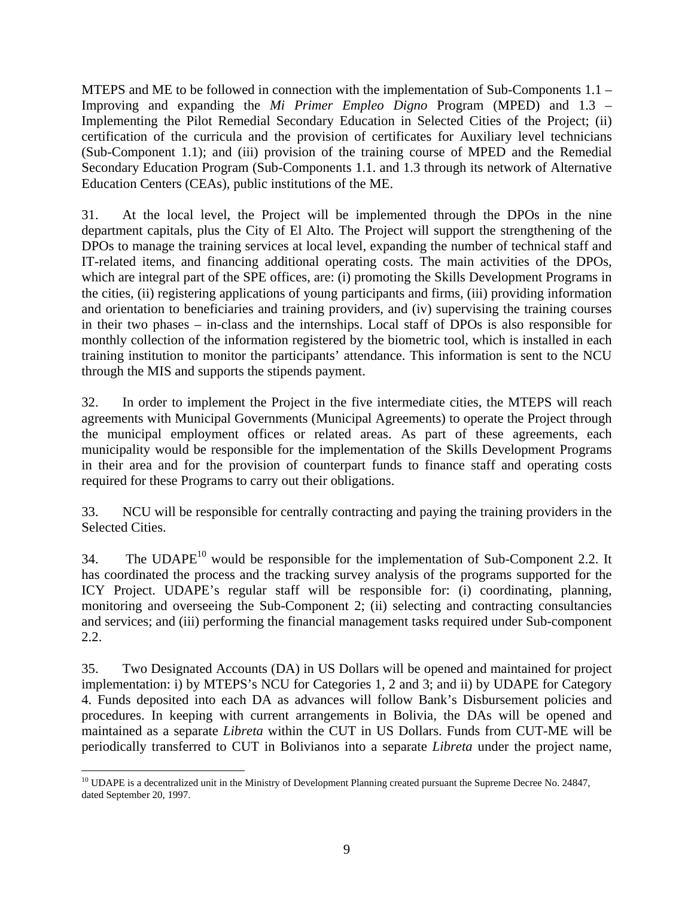MTEPS and ME to be followed in connection with the implementation of Sub-Components 1.1 – Improving and expanding the *Mi Primer Empleo Digno* Program (MPED) and 1.3 – Implementing the Pilot Remedial Secondary Education in Selected Cities of the Project; (ii) certification of the curricula and the provision of certificates for Auxiliary level technicians (Sub-Component 1.1); and (iii) provision of the training course of MPED and the Remedial Secondary Education Program (Sub-Components 1.1. and 1.3 through its network of Alternative Education Centers (CEAs), public institutions of the ME.

31. At the local level, the Project will be implemented through the DPOs in the nine department capitals, plus the City of El Alto. The Project will support the strengthening of the DPOs to manage the training services at local level, expanding the number of technical staff and IT-related items, and financing additional operating costs. The main activities of the DPOs, which are integral part of the SPE offices, are: (i) promoting the Skills Development Programs in the cities, (ii) registering applications of young participants and firms, (iii) providing information and orientation to beneficiaries and training providers, and (iv) supervising the training courses in their two phases – in-class and the internships. Local staff of DPOs is also responsible for monthly collection of the information registered by the biometric tool, which is installed in each training institution to monitor the participants' attendance. This information is sent to the NCU through the MIS and supports the stipends payment.

32. In order to implement the Project in the five intermediate cities, the MTEPS will reach agreements with Municipal Governments (Municipal Agreements) to operate the Project through the municipal employment offices or related areas. As part of these agreements, each municipality would be responsible for the implementation of the Skills Development Programs in their area and for the provision of counterpart funds to finance staff and operating costs required for these Programs to carry out their obligations.

33. NCU will be responsible for centrally contracting and paying the training providers in the Selected Cities.

34. The UDAPE<sup>10</sup> would be responsible for the implementation of Sub-Component 2.2. It has coordinated the process and the tracking survey analysis of the programs supported for the ICY Project. UDAPE's regular staff will be responsible for: (i) coordinating, planning, monitoring and overseeing the Sub-Component 2; (ii) selecting and contracting consultancies and services; and (iii) performing the financial management tasks required under Sub-component 2.2.

35. Two Designated Accounts (DA) in US Dollars will be opened and maintained for project implementation: i) by MTEPS's NCU for Categories 1, 2 and 3; and ii) by UDAPE for Category 4. Funds deposited into each DA as advances will follow Bank's Disbursement policies and procedures. In keeping with current arrangements in Bolivia, the DAs will be opened and maintained as a separate *Libreta* within the CUT in US Dollars. Funds from CUT-ME will be periodically transferred to CUT in Bolivianos into a separate *Libreta* under the project name,

 $\overline{a}$  $10$  UDAPE is a decentralized unit in the Ministry of Development Planning created pursuant the Supreme Decree No. 24847, dated September 20, 1997.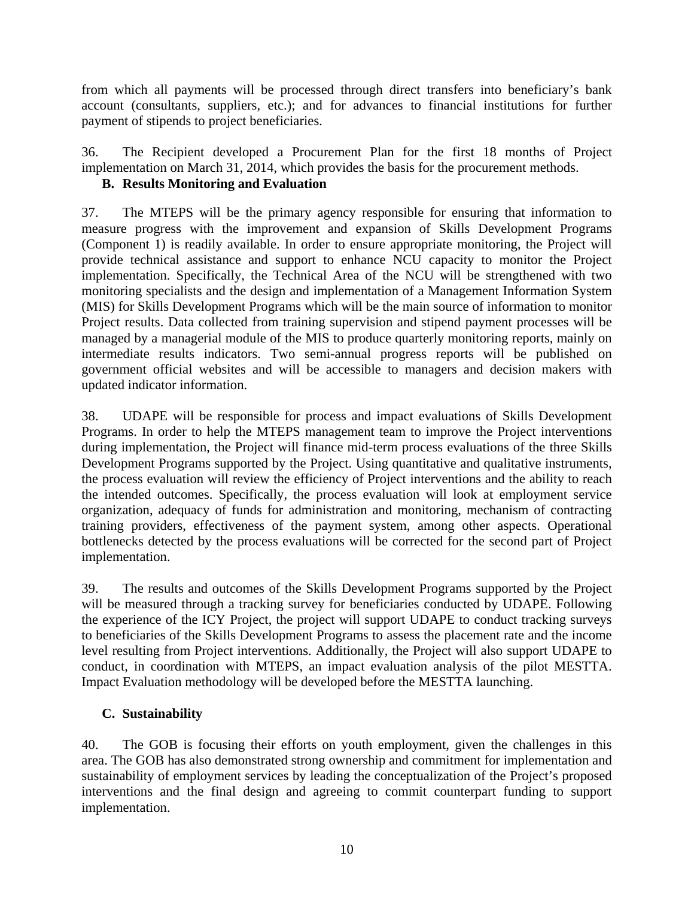from which all payments will be processed through direct transfers into beneficiary's bank account (consultants, suppliers, etc.); and for advances to financial institutions for further payment of stipends to project beneficiaries.

36. The Recipient developed a Procurement Plan for the first 18 months of Project implementation on March 31, 2014, which provides the basis for the procurement methods.

# **B. Results Monitoring and Evaluation**

37. The MTEPS will be the primary agency responsible for ensuring that information to measure progress with the improvement and expansion of Skills Development Programs (Component 1) is readily available. In order to ensure appropriate monitoring, the Project will provide technical assistance and support to enhance NCU capacity to monitor the Project implementation. Specifically, the Technical Area of the NCU will be strengthened with two monitoring specialists and the design and implementation of a Management Information System (MIS) for Skills Development Programs which will be the main source of information to monitor Project results. Data collected from training supervision and stipend payment processes will be managed by a managerial module of the MIS to produce quarterly monitoring reports, mainly on intermediate results indicators. Two semi-annual progress reports will be published on government official websites and will be accessible to managers and decision makers with updated indicator information.

38. UDAPE will be responsible for process and impact evaluations of Skills Development Programs. In order to help the MTEPS management team to improve the Project interventions during implementation, the Project will finance mid-term process evaluations of the three Skills Development Programs supported by the Project. Using quantitative and qualitative instruments, the process evaluation will review the efficiency of Project interventions and the ability to reach the intended outcomes. Specifically, the process evaluation will look at employment service organization, adequacy of funds for administration and monitoring, mechanism of contracting training providers, effectiveness of the payment system, among other aspects. Operational bottlenecks detected by the process evaluations will be corrected for the second part of Project implementation.

39. The results and outcomes of the Skills Development Programs supported by the Project will be measured through a tracking survey for beneficiaries conducted by UDAPE. Following the experience of the ICY Project, the project will support UDAPE to conduct tracking surveys to beneficiaries of the Skills Development Programs to assess the placement rate and the income level resulting from Project interventions. Additionally, the Project will also support UDAPE to conduct, in coordination with MTEPS, an impact evaluation analysis of the pilot MESTTA. Impact Evaluation methodology will be developed before the MESTTA launching.

# **C. Sustainability**

40. The GOB is focusing their efforts on youth employment, given the challenges in this area. The GOB has also demonstrated strong ownership and commitment for implementation and sustainability of employment services by leading the conceptualization of the Project's proposed interventions and the final design and agreeing to commit counterpart funding to support implementation.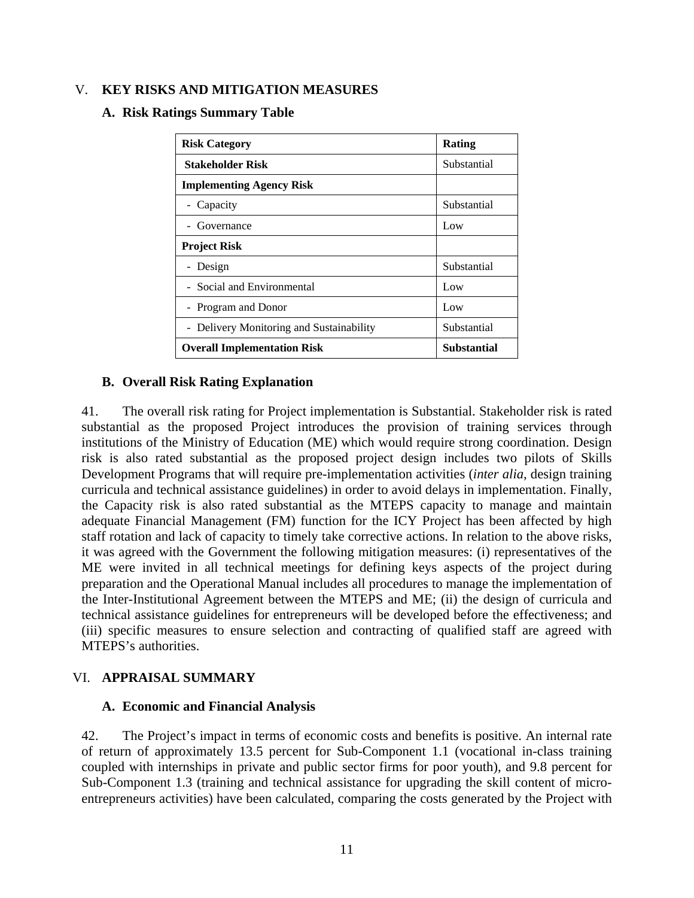## V. **KEY RISKS AND MITIGATION MEASURES**

### **A. Risk Ratings Summary Table**

| <b>Risk Category</b>                              | Rating      |  |  |  |  |
|---------------------------------------------------|-------------|--|--|--|--|
| <b>Stakeholder Risk</b>                           | Substantial |  |  |  |  |
| <b>Implementing Agency Risk</b>                   |             |  |  |  |  |
| - Capacity                                        | Substantial |  |  |  |  |
| - Governance                                      | Low         |  |  |  |  |
| <b>Project Risk</b>                               |             |  |  |  |  |
| - Design                                          | Substantial |  |  |  |  |
| - Social and Environmental                        | Low         |  |  |  |  |
| - Program and Donor                               | Low         |  |  |  |  |
| - Delivery Monitoring and Sustainability          | Substantial |  |  |  |  |
| Substantial<br><b>Overall Implementation Risk</b> |             |  |  |  |  |

### **B. Overall Risk Rating Explanation**

41. The overall risk rating for Project implementation is Substantial. Stakeholder risk is rated substantial as the proposed Project introduces the provision of training services through institutions of the Ministry of Education (ME) which would require strong coordination. Design risk is also rated substantial as the proposed project design includes two pilots of Skills Development Programs that will require pre-implementation activities (*inter alia*, design training curricula and technical assistance guidelines) in order to avoid delays in implementation. Finally, the Capacity risk is also rated substantial as the MTEPS capacity to manage and maintain adequate Financial Management (FM) function for the ICY Project has been affected by high staff rotation and lack of capacity to timely take corrective actions. In relation to the above risks, it was agreed with the Government the following mitigation measures: (i) representatives of the ME were invited in all technical meetings for defining keys aspects of the project during preparation and the Operational Manual includes all procedures to manage the implementation of the Inter-Institutional Agreement between the MTEPS and ME; (ii) the design of curricula and technical assistance guidelines for entrepreneurs will be developed before the effectiveness; and (iii) specific measures to ensure selection and contracting of qualified staff are agreed with MTEPS's authorities.

### VI. **APPRAISAL SUMMARY**

### **A. Economic and Financial Analysis**

42. The Project's impact in terms of economic costs and benefits is positive. An internal rate of return of approximately 13.5 percent for Sub-Component 1.1 (vocational in-class training coupled with internships in private and public sector firms for poor youth), and 9.8 percent for Sub-Component 1.3 (training and technical assistance for upgrading the skill content of microentrepreneurs activities) have been calculated, comparing the costs generated by the Project with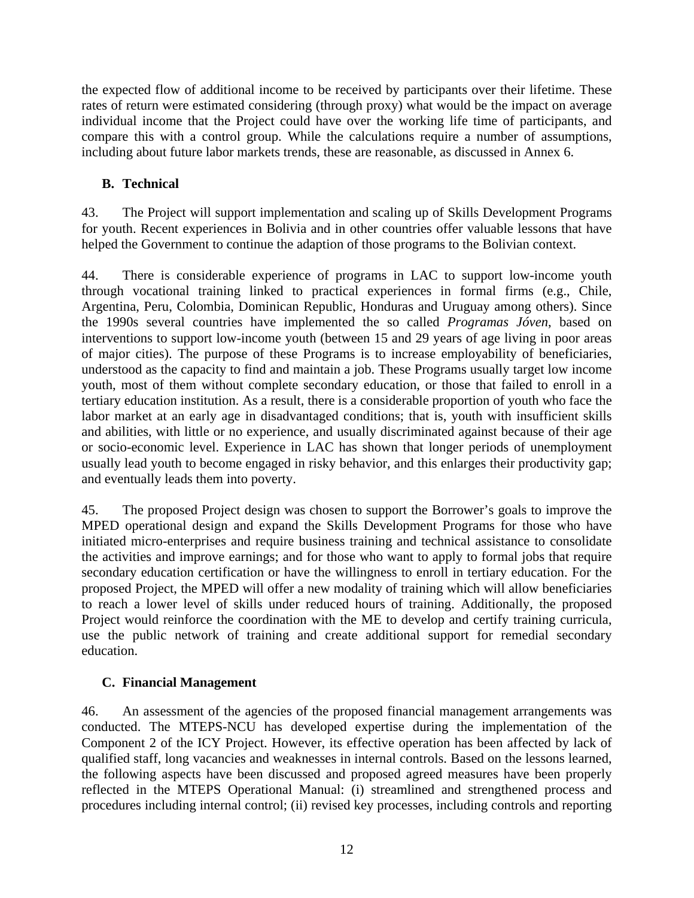the expected flow of additional income to be received by participants over their lifetime. These rates of return were estimated considering (through proxy) what would be the impact on average individual income that the Project could have over the working life time of participants, and compare this with a control group. While the calculations require a number of assumptions, including about future labor markets trends, these are reasonable, as discussed in Annex 6.

# **B. Technical**

43. The Project will support implementation and scaling up of Skills Development Programs for youth. Recent experiences in Bolivia and in other countries offer valuable lessons that have helped the Government to continue the adaption of those programs to the Bolivian context.

44. There is considerable experience of programs in LAC to support low-income youth through vocational training linked to practical experiences in formal firms (e.g., Chile, Argentina, Peru, Colombia, Dominican Republic, Honduras and Uruguay among others). Since the 1990s several countries have implemented the so called *Programas Jóven*, based on interventions to support low-income youth (between 15 and 29 years of age living in poor areas of major cities). The purpose of these Programs is to increase employability of beneficiaries, understood as the capacity to find and maintain a job. These Programs usually target low income youth, most of them without complete secondary education, or those that failed to enroll in a tertiary education institution. As a result, there is a considerable proportion of youth who face the labor market at an early age in disadvantaged conditions; that is, youth with insufficient skills and abilities, with little or no experience, and usually discriminated against because of their age or socio-economic level. Experience in LAC has shown that longer periods of unemployment usually lead youth to become engaged in risky behavior, and this enlarges their productivity gap; and eventually leads them into poverty.

45. The proposed Project design was chosen to support the Borrower's goals to improve the MPED operational design and expand the Skills Development Programs for those who have initiated micro-enterprises and require business training and technical assistance to consolidate the activities and improve earnings; and for those who want to apply to formal jobs that require secondary education certification or have the willingness to enroll in tertiary education. For the proposed Project, the MPED will offer a new modality of training which will allow beneficiaries to reach a lower level of skills under reduced hours of training. Additionally, the proposed Project would reinforce the coordination with the ME to develop and certify training curricula, use the public network of training and create additional support for remedial secondary education.

# **C. Financial Management**

46. An assessment of the agencies of the proposed financial management arrangements was conducted. The MTEPS-NCU has developed expertise during the implementation of the Component 2 of the ICY Project. However, its effective operation has been affected by lack of qualified staff, long vacancies and weaknesses in internal controls. Based on the lessons learned, the following aspects have been discussed and proposed agreed measures have been properly reflected in the MTEPS Operational Manual: (i) streamlined and strengthened process and procedures including internal control; (ii) revised key processes, including controls and reporting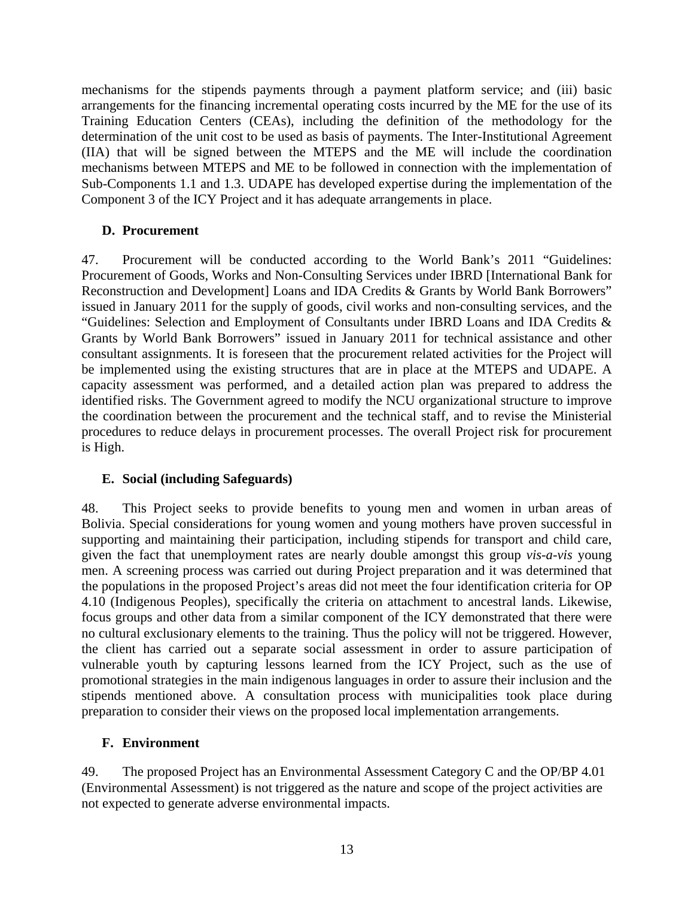mechanisms for the stipends payments through a payment platform service; and (iii) basic arrangements for the financing incremental operating costs incurred by the ME for the use of its Training Education Centers (CEAs), including the definition of the methodology for the determination of the unit cost to be used as basis of payments. The Inter-Institutional Agreement (IIA) that will be signed between the MTEPS and the ME will include the coordination mechanisms between MTEPS and ME to be followed in connection with the implementation of Sub-Components 1.1 and 1.3. UDAPE has developed expertise during the implementation of the Component 3 of the ICY Project and it has adequate arrangements in place.

## **D. Procurement**

47. Procurement will be conducted according to the World Bank's 2011 "Guidelines: Procurement of Goods, Works and Non-Consulting Services under IBRD [International Bank for Reconstruction and Development] Loans and IDA Credits & Grants by World Bank Borrowers" issued in January 2011 for the supply of goods, civil works and non-consulting services, and the "Guidelines: Selection and Employment of Consultants under IBRD Loans and IDA Credits & Grants by World Bank Borrowers" issued in January 2011 for technical assistance and other consultant assignments. It is foreseen that the procurement related activities for the Project will be implemented using the existing structures that are in place at the MTEPS and UDAPE. A capacity assessment was performed, and a detailed action plan was prepared to address the identified risks. The Government agreed to modify the NCU organizational structure to improve the coordination between the procurement and the technical staff, and to revise the Ministerial procedures to reduce delays in procurement processes. The overall Project risk for procurement is High.

# **E. Social (including Safeguards)**

48. This Project seeks to provide benefits to young men and women in urban areas of Bolivia. Special considerations for young women and young mothers have proven successful in supporting and maintaining their participation, including stipends for transport and child care, given the fact that unemployment rates are nearly double amongst this group *vis-a-vis* young men. A screening process was carried out during Project preparation and it was determined that the populations in the proposed Project's areas did not meet the four identification criteria for OP 4.10 (Indigenous Peoples), specifically the criteria on attachment to ancestral lands. Likewise, focus groups and other data from a similar component of the ICY demonstrated that there were no cultural exclusionary elements to the training. Thus the policy will not be triggered. However, the client has carried out a separate social assessment in order to assure participation of vulnerable youth by capturing lessons learned from the ICY Project, such as the use of promotional strategies in the main indigenous languages in order to assure their inclusion and the stipends mentioned above. A consultation process with municipalities took place during preparation to consider their views on the proposed local implementation arrangements.

# **F. Environment**

49. The proposed Project has an Environmental Assessment Category C and the OP/BP 4.01 (Environmental Assessment) is not triggered as the nature and scope of the project activities are not expected to generate adverse environmental impacts.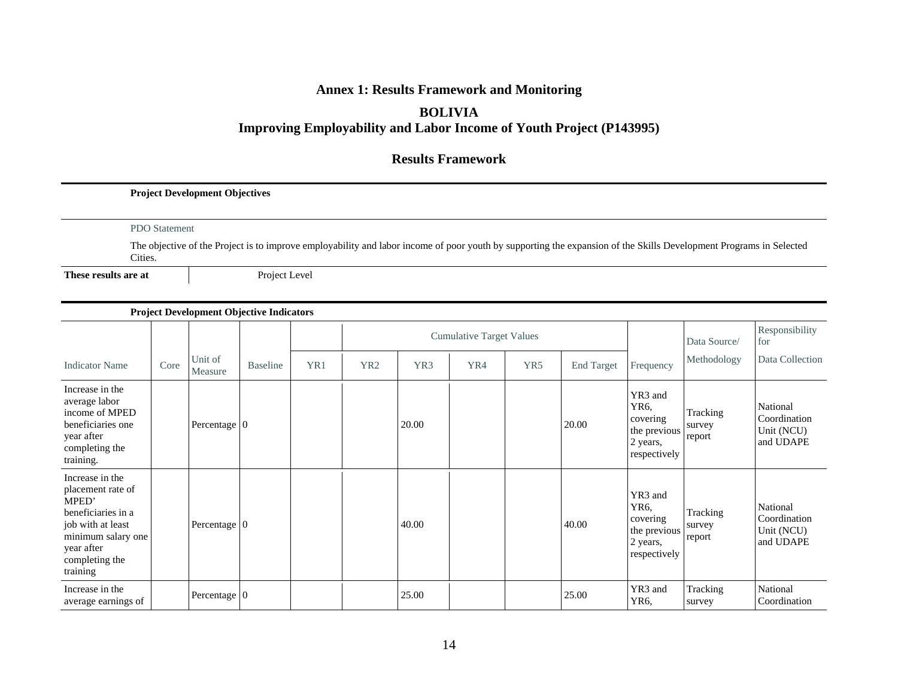# **Annex 1: Results Framework and Monitoring**

### **BOLIVIA**

# **Improving Employability and Labor Income of Youth Project (P143995)**

### **Results Framework**

#### **Project Development Objectives**

#### PDO Statement

The objective of the Project is to improve employability and labor income of poor youth by supporting the expansion of the Skills Development Programs in Selected Cities.

**These results are at**

Project Level

### **Project Development Objective Indicators**

|                                                                                                                                                            |      |                        |                 |     |                 |       | <b>Cumulative Target Values</b> |     |                   |                                                                                      | Data Source/                 | Responsibility<br>for                               |
|------------------------------------------------------------------------------------------------------------------------------------------------------------|------|------------------------|-----------------|-----|-----------------|-------|---------------------------------|-----|-------------------|--------------------------------------------------------------------------------------|------------------------------|-----------------------------------------------------|
| <b>Indicator Name</b>                                                                                                                                      | Core | Unit of<br>Measure     | <b>Baseline</b> | YR1 | YR <sub>2</sub> | YR3   | YR4                             | YR5 | <b>End Target</b> | Frequency                                                                            | Methodology                  | Data Collection                                     |
| Increase in the<br>average labor<br>income of MPED<br>beneficiaries one<br>year after<br>completing the<br>training.                                       |      | Percentage $ 0\rangle$ |                 |     |                 | 20.00 |                                 |     | 20.00             | YR3 and<br>YR <sub>6</sub> .<br>covering<br>the previous<br>2 years,<br>respectively | Tracking<br>survey<br>report | National<br>Coordination<br>Unit (NCU)<br>and UDAPE |
| Increase in the<br>placement rate of<br>MPED'<br>beneficiaries in a<br>job with at least<br>minimum salary one<br>year after<br>completing the<br>training |      | Percentage $ 0\rangle$ |                 |     |                 | 40.00 |                                 |     | 40.00             | YR3 and<br>YR <sub>6</sub> .<br>covering<br>the previous<br>2 years,<br>respectively | Tracking<br>survey<br>report | National<br>Coordination<br>Unit (NCU)<br>and UDAPE |
| Increase in the<br>average earnings of                                                                                                                     |      | Percentage $ 0\rangle$ |                 |     |                 | 25.00 |                                 |     | 25.00             | YR3 and<br>YR <sub>6</sub>                                                           | Tracking<br>survey           | National<br>Coordination                            |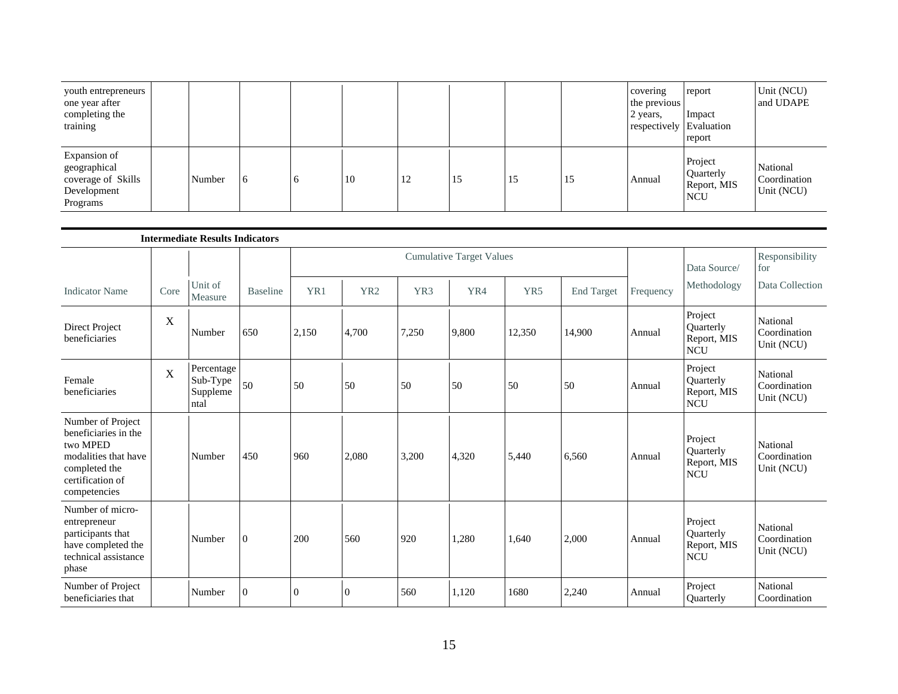| youth entrepreneurs<br>one year after<br>completing the<br>training           |        |    |    |    |    |    |    | covering<br>the previous<br>2 years,<br>respectively Evaluation | report<br>Impact<br>report                        | Unit (NCU)<br>and UDAPE                |
|-------------------------------------------------------------------------------|--------|----|----|----|----|----|----|-----------------------------------------------------------------|---------------------------------------------------|----------------------------------------|
| Expansion of<br>geographical<br>coverage of Skills<br>Development<br>Programs | Number | 16 | 10 | 12 | 15 | 15 | 15 | Annual                                                          | Project<br>Quarterly<br>Report, MIS<br><b>NCU</b> | National<br>Coordination<br>Unit (NCU) |

|                                                                                                                                    |      | <b>Intermediate Results Indicators</b>     |                 |          |                 |                 |                                 |        |                   |           |                                                   |                                        |
|------------------------------------------------------------------------------------------------------------------------------------|------|--------------------------------------------|-----------------|----------|-----------------|-----------------|---------------------------------|--------|-------------------|-----------|---------------------------------------------------|----------------------------------------|
|                                                                                                                                    |      |                                            |                 |          |                 |                 | <b>Cumulative Target Values</b> |        |                   |           | Data Source/                                      | Responsibility<br>for                  |
| <b>Indicator Name</b>                                                                                                              | Core | Unit of<br>Measure                         | <b>Baseline</b> | YR1      | YR <sub>2</sub> | YR <sub>3</sub> | YR4                             | YR5    | <b>End Target</b> | Frequency | Methodology                                       | Data Collection                        |
| Direct Project<br>beneficiaries                                                                                                    | X    | Number                                     | 650             | 2,150    | 4,700           | 7,250           | 9,800                           | 12,350 | 14,900            | Annual    | Project<br>Quarterly<br>Report, MIS<br><b>NCU</b> | National<br>Coordination<br>Unit (NCU) |
| Female<br>beneficiaries                                                                                                            | X    | Percentage<br>Sub-Type<br>Suppleme<br>ntal | 50              | 50       | 50              | 50              | 50                              | 50     | 50                | Annual    | Project<br>Quarterly<br>Report, MIS<br><b>NCU</b> | National<br>Coordination<br>Unit (NCU) |
| Number of Project<br>beneficiaries in the<br>two MPED<br>modalities that have<br>completed the<br>certification of<br>competencies |      | Number                                     | 450             | 960      | 2,080           | 3,200           | 4,320                           | 5,440  | 6,560             | Annual    | Project<br>Quarterly<br>Report, MIS<br><b>NCU</b> | National<br>Coordination<br>Unit (NCU) |
| Number of micro-<br>entrepreneur<br>participants that<br>have completed the<br>technical assistance<br>phase                       |      | Number                                     | $\mathbf{0}$    | 200      | 560             | 920             | 1,280                           | 1,640  | 2,000             | Annual    | Project<br>Quarterly<br>Report, MIS<br><b>NCU</b> | National<br>Coordination<br>Unit (NCU) |
| Number of Project<br>beneficiaries that                                                                                            |      | Number                                     | $\overline{0}$  | $\theta$ | $\overline{0}$  | 560             | 1,120                           | 1680   | 2,240             | Annual    | Project<br>Quarterly                              | National<br>Coordination               |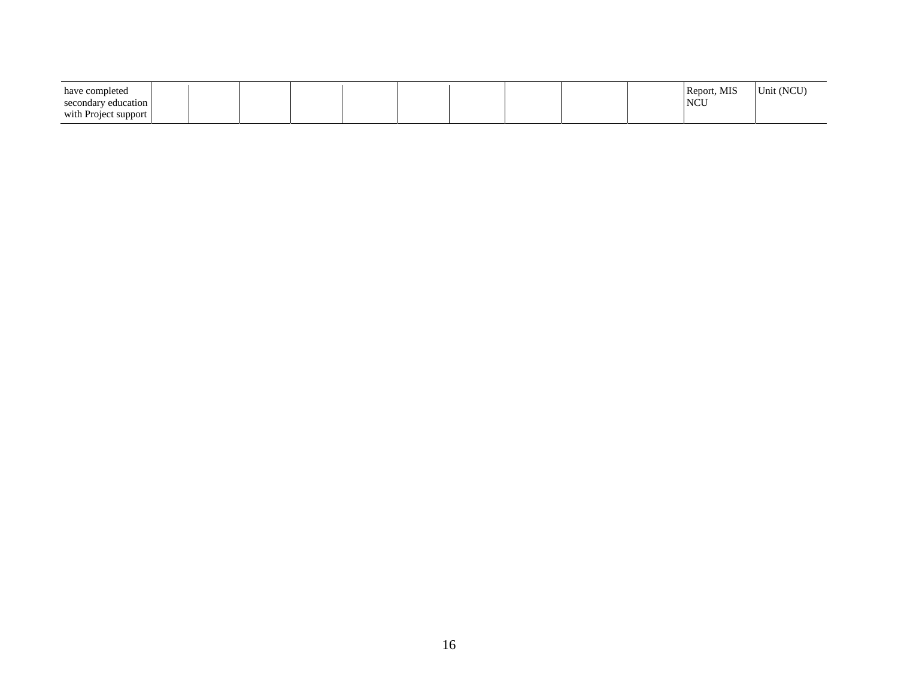| have completed<br><b>NCU</b><br>secondary education<br>with Project support | Report, MIS<br>Unit (NCU) |
|-----------------------------------------------------------------------------|---------------------------|
|-----------------------------------------------------------------------------|---------------------------|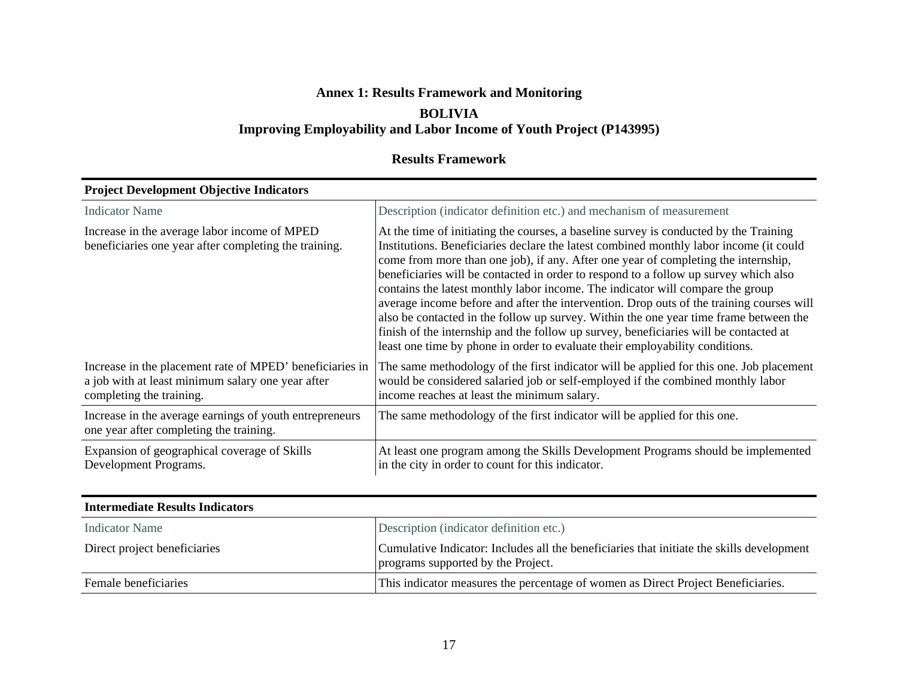# **Annex 1: Results Framework and Monitoring BOLIVIA**

# **Improving Employability and Labor Income of Youth Project (P143995)**

# **Results Framework**

| Troject Development Objective Indicators                                                                                                  |                                                                                                                                                                                                                                                                                                                                                                                                                                                                                                                                                                                                                                                                                                                                                                                                               |  |  |  |  |  |  |
|-------------------------------------------------------------------------------------------------------------------------------------------|---------------------------------------------------------------------------------------------------------------------------------------------------------------------------------------------------------------------------------------------------------------------------------------------------------------------------------------------------------------------------------------------------------------------------------------------------------------------------------------------------------------------------------------------------------------------------------------------------------------------------------------------------------------------------------------------------------------------------------------------------------------------------------------------------------------|--|--|--|--|--|--|
| <b>Indicator Name</b>                                                                                                                     | Description (indicator definition etc.) and mechanism of measurement                                                                                                                                                                                                                                                                                                                                                                                                                                                                                                                                                                                                                                                                                                                                          |  |  |  |  |  |  |
| Increase in the average labor income of MPED<br>beneficiaries one year after completing the training.                                     | At the time of initiating the courses, a baseline survey is conducted by the Training<br>Institutions. Beneficiaries declare the latest combined monthly labor income (it could<br>come from more than one job), if any. After one year of completing the internship,<br>beneficiaries will be contacted in order to respond to a follow up survey which also<br>contains the latest monthly labor income. The indicator will compare the group<br>average income before and after the intervention. Drop outs of the training courses will<br>also be contacted in the follow up survey. Within the one year time frame between the<br>finish of the internship and the follow up survey, beneficiaries will be contacted at<br>least one time by phone in order to evaluate their employability conditions. |  |  |  |  |  |  |
| Increase in the placement rate of MPED' beneficiaries in<br>a job with at least minimum salary one year after<br>completing the training. | The same methodology of the first indicator will be applied for this one. Job placement<br>would be considered salaried job or self-employed if the combined monthly labor<br>income reaches at least the minimum salary.                                                                                                                                                                                                                                                                                                                                                                                                                                                                                                                                                                                     |  |  |  |  |  |  |
| Increase in the average earnings of youth entrepreneurs<br>one year after completing the training.                                        | The same methodology of the first indicator will be applied for this one.                                                                                                                                                                                                                                                                                                                                                                                                                                                                                                                                                                                                                                                                                                                                     |  |  |  |  |  |  |
| Expansion of geographical coverage of Skills<br>Development Programs.                                                                     | At least one program among the Skills Development Programs should be implemented<br>in the city in order to count for this indicator.                                                                                                                                                                                                                                                                                                                                                                                                                                                                                                                                                                                                                                                                         |  |  |  |  |  |  |

#### **Project Development Objective Indicators**

| <b>Intermediate Results Indicators</b> |                                                                                                                                 |
|----------------------------------------|---------------------------------------------------------------------------------------------------------------------------------|
| Indicator Name                         | Description (indicator definition etc.)                                                                                         |
| Direct project beneficiaries           | Cumulative Indicator: Includes all the beneficiaries that initiate the skills development<br>programs supported by the Project. |
| Female beneficiaries                   | This indicator measures the percentage of women as Direct Project Beneficiaries.                                                |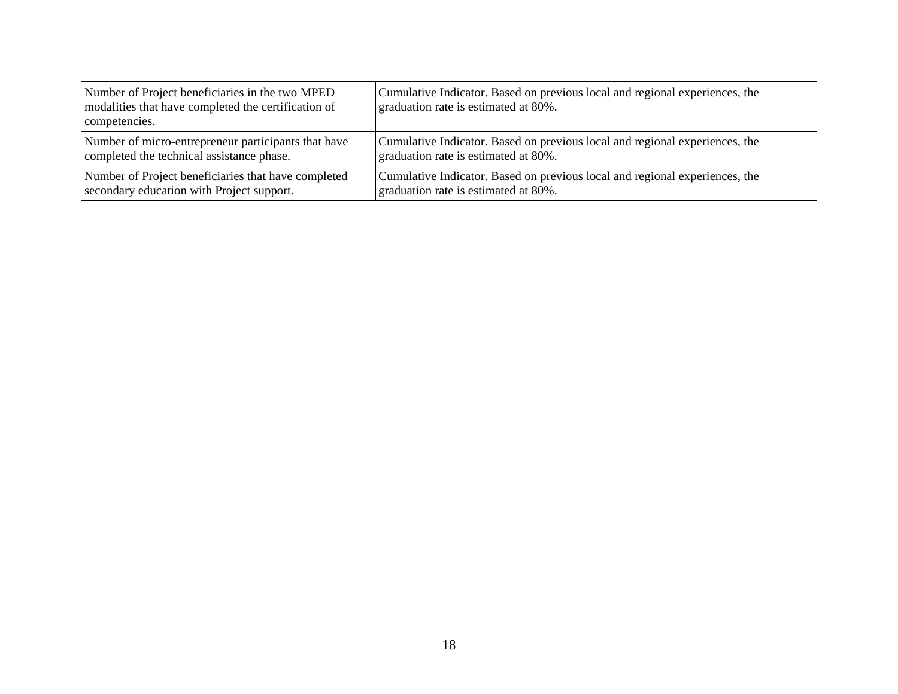| Number of Project beneficiaries in the two MPED<br>modalities that have completed the certification of<br>competencies. | Cumulative Indicator. Based on previous local and regional experiences, the<br>graduation rate is estimated at 80%. |
|-------------------------------------------------------------------------------------------------------------------------|---------------------------------------------------------------------------------------------------------------------|
| Number of micro-entrepreneur participants that have                                                                     | Cumulative Indicator. Based on previous local and regional experiences, the                                         |
| completed the technical assistance phase.                                                                               | graduation rate is estimated at 80%.                                                                                |
| Number of Project beneficiaries that have completed                                                                     | Cumulative Indicator. Based on previous local and regional experiences, the                                         |
| secondary education with Project support.                                                                               | graduation rate is estimated at 80%.                                                                                |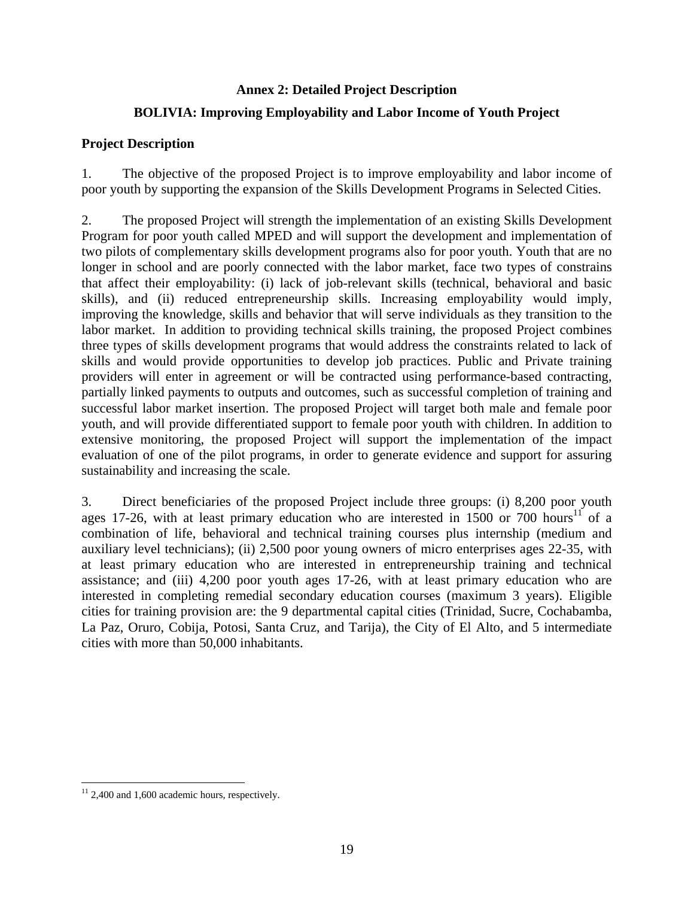# **Annex 2: Detailed Project Description**

# **BOLIVIA: Improving Employability and Labor Income of Youth Project**

# **Project Description**

1. The objective of the proposed Project is to improve employability and labor income of poor youth by supporting the expansion of the Skills Development Programs in Selected Cities.

2. The proposed Project will strength the implementation of an existing Skills Development Program for poor youth called MPED and will support the development and implementation of two pilots of complementary skills development programs also for poor youth. Youth that are no longer in school and are poorly connected with the labor market, face two types of constrains that affect their employability: (i) lack of job-relevant skills (technical, behavioral and basic skills), and (ii) reduced entrepreneurship skills. Increasing employability would imply, improving the knowledge, skills and behavior that will serve individuals as they transition to the labor market. In addition to providing technical skills training, the proposed Project combines three types of skills development programs that would address the constraints related to lack of skills and would provide opportunities to develop job practices. Public and Private training providers will enter in agreement or will be contracted using performance-based contracting, partially linked payments to outputs and outcomes, such as successful completion of training and successful labor market insertion. The proposed Project will target both male and female poor youth, and will provide differentiated support to female poor youth with children. In addition to extensive monitoring, the proposed Project will support the implementation of the impact evaluation of one of the pilot programs, in order to generate evidence and support for assuring sustainability and increasing the scale.

3. Direct beneficiaries of the proposed Project include three groups: (i) 8,200 poor youth ages 17-26, with at least primary education who are interested in 1500 or 700 hours<sup>11</sup> of a combination of life, behavioral and technical training courses plus internship (medium and auxiliary level technicians); (ii) 2,500 poor young owners of micro enterprises ages 22-35, with at least primary education who are interested in entrepreneurship training and technical assistance; and (iii) 4,200 poor youth ages 17-26, with at least primary education who are interested in completing remedial secondary education courses (maximum 3 years). Eligible cities for training provision are: the 9 departmental capital cities (Trinidad, Sucre, Cochabamba, La Paz, Oruro, Cobija, Potosi, Santa Cruz, and Tarija), the City of El Alto, and 5 intermediate cities with more than 50,000 inhabitants.

<sup>1</sup>  $11$  2,400 and 1,600 academic hours, respectively.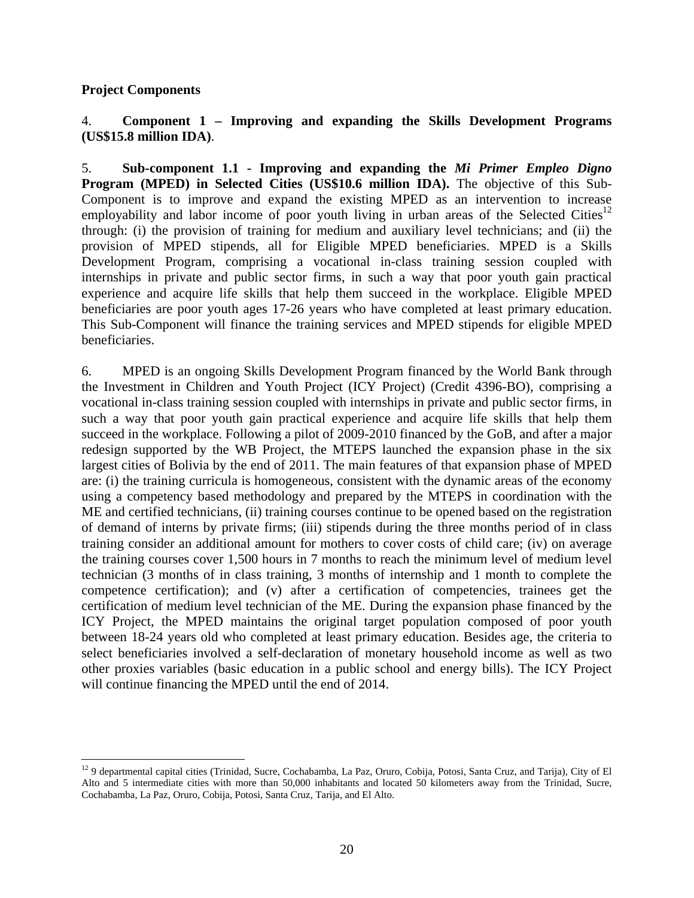### **Project Components**

 $\overline{a}$ 

## 4. **Component 1 – Improving and expanding the Skills Development Programs (US\$15.8 million IDA)**.

5. **Sub-component 1.1 - Improving and expanding the** *Mi Primer Empleo Digno* **Program (MPED) in Selected Cities (US\$10.6 million IDA).** The objective of this Sub-Component is to improve and expand the existing MPED as an intervention to increase employability and labor income of poor youth living in urban areas of the Selected Cities<sup>12</sup> through: (i) the provision of training for medium and auxiliary level technicians; and (ii) the provision of MPED stipends, all for Eligible MPED beneficiaries. MPED is a Skills Development Program, comprising a vocational in-class training session coupled with internships in private and public sector firms, in such a way that poor youth gain practical experience and acquire life skills that help them succeed in the workplace. Eligible MPED beneficiaries are poor youth ages 17-26 years who have completed at least primary education. This Sub-Component will finance the training services and MPED stipends for eligible MPED beneficiaries.

6. MPED is an ongoing Skills Development Program financed by the World Bank through the Investment in Children and Youth Project (ICY Project) (Credit 4396-BO), comprising a vocational in-class training session coupled with internships in private and public sector firms, in such a way that poor youth gain practical experience and acquire life skills that help them succeed in the workplace. Following a pilot of 2009-2010 financed by the GoB, and after a major redesign supported by the WB Project, the MTEPS launched the expansion phase in the six largest cities of Bolivia by the end of 2011. The main features of that expansion phase of MPED are: (i) the training curricula is homogeneous, consistent with the dynamic areas of the economy using a competency based methodology and prepared by the MTEPS in coordination with the ME and certified technicians, (ii) training courses continue to be opened based on the registration of demand of interns by private firms; (iii) stipends during the three months period of in class training consider an additional amount for mothers to cover costs of child care; (iv) on average the training courses cover 1,500 hours in 7 months to reach the minimum level of medium level technician (3 months of in class training, 3 months of internship and 1 month to complete the competence certification); and (v) after a certification of competencies, trainees get the certification of medium level technician of the ME. During the expansion phase financed by the ICY Project, the MPED maintains the original target population composed of poor youth between 18-24 years old who completed at least primary education. Besides age, the criteria to select beneficiaries involved a self-declaration of monetary household income as well as two other proxies variables (basic education in a public school and energy bills). The ICY Project will continue financing the MPED until the end of 2014.

 $12$  9 departmental capital cities (Trinidad, Sucre, Cochabamba, La Paz, Oruro, Cobija, Potosi, Santa Cruz, and Tarija), City of El Alto and 5 intermediate cities with more than 50,000 inhabitants and located 50 kilometers away from the Trinidad, Sucre, Cochabamba, La Paz, Oruro, Cobija, Potosi, Santa Cruz, Tarija, and El Alto.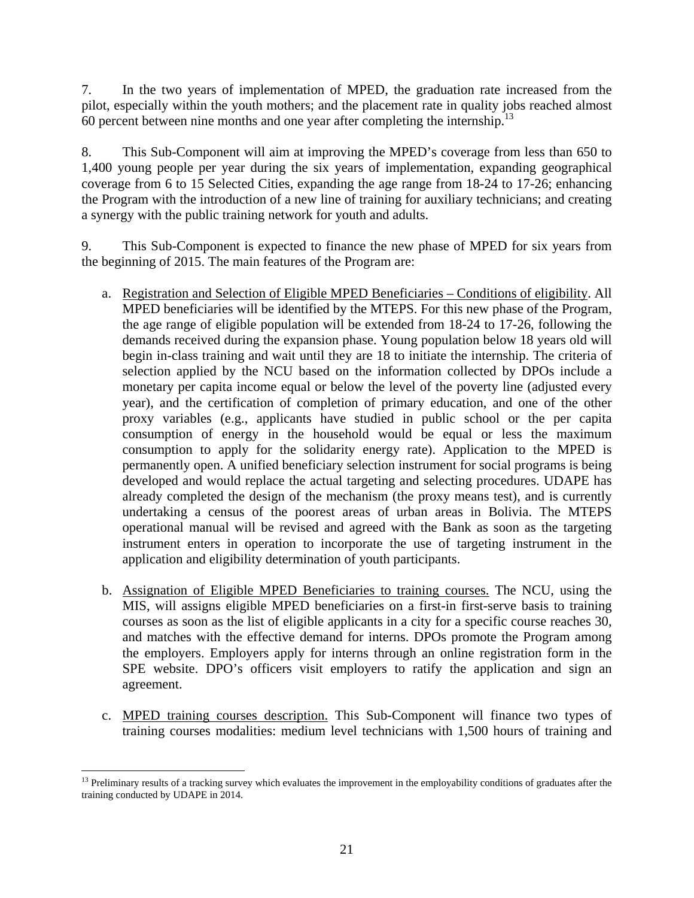7. In the two years of implementation of MPED, the graduation rate increased from the pilot, especially within the youth mothers; and the placement rate in quality jobs reached almost 60 percent between nine months and one year after completing the internship.13

8. This Sub-Component will aim at improving the MPED's coverage from less than 650 to 1,400 young people per year during the six years of implementation, expanding geographical coverage from 6 to 15 Selected Cities, expanding the age range from 18-24 to 17-26; enhancing the Program with the introduction of a new line of training for auxiliary technicians; and creating a synergy with the public training network for youth and adults.

9. This Sub-Component is expected to finance the new phase of MPED for six years from the beginning of 2015. The main features of the Program are:

- a. Registration and Selection of Eligible MPED Beneficiaries Conditions of eligibility. All MPED beneficiaries will be identified by the MTEPS. For this new phase of the Program, the age range of eligible population will be extended from 18-24 to 17-26, following the demands received during the expansion phase. Young population below 18 years old will begin in-class training and wait until they are 18 to initiate the internship. The criteria of selection applied by the NCU based on the information collected by DPOs include a monetary per capita income equal or below the level of the poverty line (adjusted every year), and the certification of completion of primary education, and one of the other proxy variables (e.g., applicants have studied in public school or the per capita consumption of energy in the household would be equal or less the maximum consumption to apply for the solidarity energy rate). Application to the MPED is permanently open. A unified beneficiary selection instrument for social programs is being developed and would replace the actual targeting and selecting procedures. UDAPE has already completed the design of the mechanism (the proxy means test), and is currently undertaking a census of the poorest areas of urban areas in Bolivia. The MTEPS operational manual will be revised and agreed with the Bank as soon as the targeting instrument enters in operation to incorporate the use of targeting instrument in the application and eligibility determination of youth participants.
- b. Assignation of Eligible MPED Beneficiaries to training courses. The NCU, using the MIS, will assigns eligible MPED beneficiaries on a first-in first-serve basis to training courses as soon as the list of eligible applicants in a city for a specific course reaches 30, and matches with the effective demand for interns. DPOs promote the Program among the employers. Employers apply for interns through an online registration form in the SPE website. DPO's officers visit employers to ratify the application and sign an agreement.
- c. MPED training courses description. This Sub-Component will finance two types of training courses modalities: medium level technicians with 1,500 hours of training and

 $\overline{a}$  $<sup>13</sup>$  Preliminary results of a tracking survey which evaluates the improvement in the employability conditions of graduates after the</sup> training conducted by UDAPE in 2014.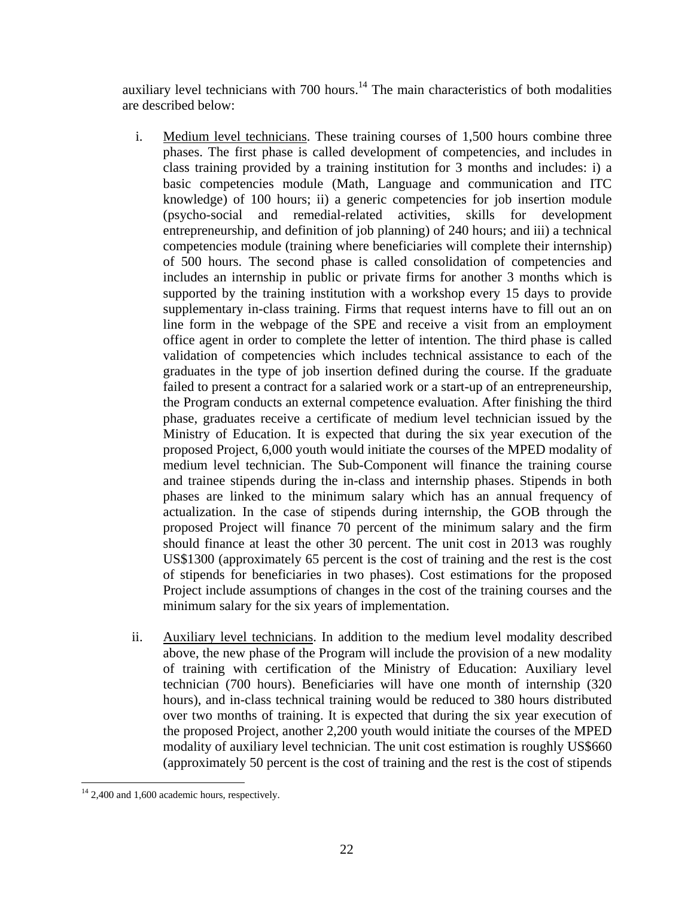auxiliary level technicians with  $700$  hours.<sup>14</sup> The main characteristics of both modalities are described below:

- i. Medium level technicians. These training courses of 1,500 hours combine three phases. The first phase is called development of competencies, and includes in class training provided by a training institution for 3 months and includes: i) a basic competencies module (Math, Language and communication and ITC knowledge) of 100 hours; ii) a generic competencies for job insertion module (psycho-social and remedial-related activities, skills for development entrepreneurship, and definition of job planning) of 240 hours; and iii) a technical competencies module (training where beneficiaries will complete their internship) of 500 hours. The second phase is called consolidation of competencies and includes an internship in public or private firms for another 3 months which is supported by the training institution with a workshop every 15 days to provide supplementary in-class training. Firms that request interns have to fill out an on line form in the webpage of the SPE and receive a visit from an employment office agent in order to complete the letter of intention. The third phase is called validation of competencies which includes technical assistance to each of the graduates in the type of job insertion defined during the course. If the graduate failed to present a contract for a salaried work or a start-up of an entrepreneurship, the Program conducts an external competence evaluation. After finishing the third phase, graduates receive a certificate of medium level technician issued by the Ministry of Education. It is expected that during the six year execution of the proposed Project, 6,000 youth would initiate the courses of the MPED modality of medium level technician. The Sub-Component will finance the training course and trainee stipends during the in-class and internship phases. Stipends in both phases are linked to the minimum salary which has an annual frequency of actualization. In the case of stipends during internship, the GOB through the proposed Project will finance 70 percent of the minimum salary and the firm should finance at least the other 30 percent. The unit cost in 2013 was roughly US\$1300 (approximately 65 percent is the cost of training and the rest is the cost of stipends for beneficiaries in two phases). Cost estimations for the proposed Project include assumptions of changes in the cost of the training courses and the minimum salary for the six years of implementation.
- ii. Auxiliary level technicians. In addition to the medium level modality described above, the new phase of the Program will include the provision of a new modality of training with certification of the Ministry of Education: Auxiliary level technician (700 hours). Beneficiaries will have one month of internship (320 hours), and in-class technical training would be reduced to 380 hours distributed over two months of training. It is expected that during the six year execution of the proposed Project, another 2,200 youth would initiate the courses of the MPED modality of auxiliary level technician. The unit cost estimation is roughly US\$660 (approximately 50 percent is the cost of training and the rest is the cost of stipends

 $\overline{a}$ <sup>14</sup> 2,400 and 1,600 academic hours, respectively.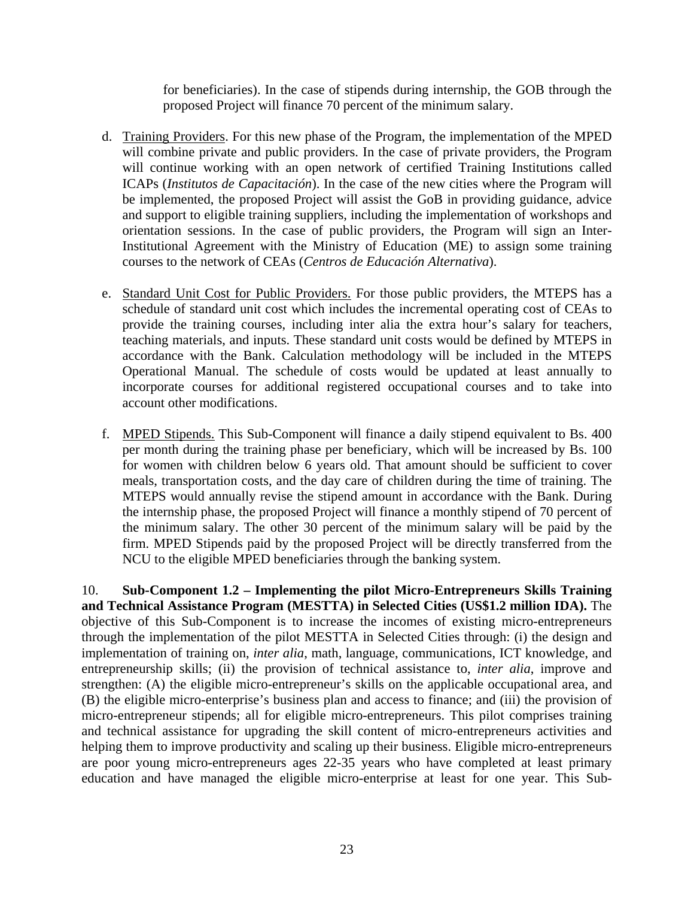for beneficiaries). In the case of stipends during internship, the GOB through the proposed Project will finance 70 percent of the minimum salary.

- d. Training Providers. For this new phase of the Program, the implementation of the MPED will combine private and public providers. In the case of private providers, the Program will continue working with an open network of certified Training Institutions called ICAPs (*Institutos de Capacitación*). In the case of the new cities where the Program will be implemented, the proposed Project will assist the GoB in providing guidance, advice and support to eligible training suppliers, including the implementation of workshops and orientation sessions. In the case of public providers, the Program will sign an Inter-Institutional Agreement with the Ministry of Education (ME) to assign some training courses to the network of CEAs (*Centros de Educación Alternativa*).
- e. Standard Unit Cost for Public Providers. For those public providers, the MTEPS has a schedule of standard unit cost which includes the incremental operating cost of CEAs to provide the training courses, including inter alia the extra hour's salary for teachers, teaching materials, and inputs. These standard unit costs would be defined by MTEPS in accordance with the Bank. Calculation methodology will be included in the MTEPS Operational Manual. The schedule of costs would be updated at least annually to incorporate courses for additional registered occupational courses and to take into account other modifications.
- f. MPED Stipends. This Sub-Component will finance a daily stipend equivalent to Bs. 400 per month during the training phase per beneficiary, which will be increased by Bs. 100 for women with children below 6 years old. That amount should be sufficient to cover meals, transportation costs, and the day care of children during the time of training. The MTEPS would annually revise the stipend amount in accordance with the Bank. During the internship phase, the proposed Project will finance a monthly stipend of 70 percent of the minimum salary. The other 30 percent of the minimum salary will be paid by the firm. MPED Stipends paid by the proposed Project will be directly transferred from the NCU to the eligible MPED beneficiaries through the banking system.

10. **Sub-Component 1.2 – Implementing the pilot Micro-Entrepreneurs Skills Training and Technical Assistance Program (MESTTA) in Selected Cities (US\$1.2 million IDA).** The objective of this Sub-Component is to increase the incomes of existing micro-entrepreneurs through the implementation of the pilot MESTTA in Selected Cities through: (i) the design and implementation of training on, *inter alia*, math, language, communications, ICT knowledge, and entrepreneurship skills; (ii) the provision of technical assistance to, *inter alia*, improve and strengthen: (A) the eligible micro-entrepreneur's skills on the applicable occupational area, and (B) the eligible micro-enterprise's business plan and access to finance; and (iii) the provision of micro-entrepreneur stipends; all for eligible micro-entrepreneurs. This pilot comprises training and technical assistance for upgrading the skill content of micro-entrepreneurs activities and helping them to improve productivity and scaling up their business. Eligible micro-entrepreneurs are poor young micro-entrepreneurs ages 22-35 years who have completed at least primary education and have managed the eligible micro-enterprise at least for one year. This Sub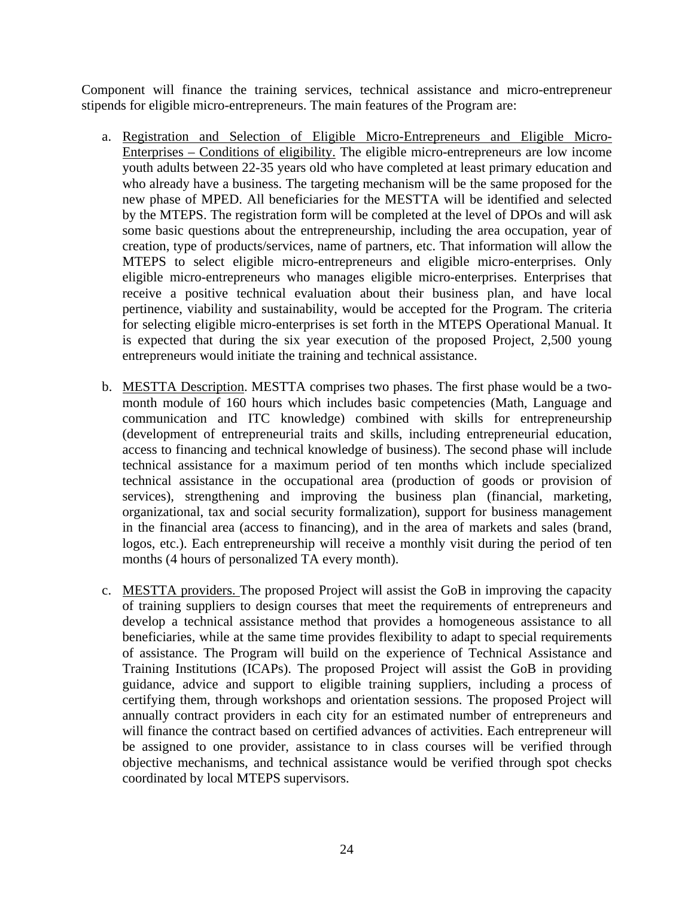Component will finance the training services, technical assistance and micro-entrepreneur stipends for eligible micro-entrepreneurs. The main features of the Program are:

- a. Registration and Selection of Eligible Micro-Entrepreneurs and Eligible Micro-Enterprises – Conditions of eligibility. The eligible micro-entrepreneurs are low income youth adults between 22-35 years old who have completed at least primary education and who already have a business. The targeting mechanism will be the same proposed for the new phase of MPED. All beneficiaries for the MESTTA will be identified and selected by the MTEPS. The registration form will be completed at the level of DPOs and will ask some basic questions about the entrepreneurship, including the area occupation, year of creation, type of products/services, name of partners, etc. That information will allow the MTEPS to select eligible micro-entrepreneurs and eligible micro-enterprises. Only eligible micro-entrepreneurs who manages eligible micro-enterprises. Enterprises that receive a positive technical evaluation about their business plan, and have local pertinence, viability and sustainability, would be accepted for the Program. The criteria for selecting eligible micro-enterprises is set forth in the MTEPS Operational Manual. It is expected that during the six year execution of the proposed Project, 2,500 young entrepreneurs would initiate the training and technical assistance.
- b. MESTTA Description. MESTTA comprises two phases. The first phase would be a twomonth module of 160 hours which includes basic competencies (Math, Language and communication and ITC knowledge) combined with skills for entrepreneurship (development of entrepreneurial traits and skills, including entrepreneurial education, access to financing and technical knowledge of business). The second phase will include technical assistance for a maximum period of ten months which include specialized technical assistance in the occupational area (production of goods or provision of services), strengthening and improving the business plan (financial, marketing, organizational, tax and social security formalization), support for business management in the financial area (access to financing), and in the area of markets and sales (brand, logos, etc.). Each entrepreneurship will receive a monthly visit during the period of ten months (4 hours of personalized TA every month).
- c. MESTTA providers. The proposed Project will assist the GoB in improving the capacity of training suppliers to design courses that meet the requirements of entrepreneurs and develop a technical assistance method that provides a homogeneous assistance to all beneficiaries, while at the same time provides flexibility to adapt to special requirements of assistance. The Program will build on the experience of Technical Assistance and Training Institutions (ICAPs). The proposed Project will assist the GoB in providing guidance, advice and support to eligible training suppliers, including a process of certifying them, through workshops and orientation sessions. The proposed Project will annually contract providers in each city for an estimated number of entrepreneurs and will finance the contract based on certified advances of activities. Each entrepreneur will be assigned to one provider, assistance to in class courses will be verified through objective mechanisms, and technical assistance would be verified through spot checks coordinated by local MTEPS supervisors.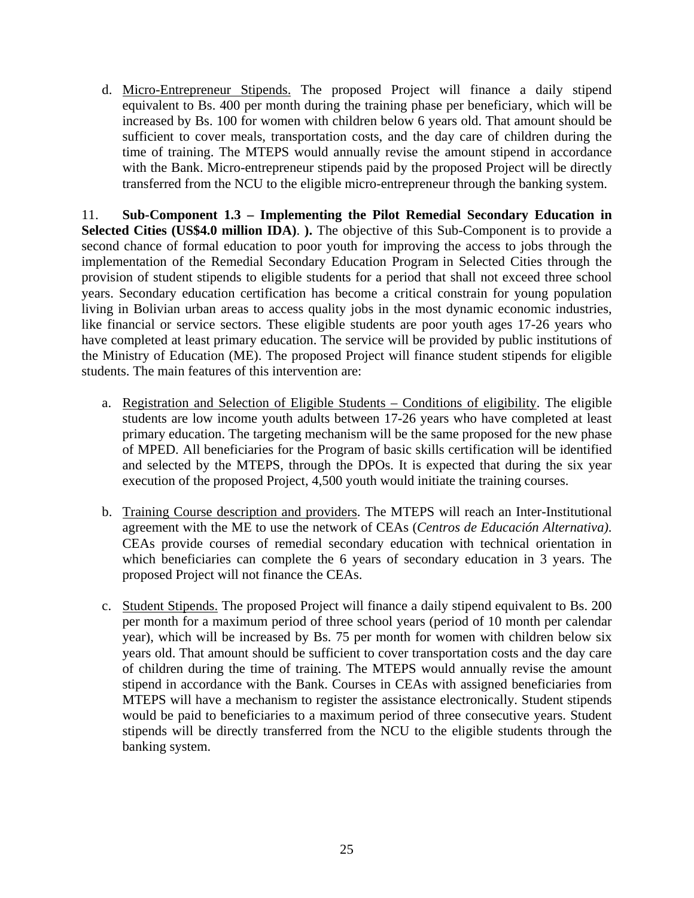d. Micro-Entrepreneur Stipends. The proposed Project will finance a daily stipend equivalent to Bs. 400 per month during the training phase per beneficiary, which will be increased by Bs. 100 for women with children below 6 years old. That amount should be sufficient to cover meals, transportation costs, and the day care of children during the time of training. The MTEPS would annually revise the amount stipend in accordance with the Bank. Micro-entrepreneur stipends paid by the proposed Project will be directly transferred from the NCU to the eligible micro-entrepreneur through the banking system.

11. **Sub-Component 1.3 – Implementing the Pilot Remedial Secondary Education in Selected Cities (US\$4.0 million IDA)**. **).** The objective of this Sub-Component is to provide a second chance of formal education to poor youth for improving the access to jobs through the implementation of the Remedial Secondary Education Program in Selected Cities through the provision of student stipends to eligible students for a period that shall not exceed three school years. Secondary education certification has become a critical constrain for young population living in Bolivian urban areas to access quality jobs in the most dynamic economic industries, like financial or service sectors. These eligible students are poor youth ages 17-26 years who have completed at least primary education. The service will be provided by public institutions of the Ministry of Education (ME). The proposed Project will finance student stipends for eligible students. The main features of this intervention are:

- a. Registration and Selection of Eligible Students Conditions of eligibility. The eligible students are low income youth adults between 17-26 years who have completed at least primary education. The targeting mechanism will be the same proposed for the new phase of MPED. All beneficiaries for the Program of basic skills certification will be identified and selected by the MTEPS, through the DPOs. It is expected that during the six year execution of the proposed Project, 4,500 youth would initiate the training courses.
- b. Training Course description and providers. The MTEPS will reach an Inter-Institutional agreement with the ME to use the network of CEAs (*Centros de Educación Alternativa)*. CEAs provide courses of remedial secondary education with technical orientation in which beneficiaries can complete the 6 years of secondary education in 3 years. The proposed Project will not finance the CEAs.
- c. Student Stipends. The proposed Project will finance a daily stipend equivalent to Bs. 200 per month for a maximum period of three school years (period of 10 month per calendar year), which will be increased by Bs. 75 per month for women with children below six years old. That amount should be sufficient to cover transportation costs and the day care of children during the time of training. The MTEPS would annually revise the amount stipend in accordance with the Bank. Courses in CEAs with assigned beneficiaries from MTEPS will have a mechanism to register the assistance electronically. Student stipends would be paid to beneficiaries to a maximum period of three consecutive years. Student stipends will be directly transferred from the NCU to the eligible students through the banking system.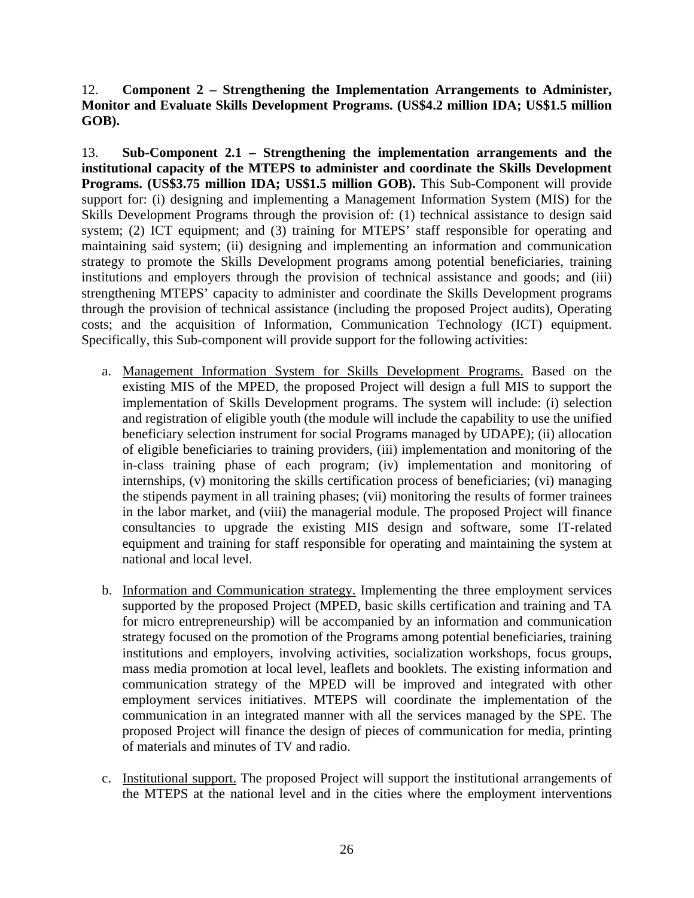12. **Component 2 – Strengthening the Implementation Arrangements to Administer, Monitor and Evaluate Skills Development Programs. (US\$4.2 million IDA; US\$1.5 million GOB).**

13. **Sub-Component 2.1 – Strengthening the implementation arrangements and the institutional capacity of the MTEPS to administer and coordinate the Skills Development Programs. (US\$3.75 million IDA; US\$1.5 million GOB).** This Sub-Component will provide support for: (i) designing and implementing a Management Information System (MIS) for the Skills Development Programs through the provision of: (1) technical assistance to design said system; (2) ICT equipment; and (3) training for MTEPS' staff responsible for operating and maintaining said system; (ii) designing and implementing an information and communication strategy to promote the Skills Development programs among potential beneficiaries, training institutions and employers through the provision of technical assistance and goods; and (iii) strengthening MTEPS' capacity to administer and coordinate the Skills Development programs through the provision of technical assistance (including the proposed Project audits), Operating costs; and the acquisition of Information, Communication Technology (ICT) equipment. Specifically, this Sub-component will provide support for the following activities:

- a. Management Information System for Skills Development Programs. Based on the existing MIS of the MPED, the proposed Project will design a full MIS to support the implementation of Skills Development programs. The system will include: (i) selection and registration of eligible youth (the module will include the capability to use the unified beneficiary selection instrument for social Programs managed by UDAPE); (ii) allocation of eligible beneficiaries to training providers, (iii) implementation and monitoring of the in-class training phase of each program; (iv) implementation and monitoring of internships, (v) monitoring the skills certification process of beneficiaries; (vi) managing the stipends payment in all training phases; (vii) monitoring the results of former trainees in the labor market, and (viii) the managerial module. The proposed Project will finance consultancies to upgrade the existing MIS design and software, some IT-related equipment and training for staff responsible for operating and maintaining the system at national and local level.
- b. Information and Communication strategy. Implementing the three employment services supported by the proposed Project (MPED, basic skills certification and training and TA for micro entrepreneurship) will be accompanied by an information and communication strategy focused on the promotion of the Programs among potential beneficiaries, training institutions and employers, involving activities, socialization workshops, focus groups, mass media promotion at local level, leaflets and booklets. The existing information and communication strategy of the MPED will be improved and integrated with other employment services initiatives. MTEPS will coordinate the implementation of the communication in an integrated manner with all the services managed by the SPE. The proposed Project will finance the design of pieces of communication for media, printing of materials and minutes of TV and radio.
- c. Institutional support. The proposed Project will support the institutional arrangements of the MTEPS at the national level and in the cities where the employment interventions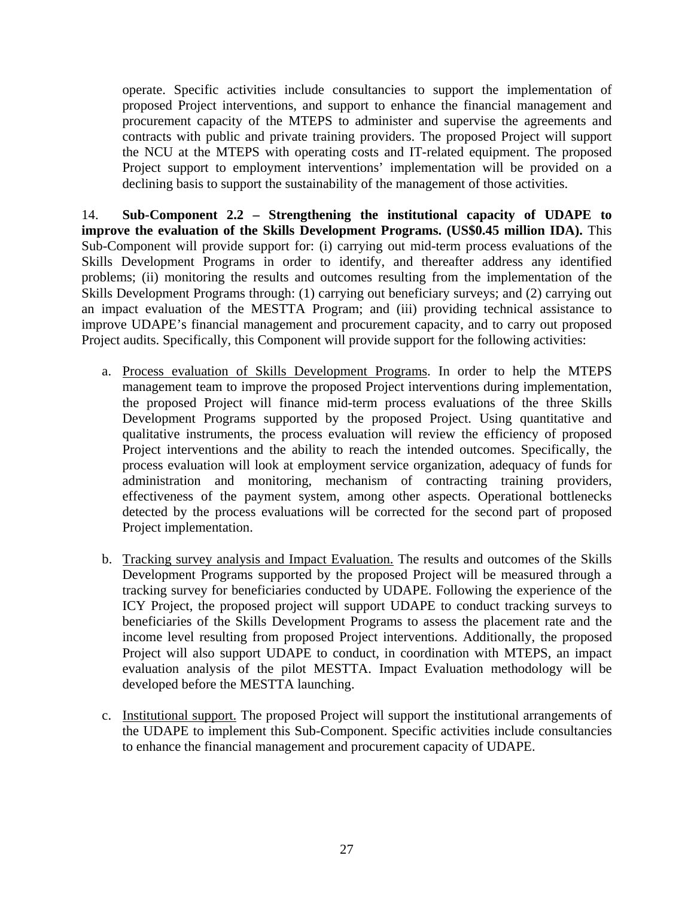operate. Specific activities include consultancies to support the implementation of proposed Project interventions, and support to enhance the financial management and procurement capacity of the MTEPS to administer and supervise the agreements and contracts with public and private training providers. The proposed Project will support the NCU at the MTEPS with operating costs and IT-related equipment. The proposed Project support to employment interventions' implementation will be provided on a declining basis to support the sustainability of the management of those activities.

14. **Sub-Component 2.2 – Strengthening the institutional capacity of UDAPE to improve the evaluation of the Skills Development Programs. (US\$0.45 million IDA).** This Sub-Component will provide support for: (i) carrying out mid-term process evaluations of the Skills Development Programs in order to identify, and thereafter address any identified problems; (ii) monitoring the results and outcomes resulting from the implementation of the Skills Development Programs through: (1) carrying out beneficiary surveys; and (2) carrying out an impact evaluation of the MESTTA Program; and (iii) providing technical assistance to improve UDAPE's financial management and procurement capacity, and to carry out proposed Project audits. Specifically, this Component will provide support for the following activities:

- a. Process evaluation of Skills Development Programs. In order to help the MTEPS management team to improve the proposed Project interventions during implementation, the proposed Project will finance mid-term process evaluations of the three Skills Development Programs supported by the proposed Project. Using quantitative and qualitative instruments, the process evaluation will review the efficiency of proposed Project interventions and the ability to reach the intended outcomes. Specifically, the process evaluation will look at employment service organization, adequacy of funds for administration and monitoring, mechanism of contracting training providers, effectiveness of the payment system, among other aspects. Operational bottlenecks detected by the process evaluations will be corrected for the second part of proposed Project implementation.
- b. Tracking survey analysis and Impact Evaluation. The results and outcomes of the Skills Development Programs supported by the proposed Project will be measured through a tracking survey for beneficiaries conducted by UDAPE. Following the experience of the ICY Project, the proposed project will support UDAPE to conduct tracking surveys to beneficiaries of the Skills Development Programs to assess the placement rate and the income level resulting from proposed Project interventions. Additionally, the proposed Project will also support UDAPE to conduct, in coordination with MTEPS, an impact evaluation analysis of the pilot MESTTA. Impact Evaluation methodology will be developed before the MESTTA launching.
- c. Institutional support. The proposed Project will support the institutional arrangements of the UDAPE to implement this Sub-Component. Specific activities include consultancies to enhance the financial management and procurement capacity of UDAPE.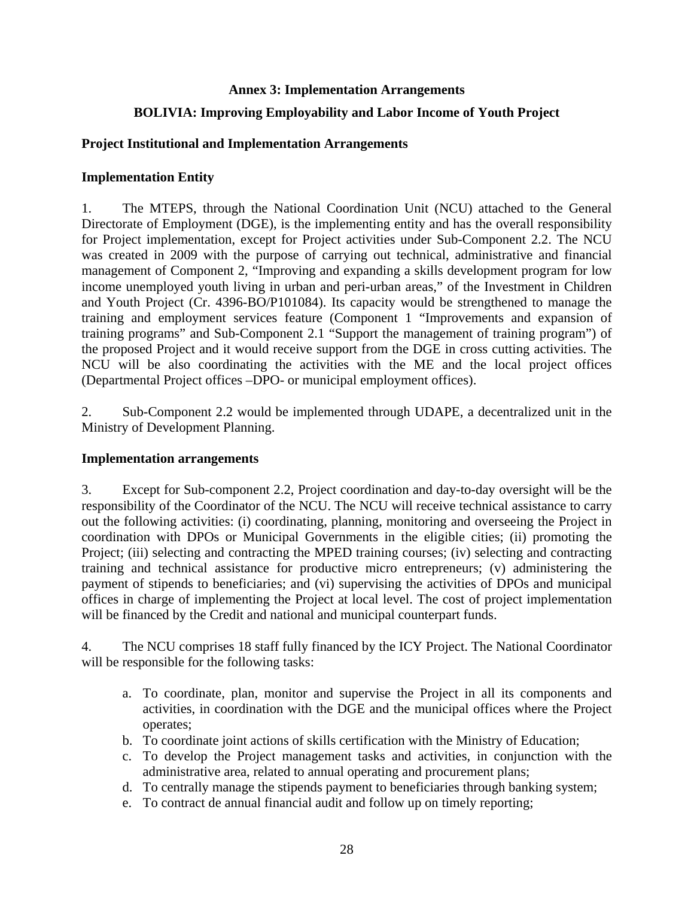### **Annex 3: Implementation Arrangements**

# **BOLIVIA: Improving Employability and Labor Income of Youth Project**

### **Project Institutional and Implementation Arrangements**

### **Implementation Entity**

1. The MTEPS, through the National Coordination Unit (NCU) attached to the General Directorate of Employment (DGE), is the implementing entity and has the overall responsibility for Project implementation, except for Project activities under Sub-Component 2.2. The NCU was created in 2009 with the purpose of carrying out technical, administrative and financial management of Component 2, "Improving and expanding a skills development program for low income unemployed youth living in urban and peri-urban areas," of the Investment in Children and Youth Project (Cr. 4396-BO/P101084). Its capacity would be strengthened to manage the training and employment services feature (Component 1 "Improvements and expansion of training programs" and Sub-Component 2.1 "Support the management of training program") of the proposed Project and it would receive support from the DGE in cross cutting activities. The NCU will be also coordinating the activities with the ME and the local project offices (Departmental Project offices –DPO- or municipal employment offices).

2. Sub-Component 2.2 would be implemented through UDAPE, a decentralized unit in the Ministry of Development Planning.

### **Implementation arrangements**

3. Except for Sub-component 2.2, Project coordination and day-to-day oversight will be the responsibility of the Coordinator of the NCU. The NCU will receive technical assistance to carry out the following activities: (i) coordinating, planning, monitoring and overseeing the Project in coordination with DPOs or Municipal Governments in the eligible cities; (ii) promoting the Project; (iii) selecting and contracting the MPED training courses; (iv) selecting and contracting training and technical assistance for productive micro entrepreneurs; (v) administering the payment of stipends to beneficiaries; and (vi) supervising the activities of DPOs and municipal offices in charge of implementing the Project at local level. The cost of project implementation will be financed by the Credit and national and municipal counterpart funds.

4. The NCU comprises 18 staff fully financed by the ICY Project. The National Coordinator will be responsible for the following tasks:

- a. To coordinate, plan, monitor and supervise the Project in all its components and activities, in coordination with the DGE and the municipal offices where the Project operates;
- b. To coordinate joint actions of skills certification with the Ministry of Education;
- c. To develop the Project management tasks and activities, in conjunction with the administrative area, related to annual operating and procurement plans;
- d. To centrally manage the stipends payment to beneficiaries through banking system;
- e. To contract de annual financial audit and follow up on timely reporting;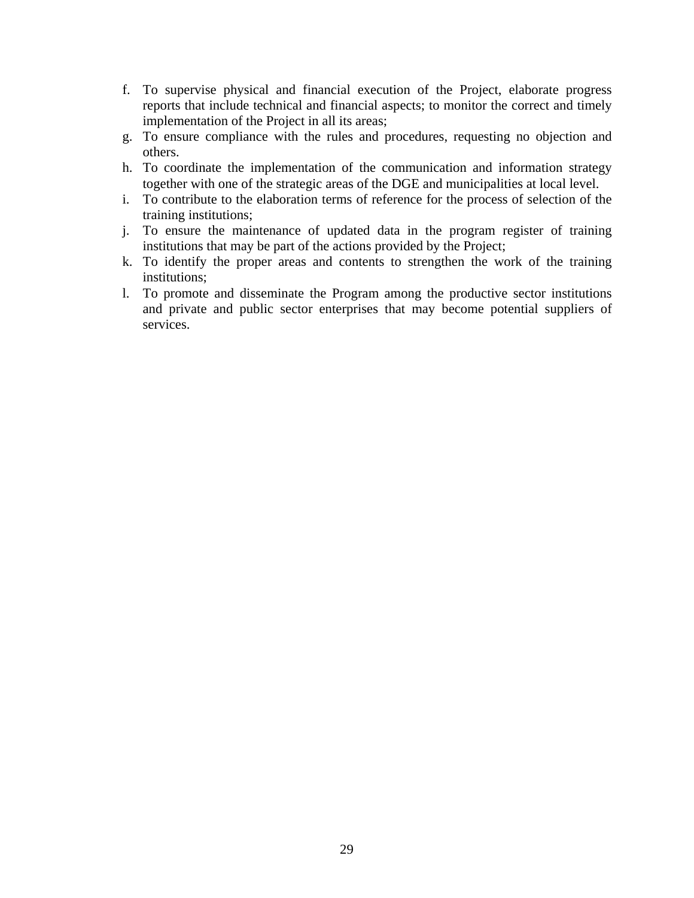- f. To supervise physical and financial execution of the Project, elaborate progress reports that include technical and financial aspects; to monitor the correct and timely implementation of the Project in all its areas;
- g. To ensure compliance with the rules and procedures, requesting no objection and others.
- h. To coordinate the implementation of the communication and information strategy together with one of the strategic areas of the DGE and municipalities at local level.
- i. To contribute to the elaboration terms of reference for the process of selection of the training institutions;
- j. To ensure the maintenance of updated data in the program register of training institutions that may be part of the actions provided by the Project;
- k. To identify the proper areas and contents to strengthen the work of the training institutions;
- l. To promote and disseminate the Program among the productive sector institutions and private and public sector enterprises that may become potential suppliers of services.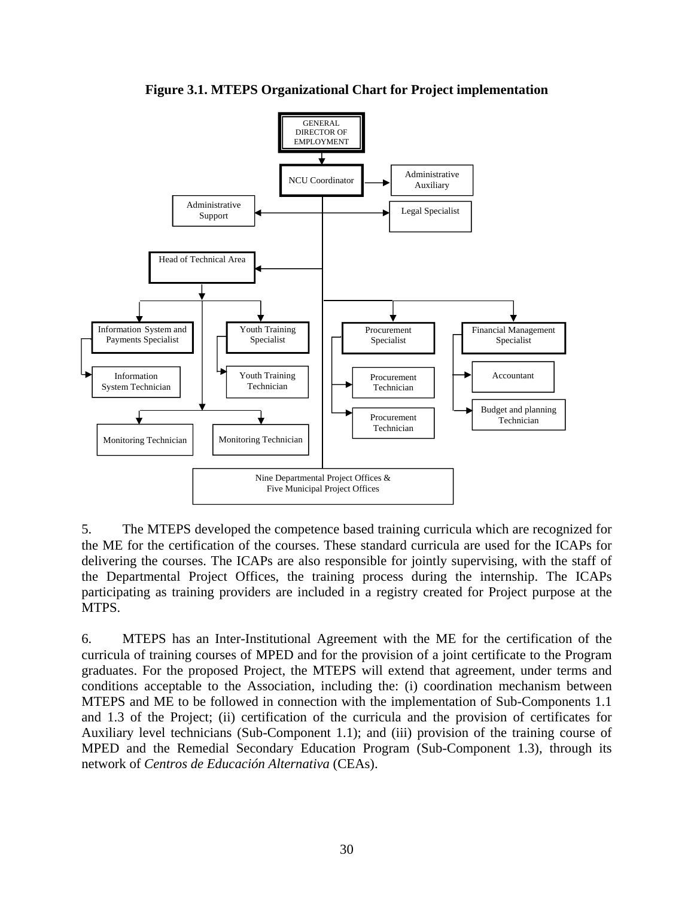

**Figure 3.1. MTEPS Organizational Chart for Project implementation** 

5. The MTEPS developed the competence based training curricula which are recognized for the ME for the certification of the courses. These standard curricula are used for the ICAPs for delivering the courses. The ICAPs are also responsible for jointly supervising, with the staff of the Departmental Project Offices, the training process during the internship. The ICAPs participating as training providers are included in a registry created for Project purpose at the MTPS.

6. MTEPS has an Inter-Institutional Agreement with the ME for the certification of the curricula of training courses of MPED and for the provision of a joint certificate to the Program graduates. For the proposed Project, the MTEPS will extend that agreement, under terms and conditions acceptable to the Association, including the: (i) coordination mechanism between MTEPS and ME to be followed in connection with the implementation of Sub-Components 1.1 and 1.3 of the Project; (ii) certification of the curricula and the provision of certificates for Auxiliary level technicians (Sub-Component 1.1); and (iii) provision of the training course of MPED and the Remedial Secondary Education Program (Sub-Component 1.3), through its network of *Centros de Educación Alternativa* (CEAs).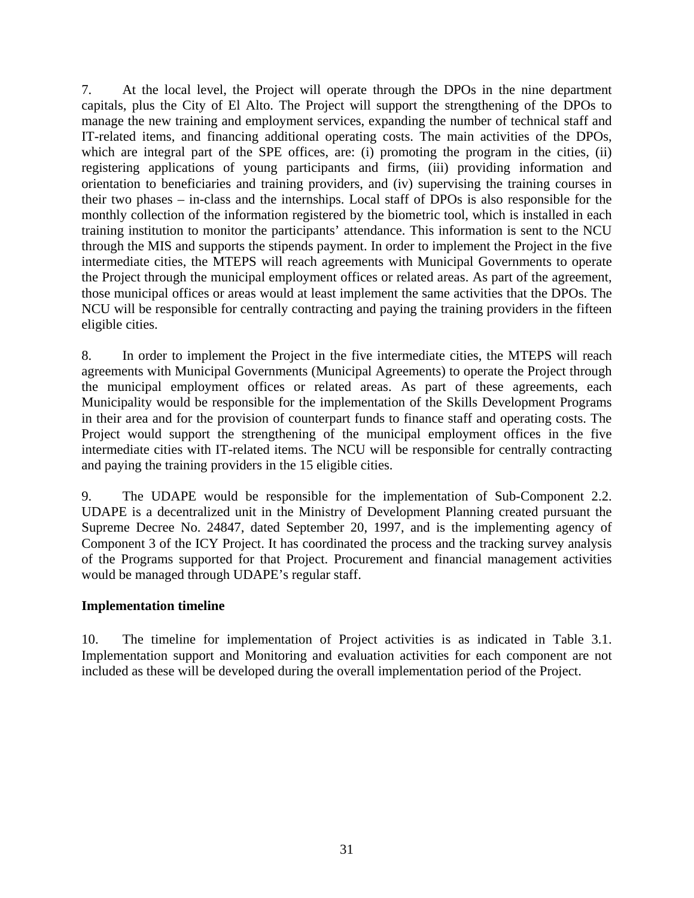7. At the local level, the Project will operate through the DPOs in the nine department capitals, plus the City of El Alto. The Project will support the strengthening of the DPOs to manage the new training and employment services, expanding the number of technical staff and IT-related items, and financing additional operating costs. The main activities of the DPOs, which are integral part of the SPE offices, are: (i) promoting the program in the cities, (ii) registering applications of young participants and firms, (iii) providing information and orientation to beneficiaries and training providers, and (iv) supervising the training courses in their two phases – in-class and the internships. Local staff of DPOs is also responsible for the monthly collection of the information registered by the biometric tool, which is installed in each training institution to monitor the participants' attendance. This information is sent to the NCU through the MIS and supports the stipends payment. In order to implement the Project in the five intermediate cities, the MTEPS will reach agreements with Municipal Governments to operate the Project through the municipal employment offices or related areas. As part of the agreement, those municipal offices or areas would at least implement the same activities that the DPOs. The NCU will be responsible for centrally contracting and paying the training providers in the fifteen eligible cities.

8. In order to implement the Project in the five intermediate cities, the MTEPS will reach agreements with Municipal Governments (Municipal Agreements) to operate the Project through the municipal employment offices or related areas. As part of these agreements, each Municipality would be responsible for the implementation of the Skills Development Programs in their area and for the provision of counterpart funds to finance staff and operating costs. The Project would support the strengthening of the municipal employment offices in the five intermediate cities with IT-related items. The NCU will be responsible for centrally contracting and paying the training providers in the 15 eligible cities.

9. The UDAPE would be responsible for the implementation of Sub-Component 2.2. UDAPE is a decentralized unit in the Ministry of Development Planning created pursuant the Supreme Decree No. 24847, dated September 20, 1997, and is the implementing agency of Component 3 of the ICY Project. It has coordinated the process and the tracking survey analysis of the Programs supported for that Project. Procurement and financial management activities would be managed through UDAPE's regular staff.

### **Implementation timeline**

10. The timeline for implementation of Project activities is as indicated in Table 3.1. Implementation support and Monitoring and evaluation activities for each component are not included as these will be developed during the overall implementation period of the Project.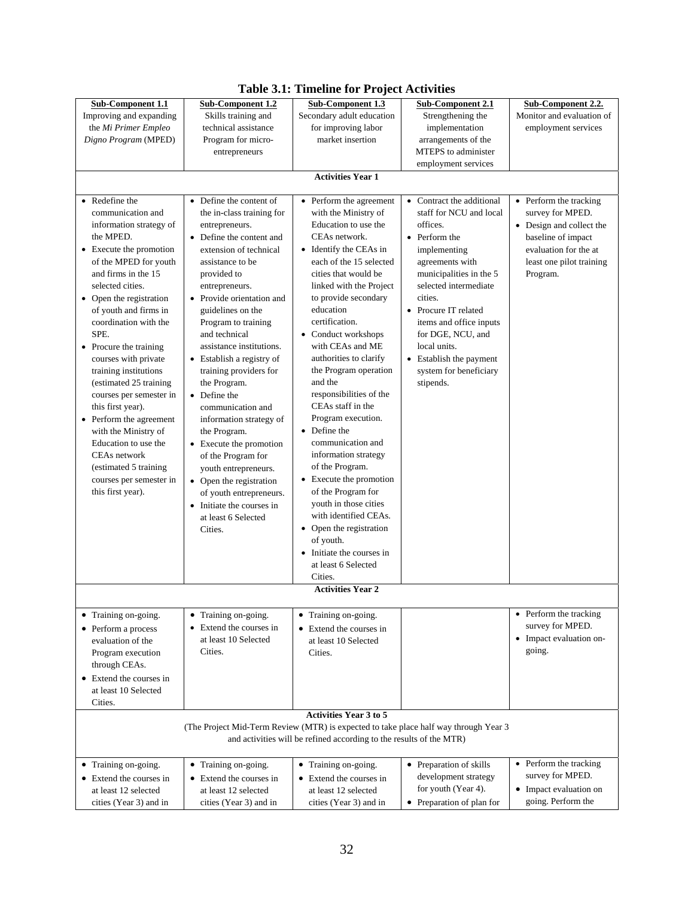| Sub-Component 1.1                                                                                                                                                                                                                                                                                                                                                                                | <b>Sub-Component 1.2</b>                                                                                                                                                                                                                                                                                                                                                                       | <b>Sub-Component 1.3</b>                                                                                                                                                                                                                                                                                                                                                                    | <b>Sub-Component 2.1</b>                                                                                                                                                                                                                                                                                                                      | Sub-Component 2.2.                                                                                                                                            |
|--------------------------------------------------------------------------------------------------------------------------------------------------------------------------------------------------------------------------------------------------------------------------------------------------------------------------------------------------------------------------------------------------|------------------------------------------------------------------------------------------------------------------------------------------------------------------------------------------------------------------------------------------------------------------------------------------------------------------------------------------------------------------------------------------------|---------------------------------------------------------------------------------------------------------------------------------------------------------------------------------------------------------------------------------------------------------------------------------------------------------------------------------------------------------------------------------------------|-----------------------------------------------------------------------------------------------------------------------------------------------------------------------------------------------------------------------------------------------------------------------------------------------------------------------------------------------|---------------------------------------------------------------------------------------------------------------------------------------------------------------|
| Improving and expanding                                                                                                                                                                                                                                                                                                                                                                          | Skills training and                                                                                                                                                                                                                                                                                                                                                                            | Secondary adult education                                                                                                                                                                                                                                                                                                                                                                   | Strengthening the                                                                                                                                                                                                                                                                                                                             | Monitor and evaluation of                                                                                                                                     |
| the Mi Primer Empleo                                                                                                                                                                                                                                                                                                                                                                             | technical assistance                                                                                                                                                                                                                                                                                                                                                                           | for improving labor                                                                                                                                                                                                                                                                                                                                                                         | implementation                                                                                                                                                                                                                                                                                                                                | employment services                                                                                                                                           |
| Digno Program (MPED)                                                                                                                                                                                                                                                                                                                                                                             | Program for micro-                                                                                                                                                                                                                                                                                                                                                                             | market insertion                                                                                                                                                                                                                                                                                                                                                                            | arrangements of the                                                                                                                                                                                                                                                                                                                           |                                                                                                                                                               |
|                                                                                                                                                                                                                                                                                                                                                                                                  | entrepreneurs                                                                                                                                                                                                                                                                                                                                                                                  |                                                                                                                                                                                                                                                                                                                                                                                             | MTEPS to administer                                                                                                                                                                                                                                                                                                                           |                                                                                                                                                               |
|                                                                                                                                                                                                                                                                                                                                                                                                  |                                                                                                                                                                                                                                                                                                                                                                                                |                                                                                                                                                                                                                                                                                                                                                                                             | employment services                                                                                                                                                                                                                                                                                                                           |                                                                                                                                                               |
|                                                                                                                                                                                                                                                                                                                                                                                                  |                                                                                                                                                                                                                                                                                                                                                                                                | <b>Activities Year 1</b>                                                                                                                                                                                                                                                                                                                                                                    |                                                                                                                                                                                                                                                                                                                                               |                                                                                                                                                               |
|                                                                                                                                                                                                                                                                                                                                                                                                  |                                                                                                                                                                                                                                                                                                                                                                                                |                                                                                                                                                                                                                                                                                                                                                                                             |                                                                                                                                                                                                                                                                                                                                               |                                                                                                                                                               |
| • Redefine the<br>communication and<br>information strategy of<br>the MPED.<br>• Execute the promotion<br>of the MPED for youth<br>and firms in the 15<br>selected cities.<br>• Open the registration<br>of youth and firms in<br>coordination with the<br>SPE.<br>• Procure the training<br>courses with private<br>training institutions<br>(estimated 25 training)<br>courses per semester in | • Define the content of<br>the in-class training for<br>entrepreneurs.<br>• Define the content and<br>extension of technical<br>assistance to be<br>provided to<br>entrepreneurs.<br>• Provide orientation and<br>guidelines on the<br>Program to training<br>and technical<br>assistance institutions.<br>• Establish a registry of<br>training providers for<br>the Program.<br>• Define the | • Perform the agreement<br>with the Ministry of<br>Education to use the<br>CEAs network.<br>• Identify the CEAs in<br>each of the 15 selected<br>cities that would be<br>linked with the Project<br>to provide secondary<br>education<br>certification.<br>• Conduct workshops<br>with CEAs and ME<br>authorities to clarify<br>the Program operation<br>and the<br>responsibilities of the | • Contract the additional<br>staff for NCU and local<br>offices.<br>• Perform the<br>implementing<br>agreements with<br>municipalities in the 5<br>selected intermediate<br>cities.<br>• Procure IT related<br>items and office inputs<br>for DGE, NCU, and<br>local units.<br>• Establish the payment<br>system for beneficiary<br>stipends. | • Perform the tracking<br>survey for MPED.<br>• Design and collect the<br>baseline of impact<br>evaluation for the at<br>least one pilot training<br>Program. |
| this first year).<br>• Perform the agreement<br>with the Ministry of<br>Education to use the<br>CEAs network<br>(estimated 5 training)<br>courses per semester in<br>this first year).                                                                                                                                                                                                           | communication and<br>information strategy of<br>the Program.<br>• Execute the promotion<br>of the Program for<br>youth entrepreneurs.<br>• Open the registration<br>of youth entrepreneurs.<br>• Initiate the courses in<br>at least 6 Selected<br>Cities.                                                                                                                                     | CEAs staff in the<br>Program execution.<br>• Define the<br>communication and<br>information strategy<br>of the Program.<br>• Execute the promotion<br>of the Program for<br>youth in those cities<br>with identified CEAs.<br>• Open the registration<br>of youth.<br>• Initiate the courses in<br>at least 6 Selected<br>Cities.                                                           |                                                                                                                                                                                                                                                                                                                                               |                                                                                                                                                               |
|                                                                                                                                                                                                                                                                                                                                                                                                  |                                                                                                                                                                                                                                                                                                                                                                                                | <b>Activities Year 2</b>                                                                                                                                                                                                                                                                                                                                                                    |                                                                                                                                                                                                                                                                                                                                               |                                                                                                                                                               |
|                                                                                                                                                                                                                                                                                                                                                                                                  |                                                                                                                                                                                                                                                                                                                                                                                                |                                                                                                                                                                                                                                                                                                                                                                                             |                                                                                                                                                                                                                                                                                                                                               | • Perform the tracking                                                                                                                                        |
| • Training on-going.<br>• Perform a process<br>evaluation of the<br>Program execution<br>through CEAs.                                                                                                                                                                                                                                                                                           | • Training on-going.<br>Extend the courses in<br>$\bullet$<br>at least 10 Selected<br>Cities.                                                                                                                                                                                                                                                                                                  | • Training on-going.<br>• Extend the courses in<br>at least 10 Selected<br>Cities.                                                                                                                                                                                                                                                                                                          |                                                                                                                                                                                                                                                                                                                                               | survey for MPED.<br>• Impact evaluation on-<br>going.                                                                                                         |
| • Extend the courses in<br>at least 10 Selected<br>Cities.                                                                                                                                                                                                                                                                                                                                       |                                                                                                                                                                                                                                                                                                                                                                                                |                                                                                                                                                                                                                                                                                                                                                                                             |                                                                                                                                                                                                                                                                                                                                               |                                                                                                                                                               |
|                                                                                                                                                                                                                                                                                                                                                                                                  |                                                                                                                                                                                                                                                                                                                                                                                                | <b>Activities Year 3 to 5</b>                                                                                                                                                                                                                                                                                                                                                               |                                                                                                                                                                                                                                                                                                                                               |                                                                                                                                                               |
|                                                                                                                                                                                                                                                                                                                                                                                                  |                                                                                                                                                                                                                                                                                                                                                                                                | (The Project Mid-Term Review (MTR) is expected to take place half way through Year 3<br>and activities will be refined according to the results of the MTR)                                                                                                                                                                                                                                 |                                                                                                                                                                                                                                                                                                                                               |                                                                                                                                                               |
| • Training on-going.                                                                                                                                                                                                                                                                                                                                                                             | • Training on-going.                                                                                                                                                                                                                                                                                                                                                                           | • Training on-going.                                                                                                                                                                                                                                                                                                                                                                        | • Preparation of skills                                                                                                                                                                                                                                                                                                                       | • Perform the tracking                                                                                                                                        |
| • Extend the courses in                                                                                                                                                                                                                                                                                                                                                                          | • Extend the courses in                                                                                                                                                                                                                                                                                                                                                                        | • Extend the courses in                                                                                                                                                                                                                                                                                                                                                                     | development strategy                                                                                                                                                                                                                                                                                                                          | survey for MPED.                                                                                                                                              |
| at least 12 selected                                                                                                                                                                                                                                                                                                                                                                             | at least 12 selected                                                                                                                                                                                                                                                                                                                                                                           | at least 12 selected                                                                                                                                                                                                                                                                                                                                                                        | for youth (Year 4).                                                                                                                                                                                                                                                                                                                           | • Impact evaluation on                                                                                                                                        |
| cities (Year 3) and in                                                                                                                                                                                                                                                                                                                                                                           | cities (Year 3) and in                                                                                                                                                                                                                                                                                                                                                                         | cities (Year 3) and in                                                                                                                                                                                                                                                                                                                                                                      | • Preparation of plan for                                                                                                                                                                                                                                                                                                                     | going. Perform the                                                                                                                                            |

# **Table 3.1: Timeline for Project Activities**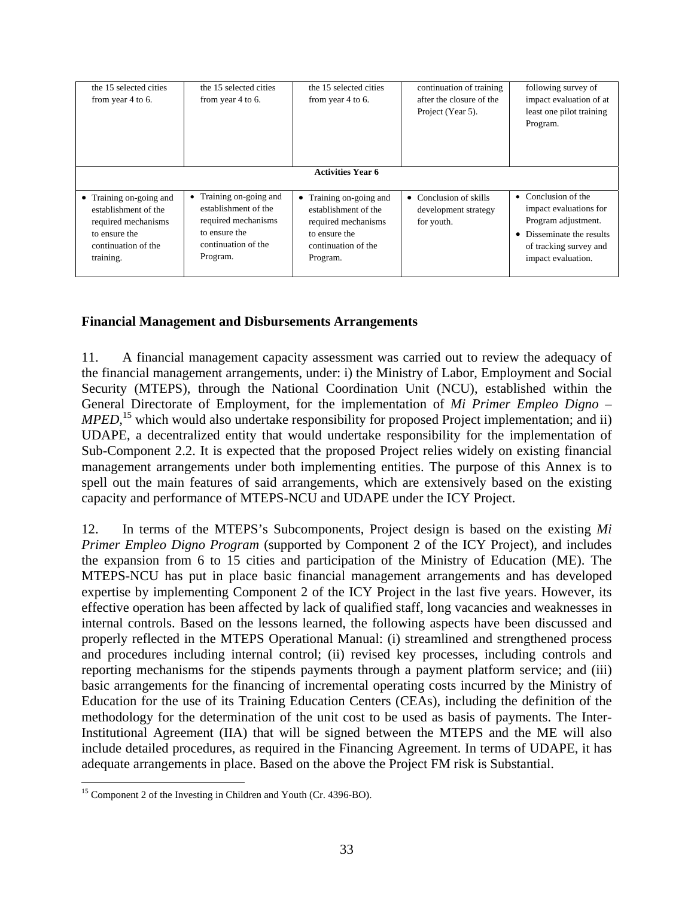| the 15 selected cities<br>from year 4 to 6.                                                                                 | the 15 selected cities<br>from year 4 to 6.                                                                                | the 15 selected cities<br>from year 4 to 6.                                                                                | continuation of training<br>after the closure of the<br>Project (Year 5). | following survey of<br>impact evaluation of at<br>least one pilot training<br>Program.                                                            |
|-----------------------------------------------------------------------------------------------------------------------------|----------------------------------------------------------------------------------------------------------------------------|----------------------------------------------------------------------------------------------------------------------------|---------------------------------------------------------------------------|---------------------------------------------------------------------------------------------------------------------------------------------------|
|                                                                                                                             |                                                                                                                            | <b>Activities Year 6</b>                                                                                                   |                                                                           |                                                                                                                                                   |
| • Training on-going and<br>establishment of the<br>required mechanisms<br>to ensure the<br>continuation of the<br>training. | • Training on-going and<br>establishment of the<br>required mechanisms<br>to ensure the<br>continuation of the<br>Program. | • Training on-going and<br>establishment of the<br>required mechanisms<br>to ensure the<br>continuation of the<br>Program. | $\bullet$ Conclusion of skills<br>development strategy<br>for youth.      | • Conclusion of the<br>impact evaluations for<br>Program adjustment.<br>• Disseminate the results<br>of tracking survey and<br>impact evaluation. |

# **Financial Management and Disbursements Arrangements**

11. A financial management capacity assessment was carried out to review the adequacy of the financial management arrangements, under: i) the Ministry of Labor, Employment and Social Security (MTEPS), through the National Coordination Unit (NCU), established within the General Directorate of Employment, for the implementation of *Mi Primer Empleo Digno – MPED*,<sup>15</sup> which would also undertake responsibility for proposed Project implementation; and ii) UDAPE, a decentralized entity that would undertake responsibility for the implementation of Sub-Component 2.2. It is expected that the proposed Project relies widely on existing financial management arrangements under both implementing entities. The purpose of this Annex is to spell out the main features of said arrangements, which are extensively based on the existing capacity and performance of MTEPS-NCU and UDAPE under the ICY Project.

12. In terms of the MTEPS's Subcomponents, Project design is based on the existing *Mi Primer Empleo Digno Program* (supported by Component 2 of the ICY Project), and includes the expansion from 6 to 15 cities and participation of the Ministry of Education (ME). The MTEPS-NCU has put in place basic financial management arrangements and has developed expertise by implementing Component 2 of the ICY Project in the last five years. However, its effective operation has been affected by lack of qualified staff, long vacancies and weaknesses in internal controls. Based on the lessons learned, the following aspects have been discussed and properly reflected in the MTEPS Operational Manual: (i) streamlined and strengthened process and procedures including internal control; (ii) revised key processes, including controls and reporting mechanisms for the stipends payments through a payment platform service; and (iii) basic arrangements for the financing of incremental operating costs incurred by the Ministry of Education for the use of its Training Education Centers (CEAs), including the definition of the methodology for the determination of the unit cost to be used as basis of payments. The Inter-Institutional Agreement (IIA) that will be signed between the MTEPS and the ME will also include detailed procedures, as required in the Financing Agreement. In terms of UDAPE, it has adequate arrangements in place. Based on the above the Project FM risk is Substantial.

 $\overline{a}$ <sup>15</sup> Component 2 of the Investing in Children and Youth (Cr. 4396-BO).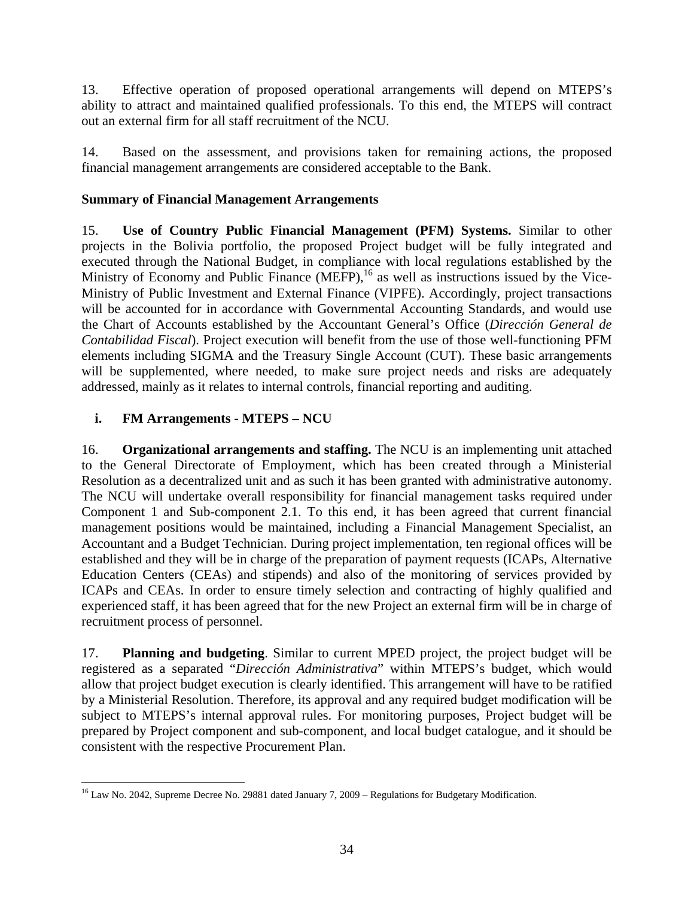13. Effective operation of proposed operational arrangements will depend on MTEPS's ability to attract and maintained qualified professionals. To this end, the MTEPS will contract out an external firm for all staff recruitment of the NCU.

14. Based on the assessment, and provisions taken for remaining actions, the proposed financial management arrangements are considered acceptable to the Bank.

# **Summary of Financial Management Arrangements**

15. **Use of Country Public Financial Management (PFM) Systems.** Similar to other projects in the Bolivia portfolio, the proposed Project budget will be fully integrated and executed through the National Budget, in compliance with local regulations established by the Ministry of Economy and Public Finance  $(MEFP)$ ,<sup>16</sup> as well as instructions issued by the Vice-Ministry of Public Investment and External Finance (VIPFE). Accordingly, project transactions will be accounted for in accordance with Governmental Accounting Standards, and would use the Chart of Accounts established by the Accountant General's Office (*Dirección General de Contabilidad Fiscal*). Project execution will benefit from the use of those well-functioning PFM elements including SIGMA and the Treasury Single Account (CUT). These basic arrangements will be supplemented, where needed, to make sure project needs and risks are adequately addressed, mainly as it relates to internal controls, financial reporting and auditing.

# **i. FM Arrangements - MTEPS – NCU**

16. **Organizational arrangements and staffing.** The NCU is an implementing unit attached to the General Directorate of Employment, which has been created through a Ministerial Resolution as a decentralized unit and as such it has been granted with administrative autonomy. The NCU will undertake overall responsibility for financial management tasks required under Component 1 and Sub-component 2.1. To this end, it has been agreed that current financial management positions would be maintained, including a Financial Management Specialist, an Accountant and a Budget Technician. During project implementation, ten regional offices will be established and they will be in charge of the preparation of payment requests (ICAPs, Alternative Education Centers (CEAs) and stipends) and also of the monitoring of services provided by ICAPs and CEAs. In order to ensure timely selection and contracting of highly qualified and experienced staff, it has been agreed that for the new Project an external firm will be in charge of recruitment process of personnel.

17. **Planning and budgeting**. Similar to current MPED project, the project budget will be registered as a separated "*Dirección Administrativa*" within MTEPS's budget, which would allow that project budget execution is clearly identified. This arrangement will have to be ratified by a Ministerial Resolution. Therefore, its approval and any required budget modification will be subject to MTEPS's internal approval rules. For monitoring purposes, Project budget will be prepared by Project component and sub-component, and local budget catalogue, and it should be consistent with the respective Procurement Plan.

 $\overline{a}$ <sup>16</sup> Law No. 2042, Supreme Decree No. 29881 dated January 7, 2009 – Regulations for Budgetary Modification.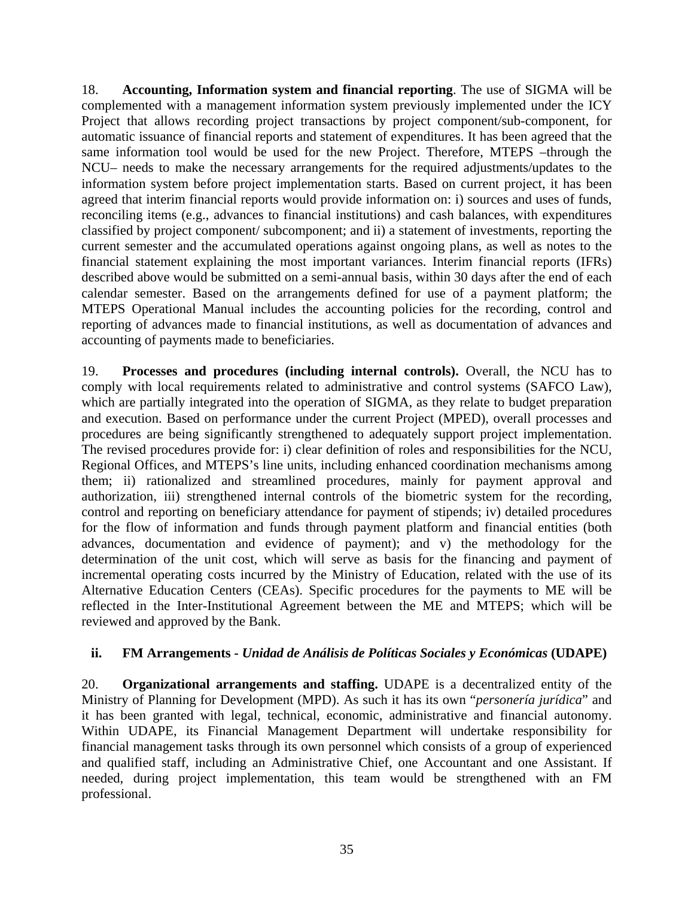18. **Accounting, Information system and financial reporting**. The use of SIGMA will be complemented with a management information system previously implemented under the ICY Project that allows recording project transactions by project component/sub-component, for automatic issuance of financial reports and statement of expenditures. It has been agreed that the same information tool would be used for the new Project. Therefore, MTEPS –through the NCU– needs to make the necessary arrangements for the required adjustments/updates to the information system before project implementation starts. Based on current project, it has been agreed that interim financial reports would provide information on: i) sources and uses of funds, reconciling items (e.g., advances to financial institutions) and cash balances, with expenditures classified by project component/ subcomponent; and ii) a statement of investments, reporting the current semester and the accumulated operations against ongoing plans, as well as notes to the financial statement explaining the most important variances. Interim financial reports (IFRs) described above would be submitted on a semi-annual basis, within 30 days after the end of each calendar semester. Based on the arrangements defined for use of a payment platform; the MTEPS Operational Manual includes the accounting policies for the recording, control and reporting of advances made to financial institutions, as well as documentation of advances and accounting of payments made to beneficiaries.

19. **Processes and procedures (including internal controls).** Overall, the NCU has to comply with local requirements related to administrative and control systems (SAFCO Law), which are partially integrated into the operation of SIGMA, as they relate to budget preparation and execution. Based on performance under the current Project (MPED), overall processes and procedures are being significantly strengthened to adequately support project implementation. The revised procedures provide for: i) clear definition of roles and responsibilities for the NCU, Regional Offices, and MTEPS's line units, including enhanced coordination mechanisms among them; ii) rationalized and streamlined procedures, mainly for payment approval and authorization, iii) strengthened internal controls of the biometric system for the recording, control and reporting on beneficiary attendance for payment of stipends; iv) detailed procedures for the flow of information and funds through payment platform and financial entities (both advances, documentation and evidence of payment); and v) the methodology for the determination of the unit cost, which will serve as basis for the financing and payment of incremental operating costs incurred by the Ministry of Education, related with the use of its Alternative Education Centers (CEAs). Specific procedures for the payments to ME will be reflected in the Inter-Institutional Agreement between the ME and MTEPS; which will be reviewed and approved by the Bank.

# **ii. FM Arrangements -** *Unidad de Análisis de Políticas Sociales y Económicas* **(UDAPE)**

20. **Organizational arrangements and staffing.** UDAPE is a decentralized entity of the Ministry of Planning for Development (MPD). As such it has its own "*personería jurídica*" and it has been granted with legal, technical, economic, administrative and financial autonomy. Within UDAPE, its Financial Management Department will undertake responsibility for financial management tasks through its own personnel which consists of a group of experienced and qualified staff, including an Administrative Chief, one Accountant and one Assistant. If needed, during project implementation, this team would be strengthened with an FM professional.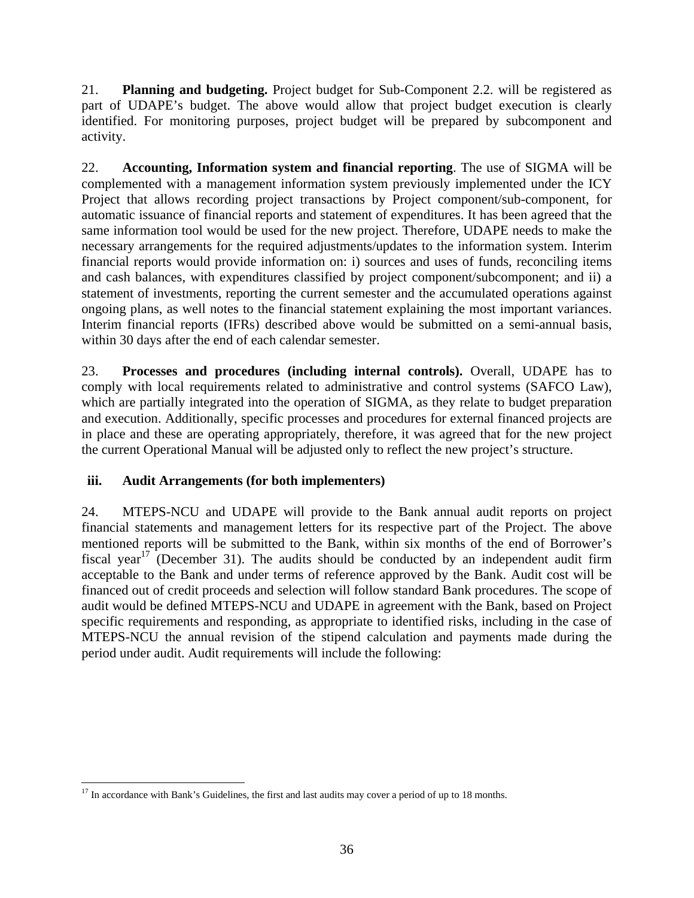21. **Planning and budgeting.** Project budget for Sub-Component 2.2. will be registered as part of UDAPE's budget. The above would allow that project budget execution is clearly identified. For monitoring purposes, project budget will be prepared by subcomponent and activity.

22. **Accounting, Information system and financial reporting**. The use of SIGMA will be complemented with a management information system previously implemented under the ICY Project that allows recording project transactions by Project component/sub-component, for automatic issuance of financial reports and statement of expenditures. It has been agreed that the same information tool would be used for the new project. Therefore, UDAPE needs to make the necessary arrangements for the required adjustments/updates to the information system. Interim financial reports would provide information on: i) sources and uses of funds, reconciling items and cash balances, with expenditures classified by project component/subcomponent; and ii) a statement of investments, reporting the current semester and the accumulated operations against ongoing plans, as well notes to the financial statement explaining the most important variances. Interim financial reports (IFRs) described above would be submitted on a semi-annual basis, within 30 days after the end of each calendar semester.

23. **Processes and procedures (including internal controls).** Overall, UDAPE has to comply with local requirements related to administrative and control systems (SAFCO Law), which are partially integrated into the operation of SIGMA, as they relate to budget preparation and execution. Additionally, specific processes and procedures for external financed projects are in place and these are operating appropriately, therefore, it was agreed that for the new project the current Operational Manual will be adjusted only to reflect the new project's structure.

# **iii. Audit Arrangements (for both implementers)**

24. MTEPS-NCU and UDAPE will provide to the Bank annual audit reports on project financial statements and management letters for its respective part of the Project. The above mentioned reports will be submitted to the Bank, within six months of the end of Borrower's fiscal year<sup>17</sup> (December 31). The audits should be conducted by an independent audit firm acceptable to the Bank and under terms of reference approved by the Bank. Audit cost will be financed out of credit proceeds and selection will follow standard Bank procedures. The scope of audit would be defined MTEPS-NCU and UDAPE in agreement with the Bank, based on Project specific requirements and responding, as appropriate to identified risks, including in the case of MTEPS-NCU the annual revision of the stipend calculation and payments made during the period under audit. Audit requirements will include the following:

 $\overline{a}$ <sup>17</sup> In accordance with Bank's Guidelines, the first and last audits may cover a period of up to 18 months.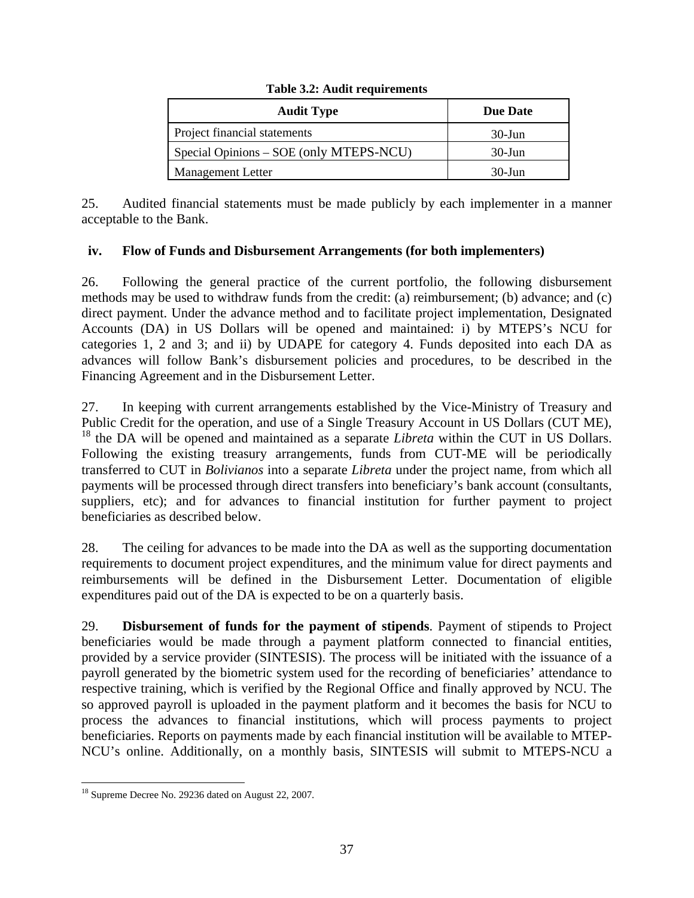### **Table 3.2: Audit requirements**

| <b>Audit Type</b>                       | <b>Due Date</b> |
|-----------------------------------------|-----------------|
| Project financial statements            | $30$ -Jun       |
| Special Opinions – SOE (only MTEPS-NCU) | $30$ -Jun       |
| <b>Management Letter</b>                | $30$ -Jun       |

25. Audited financial statements must be made publicly by each implementer in a manner acceptable to the Bank.

# **iv. Flow of Funds and Disbursement Arrangements (for both implementers)**

26. Following the general practice of the current portfolio, the following disbursement methods may be used to withdraw funds from the credit: (a) reimbursement; (b) advance; and (c) direct payment. Under the advance method and to facilitate project implementation, Designated Accounts (DA) in US Dollars will be opened and maintained: i) by MTEPS's NCU for categories 1, 2 and 3; and ii) by UDAPE for category 4. Funds deposited into each DA as advances will follow Bank's disbursement policies and procedures, to be described in the Financing Agreement and in the Disbursement Letter.

27. In keeping with current arrangements established by the Vice-Ministry of Treasury and Public Credit for the operation, and use of a Single Treasury Account in US Dollars (CUT ME), <sup>18</sup> the DA will be opened and maintained as a separate *Libreta* within the CUT in US Dollars. Following the existing treasury arrangements, funds from CUT-ME will be periodically transferred to CUT in *Bolivianos* into a separate *Libreta* under the project name, from which all payments will be processed through direct transfers into beneficiary's bank account (consultants, suppliers, etc); and for advances to financial institution for further payment to project beneficiaries as described below.

28. The ceiling for advances to be made into the DA as well as the supporting documentation requirements to document project expenditures, and the minimum value for direct payments and reimbursements will be defined in the Disbursement Letter. Documentation of eligible expenditures paid out of the DA is expected to be on a quarterly basis.

29. **Disbursement of funds for the payment of stipends**. Payment of stipends to Project beneficiaries would be made through a payment platform connected to financial entities, provided by a service provider (SINTESIS). The process will be initiated with the issuance of a payroll generated by the biometric system used for the recording of beneficiaries' attendance to respective training, which is verified by the Regional Office and finally approved by NCU. The so approved payroll is uploaded in the payment platform and it becomes the basis for NCU to process the advances to financial institutions, which will process payments to project beneficiaries. Reports on payments made by each financial institution will be available to MTEP-NCU's online. Additionally, on a monthly basis, SINTESIS will submit to MTEPS-NCU a

 $\overline{a}$ <sup>18</sup> Supreme Decree No. 29236 dated on August 22, 2007.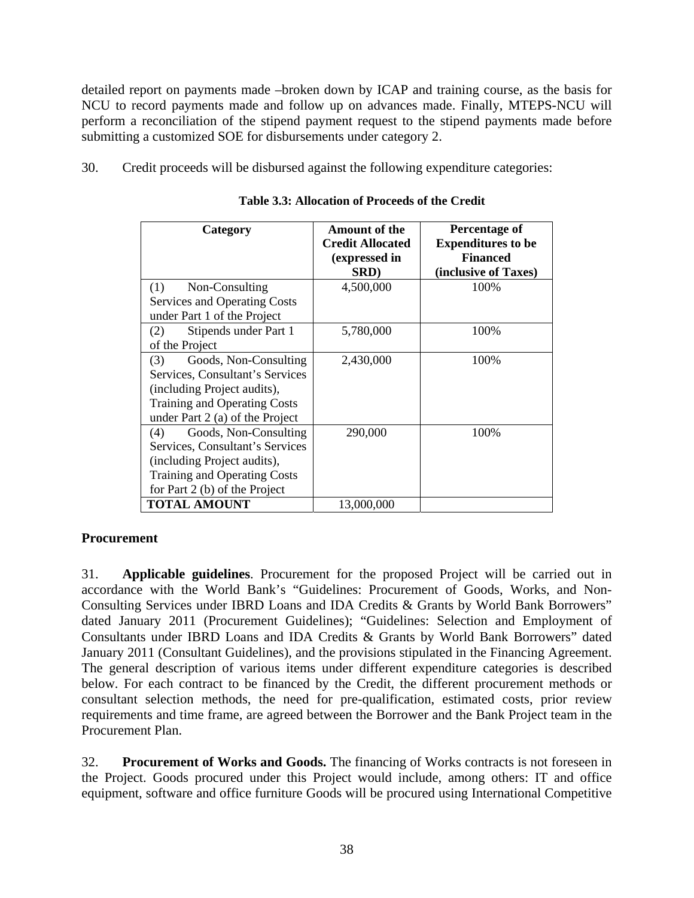detailed report on payments made –broken down by ICAP and training course, as the basis for NCU to record payments made and follow up on advances made. Finally, MTEPS-NCU will perform a reconciliation of the stipend payment request to the stipend payments made before submitting a customized SOE for disbursements under category 2.

30. Credit proceeds will be disbursed against the following expenditure categories:

| Category                            | <b>Amount of the</b><br><b>Credit Allocated</b><br>(expressed in<br>SRD) | Percentage of<br><b>Expenditures to be</b><br><b>Financed</b><br>(inclusive of Taxes) |
|-------------------------------------|--------------------------------------------------------------------------|---------------------------------------------------------------------------------------|
| (1)<br>Non-Consulting               | 4,500,000                                                                | 100%                                                                                  |
| Services and Operating Costs        |                                                                          |                                                                                       |
| under Part 1 of the Project         |                                                                          |                                                                                       |
| Stipends under Part 1<br>(2)        | 5,780,000                                                                | 100%                                                                                  |
| of the Project                      |                                                                          |                                                                                       |
| Goods, Non-Consulting<br>(3)        | 2,430,000                                                                | 100%                                                                                  |
| Services, Consultant's Services     |                                                                          |                                                                                       |
| (including Project audits),         |                                                                          |                                                                                       |
| <b>Training and Operating Costs</b> |                                                                          |                                                                                       |
| under Part 2 (a) of the Project     |                                                                          |                                                                                       |
| Goods, Non-Consulting<br>(4)        | 290,000                                                                  | 100%                                                                                  |
| Services, Consultant's Services     |                                                                          |                                                                                       |
| (including Project audits),         |                                                                          |                                                                                       |
| Training and Operating Costs        |                                                                          |                                                                                       |
| for Part 2 (b) of the Project       |                                                                          |                                                                                       |
| <b>TOTAL AMOUNT</b>                 | 13,000,000                                                               |                                                                                       |

**Table 3.3: Allocation of Proceeds of the Credit** 

# **Procurement**

31. **Applicable guidelines**. Procurement for the proposed Project will be carried out in accordance with the World Bank's "Guidelines: Procurement of Goods, Works, and Non-Consulting Services under IBRD Loans and IDA Credits & Grants by World Bank Borrowers" dated January 2011 (Procurement Guidelines); "Guidelines: Selection and Employment of Consultants under IBRD Loans and IDA Credits & Grants by World Bank Borrowers" dated January 2011 (Consultant Guidelines), and the provisions stipulated in the Financing Agreement. The general description of various items under different expenditure categories is described below. For each contract to be financed by the Credit, the different procurement methods or consultant selection methods, the need for pre-qualification, estimated costs, prior review requirements and time frame, are agreed between the Borrower and the Bank Project team in the Procurement Plan.

32. **Procurement of Works and Goods.** The financing of Works contracts is not foreseen in the Project. Goods procured under this Project would include, among others: IT and office equipment, software and office furniture Goods will be procured using International Competitive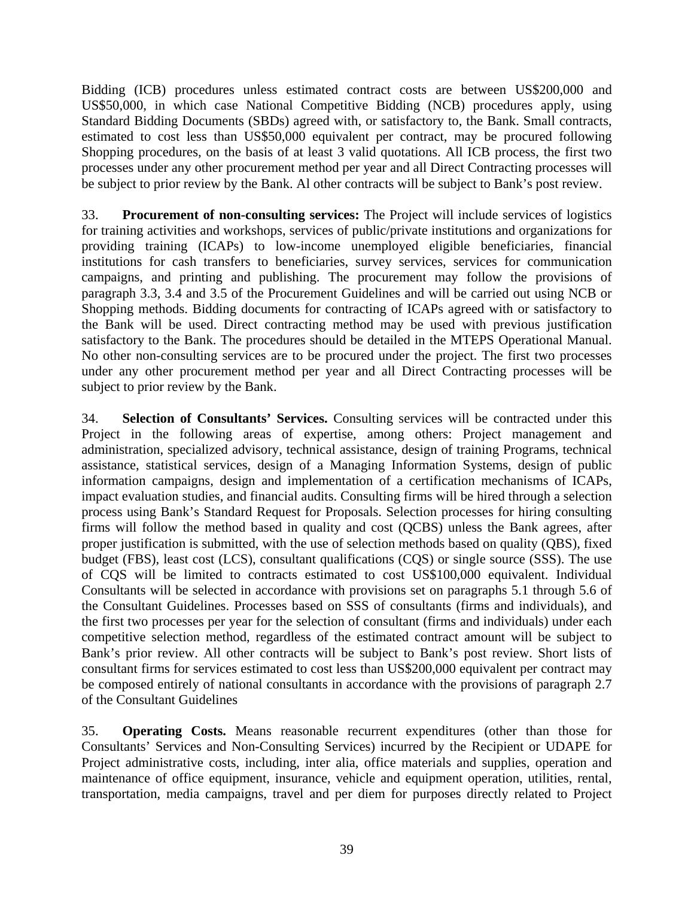Bidding (ICB) procedures unless estimated contract costs are between US\$200,000 and US\$50,000, in which case National Competitive Bidding (NCB) procedures apply, using Standard Bidding Documents (SBDs) agreed with, or satisfactory to, the Bank. Small contracts, estimated to cost less than US\$50,000 equivalent per contract, may be procured following Shopping procedures, on the basis of at least 3 valid quotations. All ICB process, the first two processes under any other procurement method per year and all Direct Contracting processes will be subject to prior review by the Bank. Al other contracts will be subject to Bank's post review.

33. **Procurement of non-consulting services:** The Project will include services of logistics for training activities and workshops, services of public/private institutions and organizations for providing training (ICAPs) to low-income unemployed eligible beneficiaries, financial institutions for cash transfers to beneficiaries, survey services, services for communication campaigns, and printing and publishing. The procurement may follow the provisions of paragraph 3.3, 3.4 and 3.5 of the Procurement Guidelines and will be carried out using NCB or Shopping methods. Bidding documents for contracting of ICAPs agreed with or satisfactory to the Bank will be used. Direct contracting method may be used with previous justification satisfactory to the Bank. The procedures should be detailed in the MTEPS Operational Manual. No other non-consulting services are to be procured under the project. The first two processes under any other procurement method per year and all Direct Contracting processes will be subject to prior review by the Bank.

34. **Selection of Consultants' Services.** Consulting services will be contracted under this Project in the following areas of expertise, among others: Project management and administration, specialized advisory, technical assistance, design of training Programs, technical assistance, statistical services, design of a Managing Information Systems, design of public information campaigns, design and implementation of a certification mechanisms of ICAPs, impact evaluation studies, and financial audits. Consulting firms will be hired through a selection process using Bank's Standard Request for Proposals. Selection processes for hiring consulting firms will follow the method based in quality and cost (QCBS) unless the Bank agrees, after proper justification is submitted, with the use of selection methods based on quality (QBS), fixed budget (FBS), least cost (LCS), consultant qualifications (CQS) or single source (SSS). The use of CQS will be limited to contracts estimated to cost US\$100,000 equivalent. Individual Consultants will be selected in accordance with provisions set on paragraphs 5.1 through 5.6 of the Consultant Guidelines. Processes based on SSS of consultants (firms and individuals), and the first two processes per year for the selection of consultant (firms and individuals) under each competitive selection method, regardless of the estimated contract amount will be subject to Bank's prior review. All other contracts will be subject to Bank's post review. Short lists of consultant firms for services estimated to cost less than US\$200,000 equivalent per contract may be composed entirely of national consultants in accordance with the provisions of paragraph 2.7 of the Consultant Guidelines

35. **Operating Costs.** Means reasonable recurrent expenditures (other than those for Consultants' Services and Non-Consulting Services) incurred by the Recipient or UDAPE for Project administrative costs, including, inter alia, office materials and supplies, operation and maintenance of office equipment, insurance, vehicle and equipment operation, utilities, rental, transportation, media campaigns, travel and per diem for purposes directly related to Project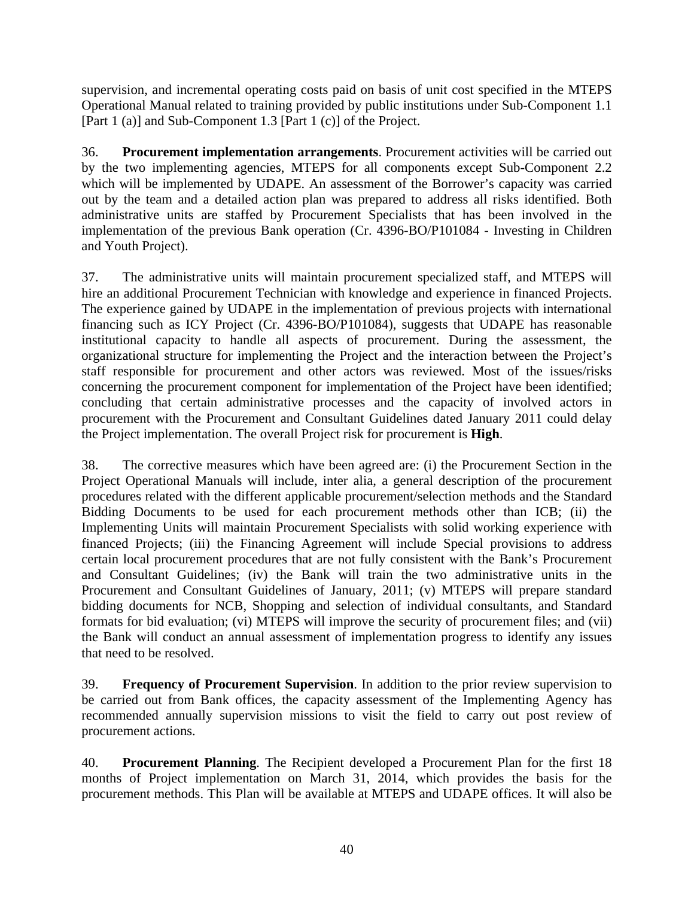supervision, and incremental operating costs paid on basis of unit cost specified in the MTEPS Operational Manual related to training provided by public institutions under Sub-Component 1.1 [Part 1 (a)] and Sub-Component 1.3 [Part 1 (c)] of the Project.

36. **Procurement implementation arrangements**. Procurement activities will be carried out by the two implementing agencies, MTEPS for all components except Sub-Component 2.2 which will be implemented by UDAPE. An assessment of the Borrower's capacity was carried out by the team and a detailed action plan was prepared to address all risks identified. Both administrative units are staffed by Procurement Specialists that has been involved in the implementation of the previous Bank operation (Cr. 4396-BO/P101084 - Investing in Children and Youth Project).

37. The administrative units will maintain procurement specialized staff, and MTEPS will hire an additional Procurement Technician with knowledge and experience in financed Projects. The experience gained by UDAPE in the implementation of previous projects with international financing such as ICY Project (Cr. 4396-BO/P101084), suggests that UDAPE has reasonable institutional capacity to handle all aspects of procurement. During the assessment, the organizational structure for implementing the Project and the interaction between the Project's staff responsible for procurement and other actors was reviewed. Most of the issues/risks concerning the procurement component for implementation of the Project have been identified; concluding that certain administrative processes and the capacity of involved actors in procurement with the Procurement and Consultant Guidelines dated January 2011 could delay the Project implementation. The overall Project risk for procurement is **High**.

38. The corrective measures which have been agreed are: (i) the Procurement Section in the Project Operational Manuals will include, inter alia, a general description of the procurement procedures related with the different applicable procurement/selection methods and the Standard Bidding Documents to be used for each procurement methods other than ICB; (ii) the Implementing Units will maintain Procurement Specialists with solid working experience with financed Projects; (iii) the Financing Agreement will include Special provisions to address certain local procurement procedures that are not fully consistent with the Bank's Procurement and Consultant Guidelines; (iv) the Bank will train the two administrative units in the Procurement and Consultant Guidelines of January, 2011; (v) MTEPS will prepare standard bidding documents for NCB, Shopping and selection of individual consultants, and Standard formats for bid evaluation; (vi) MTEPS will improve the security of procurement files; and (vii) the Bank will conduct an annual assessment of implementation progress to identify any issues that need to be resolved.

39. **Frequency of Procurement Supervision**. In addition to the prior review supervision to be carried out from Bank offices, the capacity assessment of the Implementing Agency has recommended annually supervision missions to visit the field to carry out post review of procurement actions.

40. **Procurement Planning**. The Recipient developed a Procurement Plan for the first 18 months of Project implementation on March 31, 2014, which provides the basis for the procurement methods. This Plan will be available at MTEPS and UDAPE offices. It will also be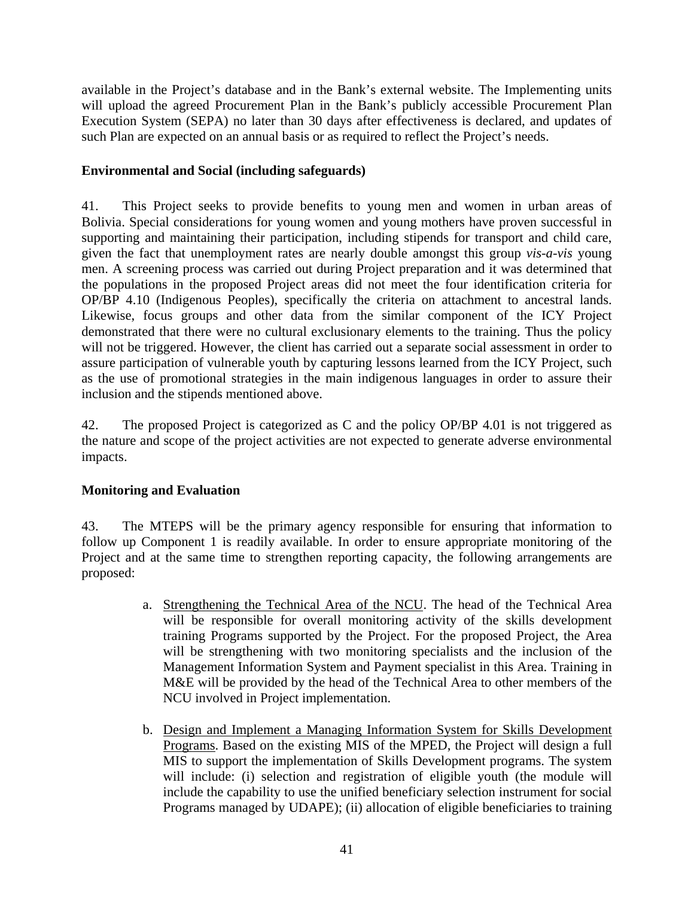available in the Project's database and in the Bank's external website. The Implementing units will upload the agreed Procurement Plan in the Bank's publicly accessible Procurement Plan Execution System (SEPA) no later than 30 days after effectiveness is declared, and updates of such Plan are expected on an annual basis or as required to reflect the Project's needs.

# **Environmental and Social (including safeguards)**

41. This Project seeks to provide benefits to young men and women in urban areas of Bolivia. Special considerations for young women and young mothers have proven successful in supporting and maintaining their participation, including stipends for transport and child care, given the fact that unemployment rates are nearly double amongst this group *vis-a-vis* young men. A screening process was carried out during Project preparation and it was determined that the populations in the proposed Project areas did not meet the four identification criteria for OP/BP 4.10 (Indigenous Peoples), specifically the criteria on attachment to ancestral lands. Likewise, focus groups and other data from the similar component of the ICY Project demonstrated that there were no cultural exclusionary elements to the training. Thus the policy will not be triggered. However, the client has carried out a separate social assessment in order to assure participation of vulnerable youth by capturing lessons learned from the ICY Project, such as the use of promotional strategies in the main indigenous languages in order to assure their inclusion and the stipends mentioned above.

42. The proposed Project is categorized as C and the policy OP/BP 4.01 is not triggered as the nature and scope of the project activities are not expected to generate adverse environmental impacts.

# **Monitoring and Evaluation**

43. The MTEPS will be the primary agency responsible for ensuring that information to follow up Component 1 is readily available. In order to ensure appropriate monitoring of the Project and at the same time to strengthen reporting capacity, the following arrangements are proposed:

- a. Strengthening the Technical Area of the NCU. The head of the Technical Area will be responsible for overall monitoring activity of the skills development training Programs supported by the Project. For the proposed Project, the Area will be strengthening with two monitoring specialists and the inclusion of the Management Information System and Payment specialist in this Area. Training in M&E will be provided by the head of the Technical Area to other members of the NCU involved in Project implementation.
- b. Design and Implement a Managing Information System for Skills Development Programs. Based on the existing MIS of the MPED, the Project will design a full MIS to support the implementation of Skills Development programs. The system will include: (i) selection and registration of eligible youth (the module will include the capability to use the unified beneficiary selection instrument for social Programs managed by UDAPE); (ii) allocation of eligible beneficiaries to training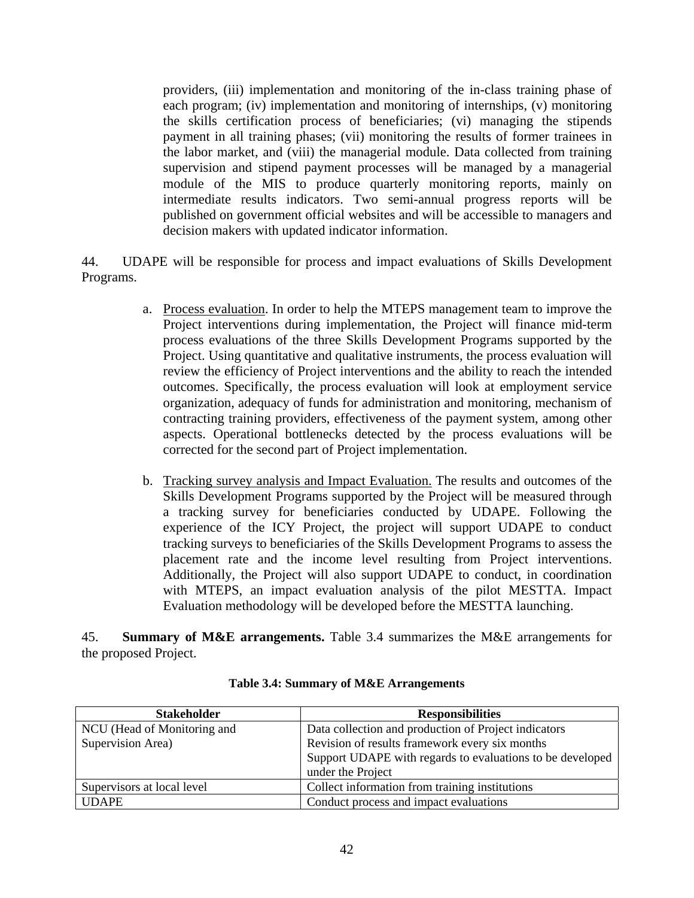providers, (iii) implementation and monitoring of the in-class training phase of each program; (iv) implementation and monitoring of internships, (v) monitoring the skills certification process of beneficiaries; (vi) managing the stipends payment in all training phases; (vii) monitoring the results of former trainees in the labor market, and (viii) the managerial module. Data collected from training supervision and stipend payment processes will be managed by a managerial module of the MIS to produce quarterly monitoring reports, mainly on intermediate results indicators. Two semi-annual progress reports will be published on government official websites and will be accessible to managers and decision makers with updated indicator information.

44. UDAPE will be responsible for process and impact evaluations of Skills Development Programs.

- a. Process evaluation. In order to help the MTEPS management team to improve the Project interventions during implementation, the Project will finance mid-term process evaluations of the three Skills Development Programs supported by the Project. Using quantitative and qualitative instruments, the process evaluation will review the efficiency of Project interventions and the ability to reach the intended outcomes. Specifically, the process evaluation will look at employment service organization, adequacy of funds for administration and monitoring, mechanism of contracting training providers, effectiveness of the payment system, among other aspects. Operational bottlenecks detected by the process evaluations will be corrected for the second part of Project implementation.
- b. Tracking survey analysis and Impact Evaluation. The results and outcomes of the Skills Development Programs supported by the Project will be measured through a tracking survey for beneficiaries conducted by UDAPE. Following the experience of the ICY Project, the project will support UDAPE to conduct tracking surveys to beneficiaries of the Skills Development Programs to assess the placement rate and the income level resulting from Project interventions. Additionally, the Project will also support UDAPE to conduct, in coordination with MTEPS, an impact evaluation analysis of the pilot MESTTA. Impact Evaluation methodology will be developed before the MESTTA launching.

45. **Summary of M&E arrangements.** Table 3.4 summarizes the M&E arrangements for the proposed Project.

| <b>Stakeholder</b>          | <b>Responsibilities</b>                                   |
|-----------------------------|-----------------------------------------------------------|
| NCU (Head of Monitoring and | Data collection and production of Project indicators      |
| Supervision Area)           | Revision of results framework every six months            |
|                             | Support UDAPE with regards to evaluations to be developed |
|                             | under the Project                                         |
| Supervisors at local level  | Collect information from training institutions            |
| <b>UDAPE</b>                | Conduct process and impact evaluations                    |

### **Table 3.4: Summary of M&E Arrangements**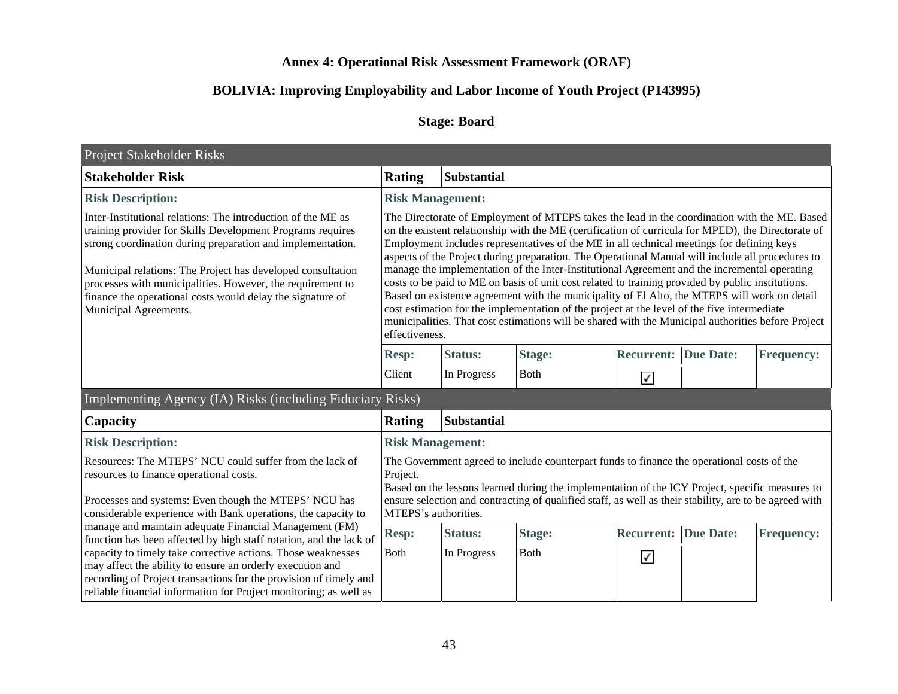# **Annex 4: Operational Risk Assessment Framework (ORAF)**

# **BOLIVIA: Improving Employability and Labor Income of Youth Project (P143995)**

# **Stage: Board**

| Project Stakeholder Risks                                                                                                                                                                                                                                                                                                                                                                                    |                                                                                                                                                                                                                                                                                                                                                                                                                                                                                                                                                                                                                                                                                                                                                                                                                                                                                                                                 |                         |               |                             |                  |                   |
|--------------------------------------------------------------------------------------------------------------------------------------------------------------------------------------------------------------------------------------------------------------------------------------------------------------------------------------------------------------------------------------------------------------|---------------------------------------------------------------------------------------------------------------------------------------------------------------------------------------------------------------------------------------------------------------------------------------------------------------------------------------------------------------------------------------------------------------------------------------------------------------------------------------------------------------------------------------------------------------------------------------------------------------------------------------------------------------------------------------------------------------------------------------------------------------------------------------------------------------------------------------------------------------------------------------------------------------------------------|-------------------------|---------------|-----------------------------|------------------|-------------------|
| <b>Stakeholder Risk</b>                                                                                                                                                                                                                                                                                                                                                                                      | <b>Rating</b>                                                                                                                                                                                                                                                                                                                                                                                                                                                                                                                                                                                                                                                                                                                                                                                                                                                                                                                   | Substantial             |               |                             |                  |                   |
| <b>Risk Description:</b>                                                                                                                                                                                                                                                                                                                                                                                     |                                                                                                                                                                                                                                                                                                                                                                                                                                                                                                                                                                                                                                                                                                                                                                                                                                                                                                                                 | <b>Risk Management:</b> |               |                             |                  |                   |
| Inter-Institutional relations: The introduction of the ME as<br>training provider for Skills Development Programs requires<br>strong coordination during preparation and implementation.<br>Municipal relations: The Project has developed consultation<br>processes with municipalities. However, the requirement to<br>finance the operational costs would delay the signature of<br>Municipal Agreements. | The Directorate of Employment of MTEPS takes the lead in the coordination with the ME. Based<br>on the existent relationship with the ME (certification of curricula for MPED), the Directorate of<br>Employment includes representatives of the ME in all technical meetings for defining keys<br>aspects of the Project during preparation. The Operational Manual will include all procedures to<br>manage the implementation of the Inter-Institutional Agreement and the incremental operating<br>costs to be paid to ME on basis of unit cost related to training provided by public institutions.<br>Based on existence agreement with the municipality of El Alto, the MTEPS will work on detail<br>cost estimation for the implementation of the project at the level of the five intermediate<br>municipalities. That cost estimations will be shared with the Municipal authorities before Project<br>effectiveness. |                         |               |                             |                  |                   |
|                                                                                                                                                                                                                                                                                                                                                                                                              | <b>Resp:</b>                                                                                                                                                                                                                                                                                                                                                                                                                                                                                                                                                                                                                                                                                                                                                                                                                                                                                                                    | <b>Status:</b>          | <b>Stage:</b> | <b>Recurrent:</b>           | <b>Due Date:</b> | <b>Frequency:</b> |
|                                                                                                                                                                                                                                                                                                                                                                                                              | Client                                                                                                                                                                                                                                                                                                                                                                                                                                                                                                                                                                                                                                                                                                                                                                                                                                                                                                                          | In Progress             | <b>Both</b>   | √                           |                  |                   |
| Implementing Agency (IA) Risks (including Fiduciary Risks)                                                                                                                                                                                                                                                                                                                                                   |                                                                                                                                                                                                                                                                                                                                                                                                                                                                                                                                                                                                                                                                                                                                                                                                                                                                                                                                 |                         |               |                             |                  |                   |
| Capacity                                                                                                                                                                                                                                                                                                                                                                                                     | <b>Substantial</b><br><b>Rating</b>                                                                                                                                                                                                                                                                                                                                                                                                                                                                                                                                                                                                                                                                                                                                                                                                                                                                                             |                         |               |                             |                  |                   |
| <b>Risk Description:</b>                                                                                                                                                                                                                                                                                                                                                                                     | <b>Risk Management:</b>                                                                                                                                                                                                                                                                                                                                                                                                                                                                                                                                                                                                                                                                                                                                                                                                                                                                                                         |                         |               |                             |                  |                   |
| Resources: The MTEPS' NCU could suffer from the lack of<br>resources to finance operational costs.<br>Processes and systems: Even though the MTEPS' NCU has<br>considerable experience with Bank operations, the capacity to                                                                                                                                                                                 | The Government agreed to include counterpart funds to finance the operational costs of the<br>Project.<br>Based on the lessons learned during the implementation of the ICY Project, specific measures to<br>ensure selection and contracting of qualified staff, as well as their stability, are to be agreed with<br>MTEPS's authorities.                                                                                                                                                                                                                                                                                                                                                                                                                                                                                                                                                                                     |                         |               |                             |                  |                   |
| manage and maintain adequate Financial Management (FM)<br>function has been affected by high staff rotation, and the lack of                                                                                                                                                                                                                                                                                 | <b>Resp:</b>                                                                                                                                                                                                                                                                                                                                                                                                                                                                                                                                                                                                                                                                                                                                                                                                                                                                                                                    | <b>Status:</b>          | <b>Stage:</b> | <b>Recurrent: Due Date:</b> |                  | <b>Frequency:</b> |
| capacity to timely take corrective actions. Those weaknesses<br>may affect the ability to ensure an orderly execution and<br>recording of Project transactions for the provision of timely and<br>reliable financial information for Project monitoring; as well as                                                                                                                                          | <b>B</b> oth                                                                                                                                                                                                                                                                                                                                                                                                                                                                                                                                                                                                                                                                                                                                                                                                                                                                                                                    | In Progress             | <b>Both</b>   | $\checkmark$                |                  |                   |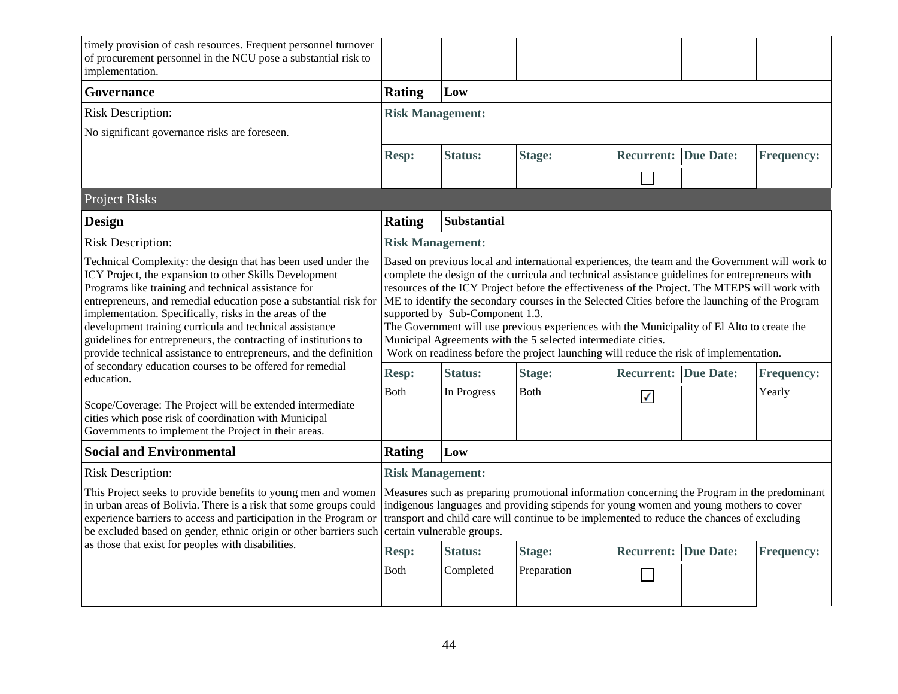| timely provision of cash resources. Frequent personnel turnover<br>of procurement personnel in the NCU pose a substantial risk to<br>implementation.                                                                                                                                                                                                                                                                                                                                                               |                                                                                                                                                                                                                                                                                                                                                                                                                                                                                                                                                                                                                                                                                                      |                            |                                                                                                                                                                                                                                                                                       |                             |  |                   |
|--------------------------------------------------------------------------------------------------------------------------------------------------------------------------------------------------------------------------------------------------------------------------------------------------------------------------------------------------------------------------------------------------------------------------------------------------------------------------------------------------------------------|------------------------------------------------------------------------------------------------------------------------------------------------------------------------------------------------------------------------------------------------------------------------------------------------------------------------------------------------------------------------------------------------------------------------------------------------------------------------------------------------------------------------------------------------------------------------------------------------------------------------------------------------------------------------------------------------------|----------------------------|---------------------------------------------------------------------------------------------------------------------------------------------------------------------------------------------------------------------------------------------------------------------------------------|-----------------------------|--|-------------------|
| Governance                                                                                                                                                                                                                                                                                                                                                                                                                                                                                                         | <b>Rating</b>                                                                                                                                                                                                                                                                                                                                                                                                                                                                                                                                                                                                                                                                                        | Low                        |                                                                                                                                                                                                                                                                                       |                             |  |                   |
| <b>Risk Description:</b>                                                                                                                                                                                                                                                                                                                                                                                                                                                                                           | <b>Risk Management:</b>                                                                                                                                                                                                                                                                                                                                                                                                                                                                                                                                                                                                                                                                              |                            |                                                                                                                                                                                                                                                                                       |                             |  |                   |
| No significant governance risks are foreseen.                                                                                                                                                                                                                                                                                                                                                                                                                                                                      |                                                                                                                                                                                                                                                                                                                                                                                                                                                                                                                                                                                                                                                                                                      |                            |                                                                                                                                                                                                                                                                                       |                             |  |                   |
|                                                                                                                                                                                                                                                                                                                                                                                                                                                                                                                    | <b>Resp:</b>                                                                                                                                                                                                                                                                                                                                                                                                                                                                                                                                                                                                                                                                                         | <b>Status:</b>             | <b>Stage:</b>                                                                                                                                                                                                                                                                         | <b>Recurrent: Due Date:</b> |  | <b>Frequency:</b> |
|                                                                                                                                                                                                                                                                                                                                                                                                                                                                                                                    |                                                                                                                                                                                                                                                                                                                                                                                                                                                                                                                                                                                                                                                                                                      |                            |                                                                                                                                                                                                                                                                                       | Г                           |  |                   |
| <b>Project Risks</b>                                                                                                                                                                                                                                                                                                                                                                                                                                                                                               |                                                                                                                                                                                                                                                                                                                                                                                                                                                                                                                                                                                                                                                                                                      |                            |                                                                                                                                                                                                                                                                                       |                             |  |                   |
| <b>Design</b>                                                                                                                                                                                                                                                                                                                                                                                                                                                                                                      | <b>Rating</b>                                                                                                                                                                                                                                                                                                                                                                                                                                                                                                                                                                                                                                                                                        | Substantial                |                                                                                                                                                                                                                                                                                       |                             |  |                   |
| <b>Risk Description:</b>                                                                                                                                                                                                                                                                                                                                                                                                                                                                                           | <b>Risk Management:</b>                                                                                                                                                                                                                                                                                                                                                                                                                                                                                                                                                                                                                                                                              |                            |                                                                                                                                                                                                                                                                                       |                             |  |                   |
| Technical Complexity: the design that has been used under the<br>ICY Project, the expansion to other Skills Development<br>Programs like training and technical assistance for<br>entrepreneurs, and remedial education pose a substantial risk for<br>implementation. Specifically, risks in the areas of the<br>development training curricula and technical assistance<br>guidelines for entrepreneurs, the contracting of institutions to<br>provide technical assistance to entrepreneurs, and the definition | Based on previous local and international experiences, the team and the Government will work to<br>complete the design of the curricula and technical assistance guidelines for entrepreneurs with<br>resources of the ICY Project before the effectiveness of the Project. The MTEPS will work with<br>ME to identify the secondary courses in the Selected Cities before the launching of the Program<br>supported by Sub-Component 1.3.<br>The Government will use previous experiences with the Municipality of El Alto to create the<br>Municipal Agreements with the 5 selected intermediate cities.<br>Work on readiness before the project launching will reduce the risk of implementation. |                            |                                                                                                                                                                                                                                                                                       |                             |  |                   |
| of secondary education courses to be offered for remedial<br>education.                                                                                                                                                                                                                                                                                                                                                                                                                                            | <b>Resp:</b>                                                                                                                                                                                                                                                                                                                                                                                                                                                                                                                                                                                                                                                                                         | <b>Status:</b>             | <b>Stage:</b>                                                                                                                                                                                                                                                                         | <b>Recurrent: Due Date:</b> |  | <b>Frequency:</b> |
| Scope/Coverage: The Project will be extended intermediate<br>cities which pose risk of coordination with Municipal<br>Governments to implement the Project in their areas.                                                                                                                                                                                                                                                                                                                                         | <b>Both</b>                                                                                                                                                                                                                                                                                                                                                                                                                                                                                                                                                                                                                                                                                          | In Progress                | <b>B</b> oth                                                                                                                                                                                                                                                                          | ✓                           |  | Yearly            |
| <b>Social and Environmental</b>                                                                                                                                                                                                                                                                                                                                                                                                                                                                                    | <b>Rating</b>                                                                                                                                                                                                                                                                                                                                                                                                                                                                                                                                                                                                                                                                                        | Low                        |                                                                                                                                                                                                                                                                                       |                             |  |                   |
| <b>Risk Description:</b>                                                                                                                                                                                                                                                                                                                                                                                                                                                                                           |                                                                                                                                                                                                                                                                                                                                                                                                                                                                                                                                                                                                                                                                                                      | <b>Risk Management:</b>    |                                                                                                                                                                                                                                                                                       |                             |  |                   |
| This Project seeks to provide benefits to young men and women<br>in urban areas of Bolivia. There is a risk that some groups could<br>experience barriers to access and participation in the Program or<br>be excluded based on gender, ethnic origin or other barriers such                                                                                                                                                                                                                                       |                                                                                                                                                                                                                                                                                                                                                                                                                                                                                                                                                                                                                                                                                                      | certain vulnerable groups. | Measures such as preparing promotional information concerning the Program in the predominant<br>indigenous languages and providing stipends for young women and young mothers to cover<br>transport and child care will continue to be implemented to reduce the chances of excluding |                             |  |                   |
| as those that exist for peoples with disabilities.                                                                                                                                                                                                                                                                                                                                                                                                                                                                 | <b>Resp:</b>                                                                                                                                                                                                                                                                                                                                                                                                                                                                                                                                                                                                                                                                                         | <b>Status:</b>             | <b>Stage:</b>                                                                                                                                                                                                                                                                         | <b>Recurrent: Due Date:</b> |  | <b>Frequency:</b> |
|                                                                                                                                                                                                                                                                                                                                                                                                                                                                                                                    | <b>Both</b>                                                                                                                                                                                                                                                                                                                                                                                                                                                                                                                                                                                                                                                                                          | Completed                  | Preparation                                                                                                                                                                                                                                                                           |                             |  |                   |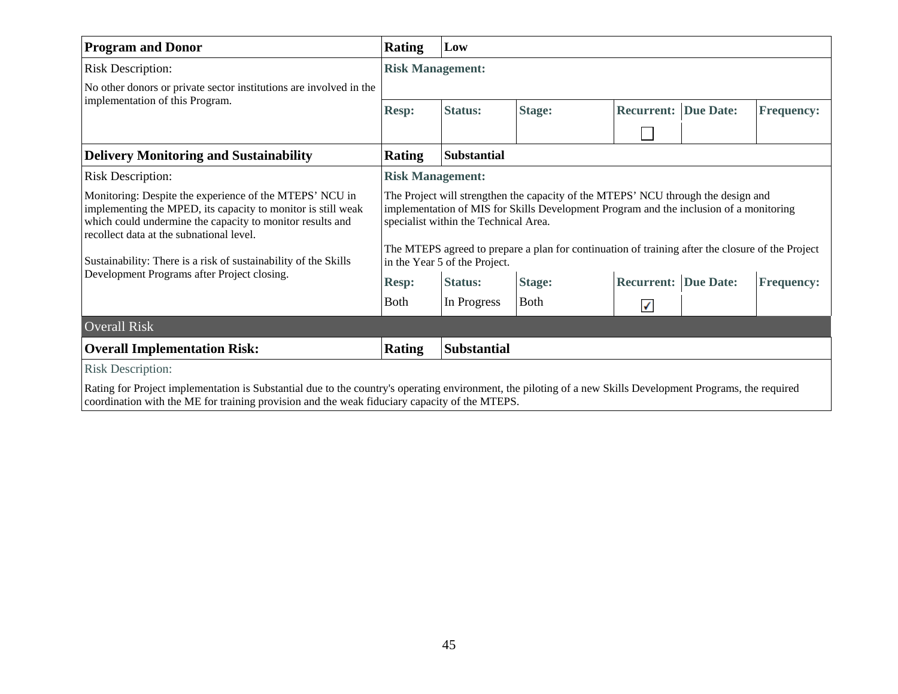| <b>Program and Donor</b>                                                                                                                                                                                                                                                                            | <b>Rating</b>                                                                                                                                                                                                                                                                                                                                             | Low                     |               |                             |  |                   |
|-----------------------------------------------------------------------------------------------------------------------------------------------------------------------------------------------------------------------------------------------------------------------------------------------------|-----------------------------------------------------------------------------------------------------------------------------------------------------------------------------------------------------------------------------------------------------------------------------------------------------------------------------------------------------------|-------------------------|---------------|-----------------------------|--|-------------------|
| <b>Risk Description:</b>                                                                                                                                                                                                                                                                            |                                                                                                                                                                                                                                                                                                                                                           | <b>Risk Management:</b> |               |                             |  |                   |
| No other donors or private sector institutions are involved in the                                                                                                                                                                                                                                  |                                                                                                                                                                                                                                                                                                                                                           |                         |               |                             |  |                   |
| implementation of this Program.                                                                                                                                                                                                                                                                     | <b>Resp:</b>                                                                                                                                                                                                                                                                                                                                              | <b>Status:</b>          | <b>Stage:</b> | <b>Recurrent: Due Date:</b> |  | <b>Frequency:</b> |
|                                                                                                                                                                                                                                                                                                     |                                                                                                                                                                                                                                                                                                                                                           |                         |               |                             |  |                   |
| <b>Delivery Monitoring and Sustainability</b>                                                                                                                                                                                                                                                       | <b>Rating</b>                                                                                                                                                                                                                                                                                                                                             | <b>Substantial</b>      |               |                             |  |                   |
| <b>Risk Description:</b>                                                                                                                                                                                                                                                                            | <b>Risk Management:</b>                                                                                                                                                                                                                                                                                                                                   |                         |               |                             |  |                   |
| Monitoring: Despite the experience of the MTEPS' NCU in<br>implementing the MPED, its capacity to monitor is still weak<br>which could undermine the capacity to monitor results and<br>recollect data at the subnational level.<br>Sustainability: There is a risk of sustainability of the Skills | The Project will strengthen the capacity of the MTEPS' NCU through the design and<br>implementation of MIS for Skills Development Program and the inclusion of a monitoring<br>specialist within the Technical Area.<br>The MTEPS agreed to prepare a plan for continuation of training after the closure of the Project<br>in the Year 5 of the Project. |                         |               |                             |  |                   |
| Development Programs after Project closing.                                                                                                                                                                                                                                                         | <b>Resp:</b>                                                                                                                                                                                                                                                                                                                                              | <b>Status:</b>          | <b>Stage:</b> | <b>Recurrent: Due Date:</b> |  | <b>Frequency:</b> |
|                                                                                                                                                                                                                                                                                                     | <b>Both</b>                                                                                                                                                                                                                                                                                                                                               | In Progress             | <b>Both</b>   | ✔                           |  |                   |
| <b>Overall Risk</b>                                                                                                                                                                                                                                                                                 |                                                                                                                                                                                                                                                                                                                                                           |                         |               |                             |  |                   |
| <b>Overall Implementation Risk:</b>                                                                                                                                                                                                                                                                 | <b>Substantial</b><br><b>Rating</b>                                                                                                                                                                                                                                                                                                                       |                         |               |                             |  |                   |
| <b>Risk Description:</b>                                                                                                                                                                                                                                                                            |                                                                                                                                                                                                                                                                                                                                                           |                         |               |                             |  |                   |
| Rating for Project implementation is Substantial due to the country's operating environment, the piloting of a new Skills Development Programs, the required<br>coordination with the ME for training provision and the weak fiduciary capacity of the MTEPS.                                       |                                                                                                                                                                                                                                                                                                                                                           |                         |               |                             |  |                   |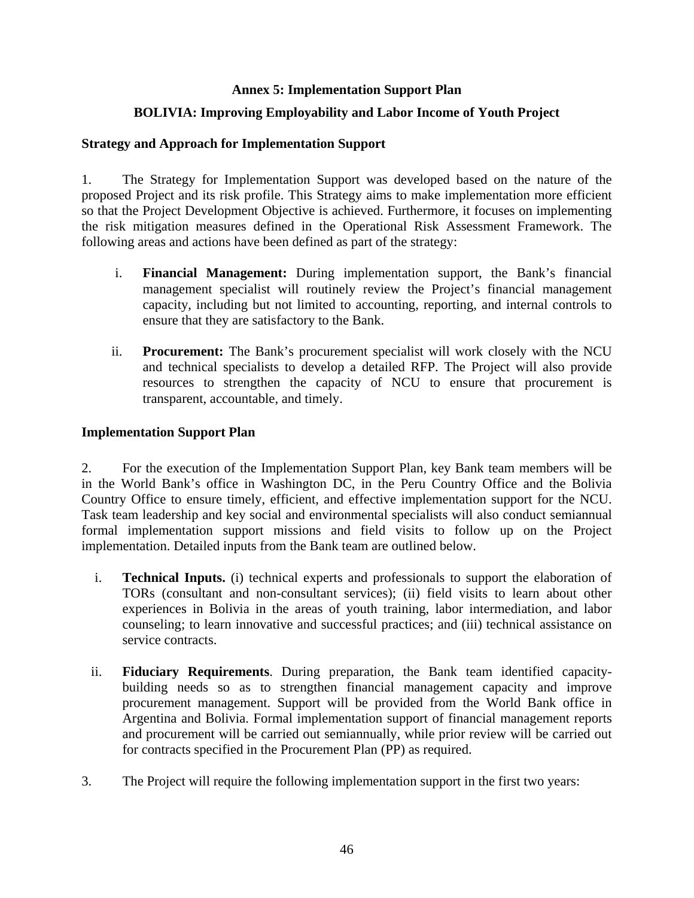## **Annex 5: Implementation Support Plan**

# **BOLIVIA: Improving Employability and Labor Income of Youth Project**

### **Strategy and Approach for Implementation Support**

1. The Strategy for Implementation Support was developed based on the nature of the proposed Project and its risk profile. This Strategy aims to make implementation more efficient so that the Project Development Objective is achieved. Furthermore, it focuses on implementing the risk mitigation measures defined in the Operational Risk Assessment Framework. The following areas and actions have been defined as part of the strategy:

- i. **Financial Management:** During implementation support, the Bank's financial management specialist will routinely review the Project's financial management capacity, including but not limited to accounting, reporting, and internal controls to ensure that they are satisfactory to the Bank.
- ii. **Procurement:** The Bank's procurement specialist will work closely with the NCU and technical specialists to develop a detailed RFP. The Project will also provide resources to strengthen the capacity of NCU to ensure that procurement is transparent, accountable, and timely.

### **Implementation Support Plan**

2. For the execution of the Implementation Support Plan, key Bank team members will be in the World Bank's office in Washington DC, in the Peru Country Office and the Bolivia Country Office to ensure timely, efficient, and effective implementation support for the NCU. Task team leadership and key social and environmental specialists will also conduct semiannual formal implementation support missions and field visits to follow up on the Project implementation. Detailed inputs from the Bank team are outlined below.

- i. **Technical Inputs.** (i) technical experts and professionals to support the elaboration of TORs (consultant and non-consultant services); (ii) field visits to learn about other experiences in Bolivia in the areas of youth training, labor intermediation, and labor counseling; to learn innovative and successful practices; and (iii) technical assistance on service contracts.
- ii. **Fiduciary Requirements**. During preparation, the Bank team identified capacitybuilding needs so as to strengthen financial management capacity and improve procurement management. Support will be provided from the World Bank office in Argentina and Bolivia. Formal implementation support of financial management reports and procurement will be carried out semiannually, while prior review will be carried out for contracts specified in the Procurement Plan (PP) as required.
- 3. The Project will require the following implementation support in the first two years: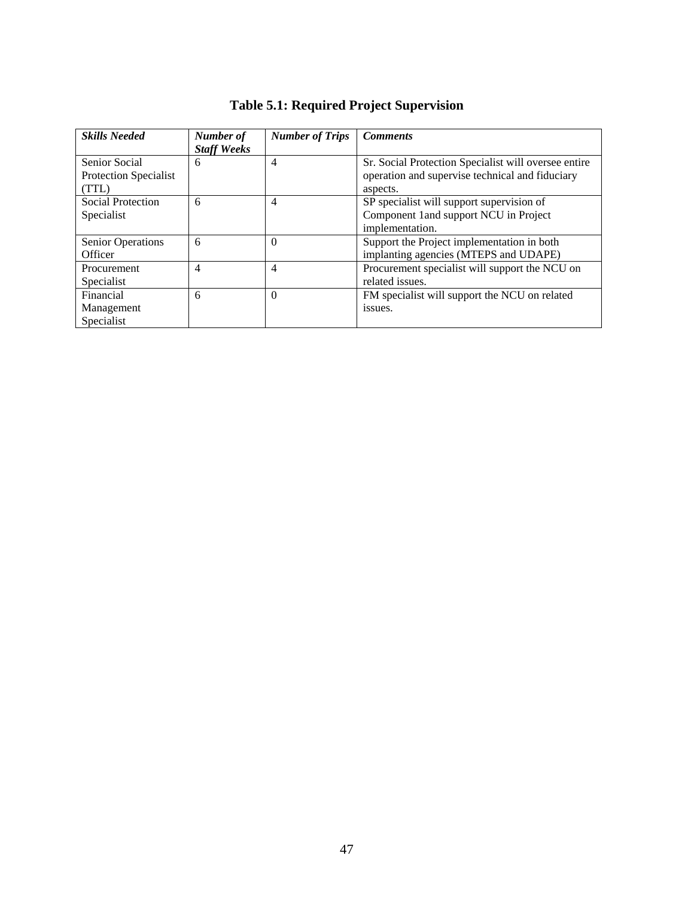| <b>Skills Needed</b>                                   | Number of<br><b>Staff Weeks</b> | <b>Number of Trips</b> | <b>Comments</b>                                                                                                     |
|--------------------------------------------------------|---------------------------------|------------------------|---------------------------------------------------------------------------------------------------------------------|
| <b>Senior Social</b><br>Protection Specialist<br>(TTL) | 6                               | $\overline{4}$         | Sr. Social Protection Specialist will oversee entire<br>operation and supervise technical and fiduciary<br>aspects. |
| Social Protection<br>Specialist                        | 6                               | $\overline{4}$         | SP specialist will support supervision of<br>Component 1 and support NCU in Project<br>implementation.              |
| <b>Senior Operations</b><br>Officer                    | 6                               | $\Omega$               | Support the Project implementation in both<br>implanting agencies (MTEPS and UDAPE)                                 |
| Procurement<br>Specialist                              | 4                               | $\overline{4}$         | Procurement specialist will support the NCU on<br>related issues.                                                   |
| Financial<br>Management<br>Specialist                  | 6                               | $\Omega$               | FM specialist will support the NCU on related<br>issues.                                                            |

# **Table 5.1: Required Project Supervision**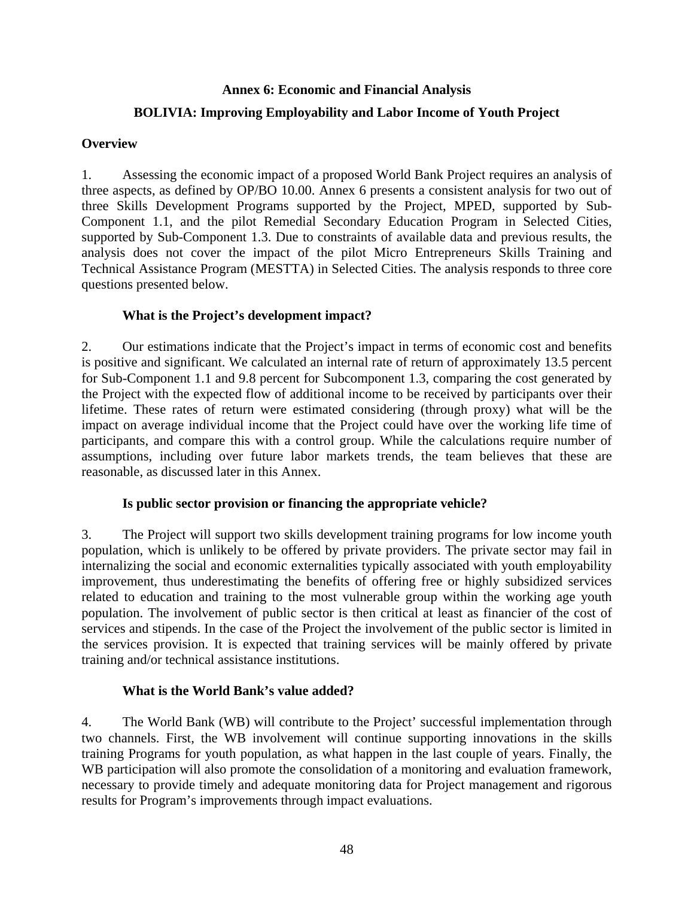# **Annex 6: Economic and Financial Analysis**

# **BOLIVIA: Improving Employability and Labor Income of Youth Project**

# **Overview**

1. Assessing the economic impact of a proposed World Bank Project requires an analysis of three aspects, as defined by OP/BO 10.00. Annex 6 presents a consistent analysis for two out of three Skills Development Programs supported by the Project, MPED, supported by Sub-Component 1.1, and the pilot Remedial Secondary Education Program in Selected Cities, supported by Sub-Component 1.3. Due to constraints of available data and previous results, the analysis does not cover the impact of the pilot Micro Entrepreneurs Skills Training and Technical Assistance Program (MESTTA) in Selected Cities. The analysis responds to three core questions presented below.

# **What is the Project's development impact?**

2. Our estimations indicate that the Project's impact in terms of economic cost and benefits is positive and significant. We calculated an internal rate of return of approximately 13.5 percent for Sub-Component 1.1 and 9.8 percent for Subcomponent 1.3, comparing the cost generated by the Project with the expected flow of additional income to be received by participants over their lifetime. These rates of return were estimated considering (through proxy) what will be the impact on average individual income that the Project could have over the working life time of participants, and compare this with a control group. While the calculations require number of assumptions, including over future labor markets trends, the team believes that these are reasonable, as discussed later in this Annex.

# **Is public sector provision or financing the appropriate vehicle?**

3. The Project will support two skills development training programs for low income youth population, which is unlikely to be offered by private providers. The private sector may fail in internalizing the social and economic externalities typically associated with youth employability improvement, thus underestimating the benefits of offering free or highly subsidized services related to education and training to the most vulnerable group within the working age youth population. The involvement of public sector is then critical at least as financier of the cost of services and stipends. In the case of the Project the involvement of the public sector is limited in the services provision. It is expected that training services will be mainly offered by private training and/or technical assistance institutions.

# **What is the World Bank's value added?**

4. The World Bank (WB) will contribute to the Project' successful implementation through two channels. First, the WB involvement will continue supporting innovations in the skills training Programs for youth population, as what happen in the last couple of years. Finally, the WB participation will also promote the consolidation of a monitoring and evaluation framework, necessary to provide timely and adequate monitoring data for Project management and rigorous results for Program's improvements through impact evaluations.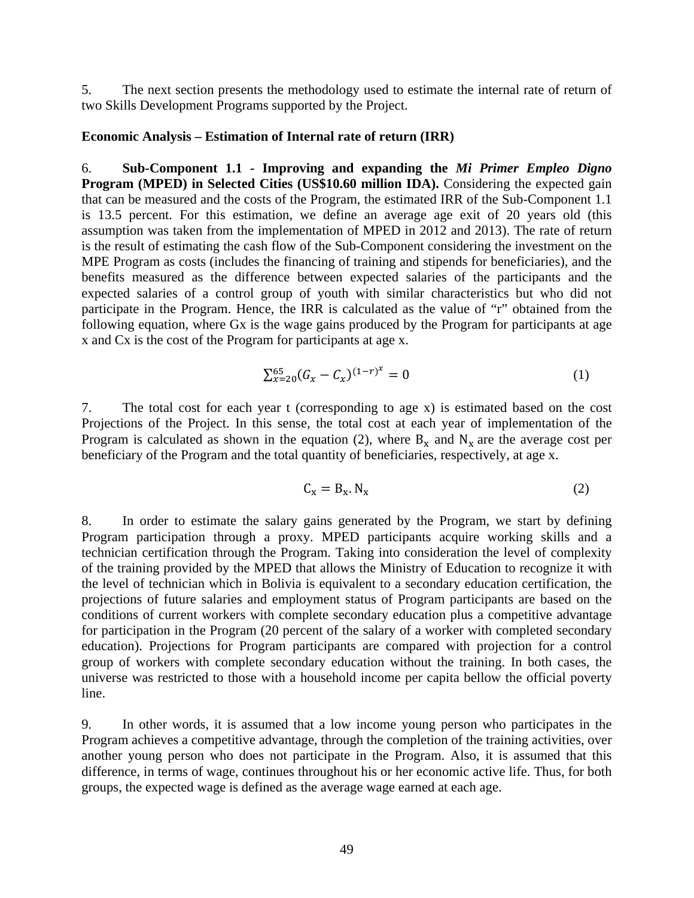5. The next section presents the methodology used to estimate the internal rate of return of two Skills Development Programs supported by the Project.

### **Economic Analysis – Estimation of Internal rate of return (IRR)**

6. **Sub-Component 1.1 - Improving and expanding the** *Mi Primer Empleo Digno* **Program (MPED) in Selected Cities (US\$10.60 million IDA).** Considering the expected gain that can be measured and the costs of the Program, the estimated IRR of the Sub-Component 1.1 is 13.5 percent. For this estimation, we define an average age exit of 20 years old (this assumption was taken from the implementation of MPED in 2012 and 2013). The rate of return is the result of estimating the cash flow of the Sub-Component considering the investment on the MPE Program as costs (includes the financing of training and stipends for beneficiaries), and the benefits measured as the difference between expected salaries of the participants and the expected salaries of a control group of youth with similar characteristics but who did not participate in the Program. Hence, the IRR is calculated as the value of "r" obtained from the following equation, where Gx is the wage gains produced by the Program for participants at age x and Cx is the cost of the Program for participants at age x.

$$
\sum_{x=20}^{65} (G_x - C_x)^{(1-r)^x} = 0 \tag{1}
$$

7. The total cost for each year t (corresponding to age x) is estimated based on the cost Projections of the Project. In this sense, the total cost at each year of implementation of the Program is calculated as shown in the equation (2), where  $B_x$  and  $N_x$  are the average cost per beneficiary of the Program and the total quantity of beneficiaries, respectively, at age x.

$$
C_x = B_x. N_x \tag{2}
$$

8. In order to estimate the salary gains generated by the Program, we start by defining Program participation through a proxy. MPED participants acquire working skills and a technician certification through the Program. Taking into consideration the level of complexity of the training provided by the MPED that allows the Ministry of Education to recognize it with the level of technician which in Bolivia is equivalent to a secondary education certification, the projections of future salaries and employment status of Program participants are based on the conditions of current workers with complete secondary education plus a competitive advantage for participation in the Program (20 percent of the salary of a worker with completed secondary education). Projections for Program participants are compared with projection for a control group of workers with complete secondary education without the training. In both cases, the universe was restricted to those with a household income per capita bellow the official poverty line.

9. In other words, it is assumed that a low income young person who participates in the Program achieves a competitive advantage, through the completion of the training activities, over another young person who does not participate in the Program. Also, it is assumed that this difference, in terms of wage, continues throughout his or her economic active life. Thus, for both groups, the expected wage is defined as the average wage earned at each age.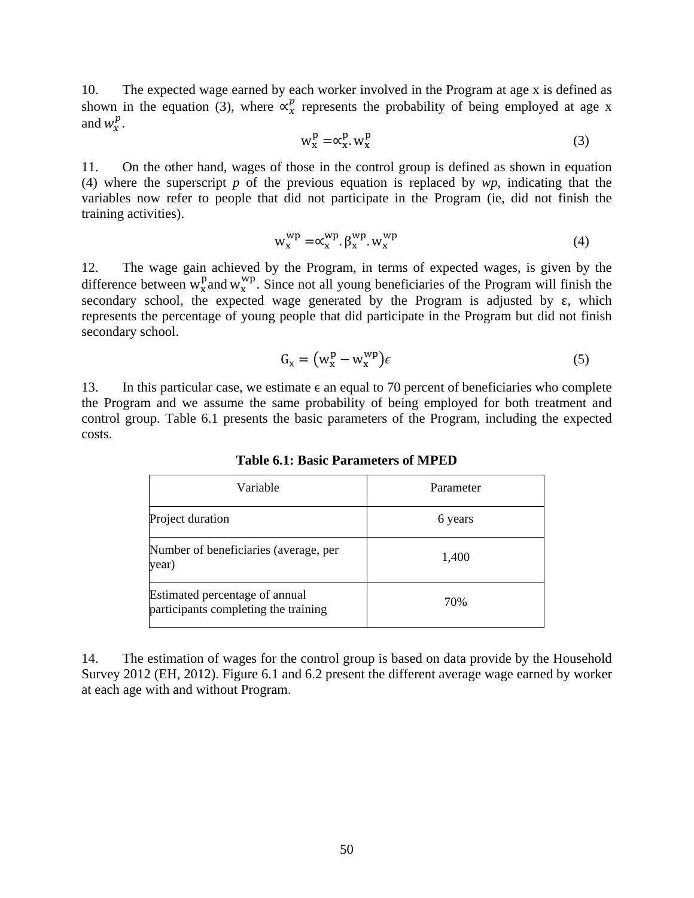10. The expected wage earned by each worker involved in the Program at age x is defined as shown in the equation (3), where  $\alpha_x^p$  represents the probability of being employed at age x and  $w_x^p$ .

$$
w_x^p = \alpha_x^p w_x^p \tag{3}
$$

11. On the other hand, wages of those in the control group is defined as shown in equation (4) where the superscript *p* of the previous equation is replaced by *wp,* indicating that the variables now refer to people that did not participate in the Program (ie, did not finish the training activities).

$$
w_x^{wp} = \alpha_x^{wp} \cdot \beta_x^{wp} \cdot w_x^{wp}
$$
 (4)

12. The wage gain achieved by the Program, in terms of expected wages, is given by the difference between  $w_x^p$  and  $w_y^{\text{wp}}$ . Since not all young beneficiaries of the Program will finish the secondary school, the expected wage generated by the Program is adjusted by  $\varepsilon$ , which represents the percentage of young people that did participate in the Program but did not finish secondary school.

$$
G_x = (w_x^p - w_x^{wp})\epsilon
$$
 (5)

13. In this particular case, we estimate  $\epsilon$  an equal to 70 percent of beneficiaries who complete the Program and we assume the same probability of being employed for both treatment and control group. Table 6.1 presents the basic parameters of the Program, including the expected costs.

| Variable                                                               | Parameter |
|------------------------------------------------------------------------|-----------|
| Project duration                                                       | 6 years   |
| Number of beneficiaries (average, per<br>year)                         | 1,400     |
| Estimated percentage of annual<br>participants completing the training | 70%       |

**Table 6.1: Basic Parameters of MPED** 

14. The estimation of wages for the control group is based on data provide by the Household Survey 2012 (EH, 2012). Figure 6.1 and 6.2 present the different average wage earned by worker at each age with and without Program.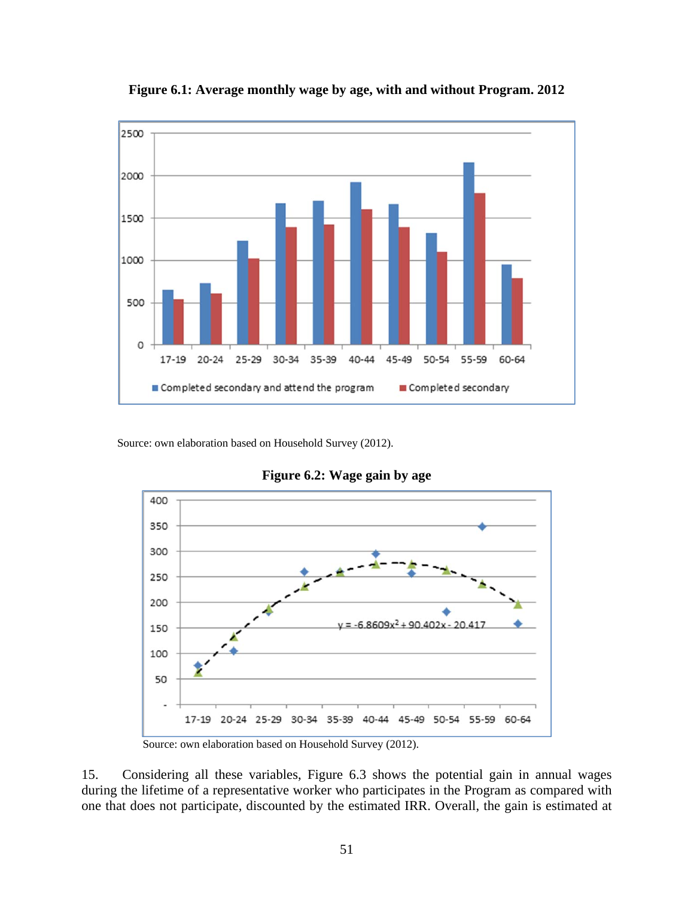

**Figure 6.1: Average monthly wage by age, with and without Program. 2012** 

Source: own elaboration based on Household Survey (2012).



**Figure 6.2: Wage gain by age** 

Source: own elaboration based on Household Survey (2012).

15. Considering all these variables, Figure 6.3 shows the potential gain in annual wages during the lifetime of a representative worker who participates in the Program as compared with one that does not participate, discounted by the estimated IRR. Overall, the gain is estimated at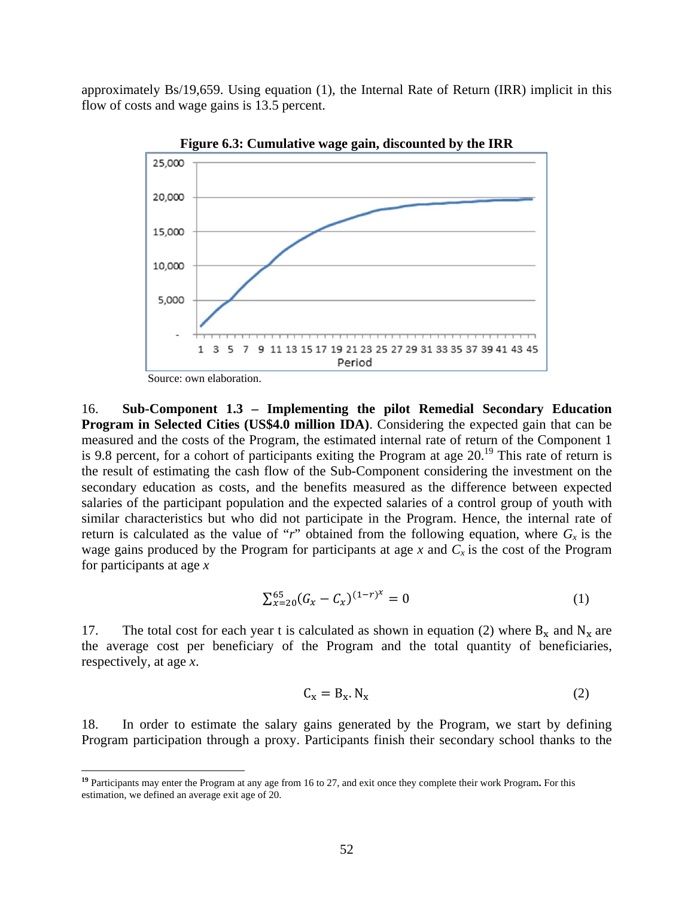approximately Bs/19,659. Using equation (1), the Internal Rate of Return (IRR) implicit in this flow of costs and wage gains is 13.5 percent.



**Figure 6.3: Cumulative wage gain, discounted by the IRR** 

Source: own elaboration.

1

16. **Sub-Component 1.3 – Implementing the pilot Remedial Secondary Education Program in Selected Cities (US\$4.0 million IDA)**. Considering the expected gain that can be measured and the costs of the Program, the estimated internal rate of return of the Component 1 is 9.8 percent, for a cohort of participants exiting the Program at age 20.<sup>19</sup> This rate of return is the result of estimating the cash flow of the Sub-Component considering the investment on the secondary education as costs, and the benefits measured as the difference between expected salaries of the participant population and the expected salaries of a control group of youth with similar characteristics but who did not participate in the Program. Hence, the internal rate of return is calculated as the value of "*r*" obtained from the following equation, where  $G_x$  is the wage gains produced by the Program for participants at age  $x$  and  $C_x$  is the cost of the Program for participants at age *x*

$$
\sum_{x=20}^{65} (G_x - C_x)^{(1-r)^x} = 0 \tag{1}
$$

17. The total cost for each year t is calculated as shown in equation (2) where  $B_x$  and  $N_x$  are the average cost per beneficiary of the Program and the total quantity of beneficiaries, respectively, at age *x*.

$$
C_x = B_x \cdot N_x \tag{2}
$$

18. In order to estimate the salary gains generated by the Program, we start by defining Program participation through a proxy. Participants finish their secondary school thanks to the

**<sup>19</sup>** Participants may enter the Program at any age from 16 to 27, and exit once they complete their work Program**.** For this estimation, we defined an average exit age of 20.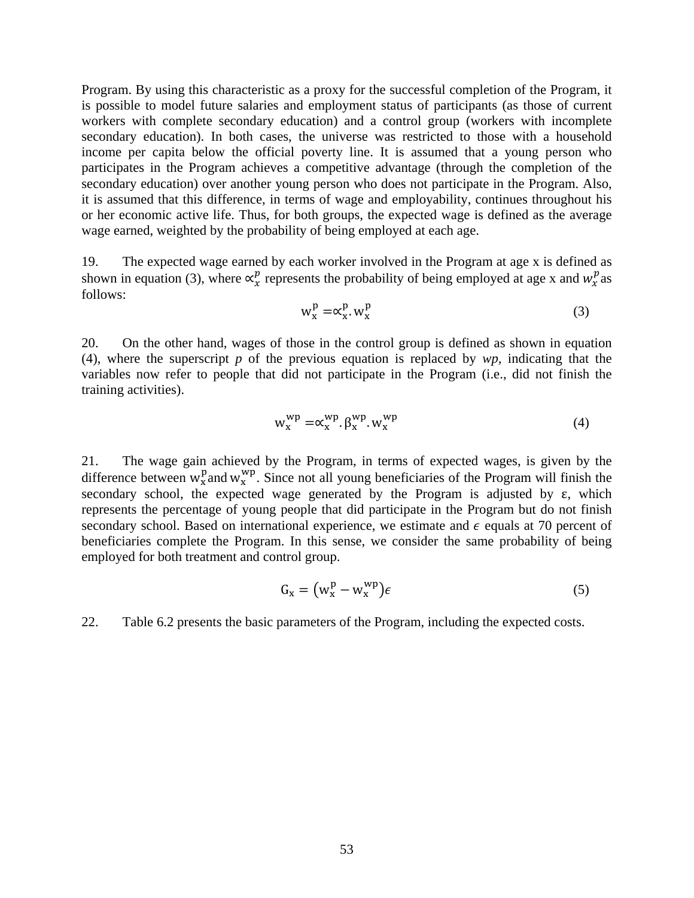Program. By using this characteristic as a proxy for the successful completion of the Program, it is possible to model future salaries and employment status of participants (as those of current workers with complete secondary education) and a control group (workers with incomplete secondary education). In both cases, the universe was restricted to those with a household income per capita below the official poverty line. It is assumed that a young person who participates in the Program achieves a competitive advantage (through the completion of the secondary education) over another young person who does not participate in the Program. Also, it is assumed that this difference, in terms of wage and employability, continues throughout his or her economic active life. Thus, for both groups, the expected wage is defined as the average wage earned, weighted by the probability of being employed at each age.

19. The expected wage earned by each worker involved in the Program at age x is defined as shown in equation (3), where  $\alpha_x^p$  represents the probability of being employed at age x and  $w_x^p$  as follows:

$$
w_x^p = \alpha_x^p w_x^p \tag{3}
$$

20. On the other hand, wages of those in the control group is defined as shown in equation (4), where the superscript *p* of the previous equation is replaced by *wp,* indicating that the variables now refer to people that did not participate in the Program (i.e., did not finish the training activities).

$$
w_x^{wp} = \alpha_x^{wp} \cdot \beta_x^{wp} \cdot w_x^{wp}
$$
 (4)

21. The wage gain achieved by the Program, in terms of expected wages, is given by the difference between  $w_x^p$  and  $w_x^{\text{wp}}$ . Since not all young beneficiaries of the Program will finish the secondary school, the expected wage generated by the Program is adjusted by  $\varepsilon$ , which represents the percentage of young people that did participate in the Program but do not finish secondary school. Based on international experience, we estimate and  $\epsilon$  equals at 70 percent of beneficiaries complete the Program. In this sense, we consider the same probability of being employed for both treatment and control group.

$$
G_x = (w_x^p - w_x^{wp})\epsilon
$$
 (5)

22. Table 6.2 presents the basic parameters of the Program, including the expected costs.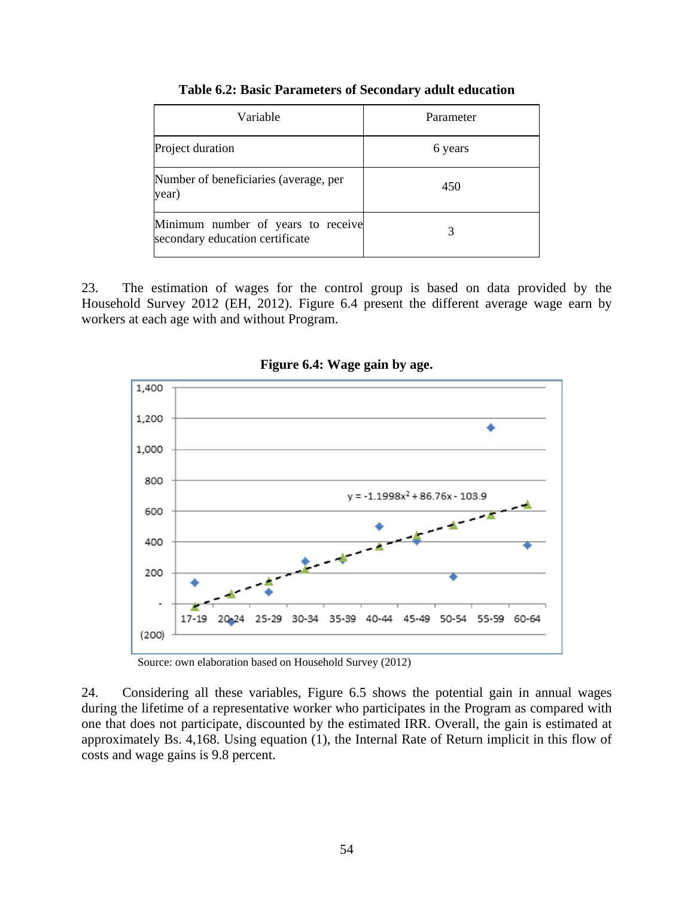| Variable                                                              | Parameter |
|-----------------------------------------------------------------------|-----------|
| Project duration                                                      | 6 years   |
| Number of beneficiaries (average, per<br>year)                        | 450       |
| Minimum number of years to receive<br>secondary education certificate | 3         |

### **Table 6.2: Basic Parameters of Secondary adult education**

23. The estimation of wages for the control group is based on data provided by the Household Survey 2012 (EH, 2012). Figure 6.4 present the different average wage earn by workers at each age with and without Program.



### **Figure 6.4: Wage gain by age.**

Source: own elaboration based on Household Survey (2012)

24. Considering all these variables, Figure 6.5 shows the potential gain in annual wages during the lifetime of a representative worker who participates in the Program as compared with one that does not participate, discounted by the estimated IRR. Overall, the gain is estimated at approximately Bs. 4,168. Using equation (1), the Internal Rate of Return implicit in this flow of costs and wage gains is 9.8 percent.